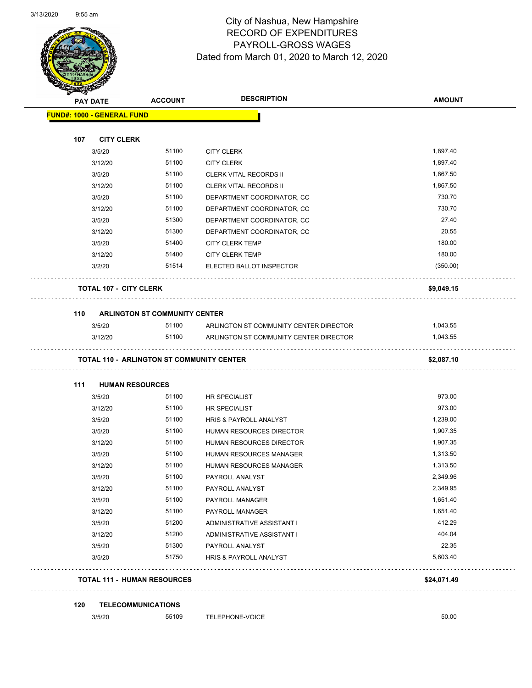|     | <b>PAY DATE</b>                   | <b>ACCOUNT</b>                       | <b>DESCRIPTION</b>                               | <b>AMOUNT</b> |
|-----|-----------------------------------|--------------------------------------|--------------------------------------------------|---------------|
|     | <b>FUND#: 1000 - GENERAL FUND</b> |                                      |                                                  |               |
| 107 | <b>CITY CLERK</b>                 |                                      |                                                  |               |
|     | 3/5/20                            | 51100                                | <b>CITY CLERK</b>                                | 1,897.40      |
|     | 3/12/20                           | 51100                                | <b>CITY CLERK</b>                                | 1,897.40      |
|     | 3/5/20                            | 51100                                | <b>CLERK VITAL RECORDS II</b>                    | 1,867.50      |
|     | 3/12/20                           | 51100                                | <b>CLERK VITAL RECORDS II</b>                    | 1,867.50      |
|     | 3/5/20                            | 51100                                | DEPARTMENT COORDINATOR, CC                       | 730.70        |
|     | 3/12/20                           | 51100                                | DEPARTMENT COORDINATOR, CC                       | 730.70        |
|     | 3/5/20                            | 51300                                | DEPARTMENT COORDINATOR, CC                       | 27.40         |
|     | 3/12/20                           | 51300                                | DEPARTMENT COORDINATOR, CC                       | 20.55         |
|     | 3/5/20                            | 51400                                | <b>CITY CLERK TEMP</b>                           | 180.00        |
|     | 3/12/20                           | 51400                                | <b>CITY CLERK TEMP</b>                           | 180.00        |
|     | 3/2/20                            | 51514                                | ELECTED BALLOT INSPECTOR                         | (350.00)      |
|     | <b>TOTAL 107 - CITY CLERK</b>     |                                      |                                                  | \$9,049.15    |
| 110 |                                   | <b>ARLINGTON ST COMMUNITY CENTER</b> |                                                  |               |
|     | 3/5/20                            | 51100                                | ARLINGTON ST COMMUNITY CENTER DIRECTOR           | 1,043.55      |
|     | 3/12/20                           | 51100                                | ARLINGTON ST COMMUNITY CENTER DIRECTOR           | 1,043.55      |
|     |                                   |                                      | <b>TOTAL 110 - ARLINGTON ST COMMUNITY CENTER</b> | \$2,087.10    |
|     |                                   |                                      |                                                  |               |
| 111 | <b>HUMAN RESOURCES</b>            |                                      |                                                  |               |
|     | 3/5/20                            | 51100                                | HR SPECIALIST                                    | 973.00        |
|     | 3/12/20                           | 51100                                | HR SPECIALIST                                    | 973.00        |
|     | 3/5/20                            | 51100                                | HRIS & PAYROLL ANALYST                           | 1,239.00      |
|     | 3/5/20                            | 51100                                | HUMAN RESOURCES DIRECTOR                         | 1,907.35      |
|     | 3/12/20                           | 51100                                | <b>HUMAN RESOURCES DIRECTOR</b>                  | 1,907.35      |
|     | 3/5/20                            | 51100                                | HUMAN RESOURCES MANAGER                          | 1,313.50      |
|     | 3/12/20                           | 51100                                | HUMAN RESOURCES MANAGER                          | 1,313.50      |
|     | 3/5/20                            | 51100                                | PAYROLL ANALYST                                  | 2,349.96      |
|     | 3/12/20                           | 51100                                | PAYROLL ANALYST                                  | 2,349.95      |
|     | 3/5/20                            | 51100                                | PAYROLL MANAGER                                  | 1,651.40      |
|     | 3/12/20                           | 51100                                | PAYROLL MANAGER                                  | 1,651.40      |
|     | 3/5/20                            | 51200                                | ADMINISTRATIVE ASSISTANT I                       | 412.29        |
|     | 3/12/20                           | 51200                                | ADMINISTRATIVE ASSISTANT I                       | 404.04        |
|     | 3/5/20                            | 51300                                | PAYROLL ANALYST                                  | 22.35         |
|     | 3/5/20                            | 51750                                | HRIS & PAYROLL ANALYST                           | 5,603.40      |

#### **120 TELECOMMUNICATIONS**

3/5/20 55109 TELEPHONE-VOICE 3/5000 50.00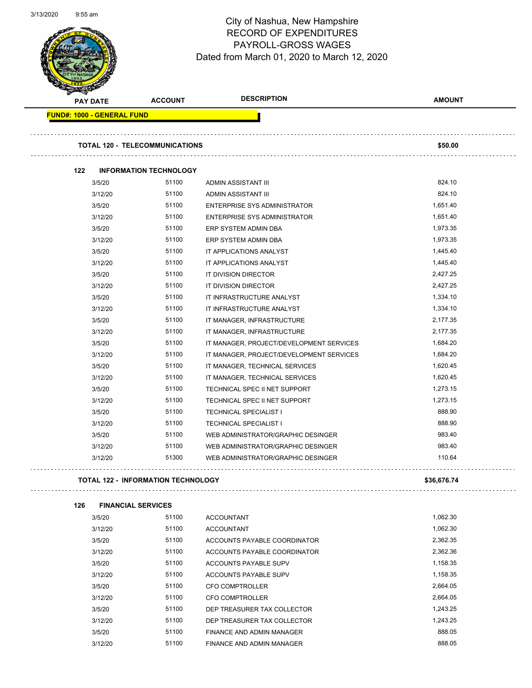Page 44 of 97

|     |                                   |                                           | <b>DESCRIPTION</b>                       | <b>AMOUNT</b> |
|-----|-----------------------------------|-------------------------------------------|------------------------------------------|---------------|
|     | <b>PAY DATE</b>                   | <b>ACCOUNT</b>                            |                                          |               |
|     | <b>FUND#: 1000 - GENERAL FUND</b> |                                           |                                          |               |
|     |                                   | <b>TOTAL 120 - TELECOMMUNICATIONS</b>     |                                          | \$50.00       |
| 122 |                                   | <b>INFORMATION TECHNOLOGY</b>             |                                          |               |
|     | 3/5/20                            | 51100                                     | ADMIN ASSISTANT III                      | 824.10        |
|     | 3/12/20                           | 51100                                     | ADMIN ASSISTANT III                      | 824.10        |
|     | 3/5/20                            | 51100                                     | ENTERPRISE SYS ADMINISTRATOR             | 1,651.40      |
|     | 3/12/20                           | 51100                                     | <b>ENTERPRISE SYS ADMINISTRATOR</b>      | 1,651.40      |
|     | 3/5/20                            | 51100                                     | ERP SYSTEM ADMIN DBA                     | 1,973.35      |
|     | 3/12/20                           | 51100                                     | ERP SYSTEM ADMIN DBA                     | 1,973.35      |
|     | 3/5/20                            | 51100                                     | IT APPLICATIONS ANALYST                  | 1,445.40      |
|     | 3/12/20                           | 51100                                     | IT APPLICATIONS ANALYST                  | 1,445.40      |
|     | 3/5/20                            | 51100                                     | IT DIVISION DIRECTOR                     | 2,427.25      |
|     | 3/12/20                           | 51100                                     | IT DIVISION DIRECTOR                     | 2,427.25      |
|     | 3/5/20                            | 51100                                     | IT INFRASTRUCTURE ANALYST                | 1,334.10      |
|     | 3/12/20                           | 51100                                     | IT INFRASTRUCTURE ANALYST                | 1,334.10      |
|     | 3/5/20                            | 51100                                     | IT MANAGER, INFRASTRUCTURE               | 2,177.35      |
|     | 3/12/20                           | 51100                                     | IT MANAGER, INFRASTRUCTURE               | 2,177.35      |
|     | 3/5/20                            | 51100                                     | IT MANAGER, PROJECT/DEVELOPMENT SERVICES | 1,684.20      |
|     | 3/12/20                           | 51100                                     | IT MANAGER, PROJECT/DEVELOPMENT SERVICES | 1,684.20      |
|     | 3/5/20                            | 51100                                     | IT MANAGER, TECHNICAL SERVICES           | 1,620.45      |
|     | 3/12/20                           | 51100                                     | IT MANAGER, TECHNICAL SERVICES           | 1,620.45      |
|     | 3/5/20                            | 51100                                     | TECHNICAL SPEC II NET SUPPORT            | 1,273.15      |
|     | 3/12/20                           | 51100                                     | TECHNICAL SPEC II NET SUPPORT            | 1,273.15      |
|     | 3/5/20                            | 51100                                     | <b>TECHNICAL SPECIALIST I</b>            | 888.90        |
|     | 3/12/20                           | 51100                                     | <b>TECHNICAL SPECIALIST I</b>            | 888.90        |
|     | 3/5/20                            | 51100                                     | WEB ADMINISTRATOR/GRAPHIC DESINGER       | 983.40        |
|     | 3/12/20                           | 51100                                     | WEB ADMINISTRATOR/GRAPHIC DESINGER       | 983.40        |
|     | 3/12/20                           | 51300                                     | WEB ADMINISTRATOR/GRAPHIC DESINGER       | 110.64        |
|     |                                   | <b>TOTAL 122 - INFORMATION TECHNOLOGY</b> |                                          | \$36,676.74   |
| 126 |                                   | <b>FINANCIAL SERVICES</b>                 |                                          |               |
|     | 3/5/20                            | 51100                                     | <b>ACCOUNTANT</b>                        | 1,062.30      |
|     | 3/12/20                           | 51100                                     | ACCOLINITANT                             | 1.062.30      |

| טגוטוט  | <b>UIIUU</b> | <b>AUUUILIANI</b>            | 1,002.00 |
|---------|--------------|------------------------------|----------|
| 3/12/20 | 51100        | <b>ACCOUNTANT</b>            | 1,062.30 |
| 3/5/20  | 51100        | ACCOUNTS PAYABLE COORDINATOR | 2,362.35 |
| 3/12/20 | 51100        | ACCOUNTS PAYABLE COORDINATOR | 2.362.36 |
| 3/5/20  | 51100        | ACCOUNTS PAYABLE SUPV        | 1,158.35 |
| 3/12/20 | 51100        | ACCOUNTS PAYABLE SUPV        | 1.158.35 |
| 3/5/20  | 51100        | CFO COMPTROLLER              | 2.664.05 |
| 3/12/20 | 51100        | <b>CFO COMPTROLLER</b>       | 2.664.05 |
| 3/5/20  | 51100        | DEP TREASURER TAX COLLECTOR  | 1.243.25 |
| 3/12/20 | 51100        | DEP TREASURER TAX COLLECTOR  | 1.243.25 |
| 3/5/20  | 51100        | FINANCE AND ADMIN MANAGER    | 888.05   |
| 3/12/20 | 51100        | FINANCE AND ADMIN MANAGER    | 888.05   |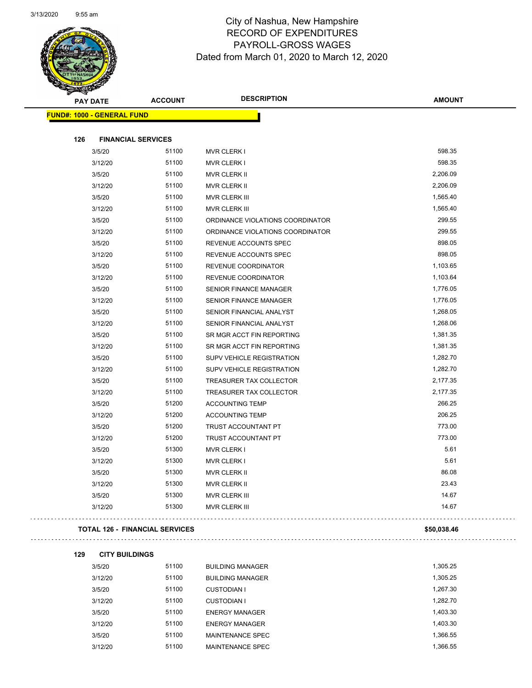

Page 45 of 97

| <b>PAY DATE</b>                       | <b>ACCOUNT</b> | <b>DESCRIPTION</b>               | <b>AMOUNT</b> |
|---------------------------------------|----------------|----------------------------------|---------------|
| <b>FUND#: 1000 - GENERAL FUND</b>     |                |                                  |               |
|                                       |                |                                  |               |
| 126<br><b>FINANCIAL SERVICES</b>      |                |                                  | 598.35        |
| 3/5/20                                | 51100          | <b>MVR CLERK I</b>               | 598.35        |
| 3/12/20                               | 51100          | <b>MVR CLERK I</b>               |               |
| 3/5/20                                | 51100          | <b>MVR CLERK II</b>              | 2,206.09      |
| 3/12/20                               | 51100          | <b>MVR CLERK II</b>              | 2,206.09      |
| 3/5/20                                | 51100          | MVR CLERK III                    | 1,565.40      |
| 3/12/20                               | 51100          | MVR CLERK III                    | 1,565.40      |
| 3/5/20                                | 51100          | ORDINANCE VIOLATIONS COORDINATOR | 299.55        |
| 3/12/20                               | 51100          | ORDINANCE VIOLATIONS COORDINATOR | 299.55        |
| 3/5/20                                | 51100          | REVENUE ACCOUNTS SPEC            | 898.05        |
| 3/12/20                               | 51100          | REVENUE ACCOUNTS SPEC            | 898.05        |
| 3/5/20                                | 51100          | REVENUE COORDINATOR              | 1,103.65      |
| 3/12/20                               | 51100          | REVENUE COORDINATOR              | 1,103.64      |
| 3/5/20                                | 51100          | <b>SENIOR FINANCE MANAGER</b>    | 1,776.05      |
| 3/12/20                               | 51100          | <b>SENIOR FINANCE MANAGER</b>    | 1,776.05      |
| 3/5/20                                | 51100          | SENIOR FINANCIAL ANALYST         | 1,268.05      |
| 3/12/20                               | 51100          | SENIOR FINANCIAL ANALYST         | 1,268.06      |
| 3/5/20                                | 51100          | SR MGR ACCT FIN REPORTING        | 1,381.35      |
| 3/12/20                               | 51100          | SR MGR ACCT FIN REPORTING        | 1,381.35      |
| 3/5/20                                | 51100          | SUPV VEHICLE REGISTRATION        | 1,282.70      |
| 3/12/20                               | 51100          | SUPV VEHICLE REGISTRATION        | 1,282.70      |
| 3/5/20                                | 51100          | TREASURER TAX COLLECTOR          | 2,177.35      |
| 3/12/20                               | 51100          | TREASURER TAX COLLECTOR          | 2,177.35      |
| 3/5/20                                | 51200          | <b>ACCOUNTING TEMP</b>           | 266.25        |
| 3/12/20                               | 51200          | <b>ACCOUNTING TEMP</b>           | 206.25        |
| 3/5/20                                | 51200          | TRUST ACCOUNTANT PT              | 773.00        |
| 3/12/20                               | 51200          | <b>TRUST ACCOUNTANT PT</b>       | 773.00        |
| 3/5/20                                | 51300          | <b>MVR CLERK I</b>               | 5.61          |
| 3/12/20                               | 51300          | <b>MVR CLERK I</b>               | 5.61          |
| 3/5/20                                | 51300          | <b>MVR CLERK II</b>              | 86.08         |
| 3/12/20                               | 51300          | <b>MVR CLERK II</b>              | 23.43         |
| 3/5/20                                | 51300          | MVR CLERK III                    | 14.67         |
| 3/12/20                               | 51300          | MVR CLERK III                    | 14.67         |
| <b>TOTAL 126 - FINANCIAL SERVICES</b> |                |                                  | \$50,038.46   |

| 129 | <b>CITY BUILDINGS</b> |
|-----|-----------------------|
|-----|-----------------------|

| 3/5/20  | 51100 | <b>BUILDING MANAGER</b> | 1,305.25 |
|---------|-------|-------------------------|----------|
| 3/12/20 | 51100 | <b>BUILDING MANAGER</b> | 1,305.25 |
| 3/5/20  | 51100 | CUSTODIAN I             | 1,267.30 |
| 3/12/20 | 51100 | CUSTODIAN I             | 1,282.70 |
| 3/5/20  | 51100 | <b>ENERGY MANAGER</b>   | 1,403.30 |
| 3/12/20 | 51100 | <b>ENERGY MANAGER</b>   | 1,403.30 |
| 3/5/20  | 51100 | MAINTENANCE SPEC        | 1.366.55 |
| 3/12/20 | 51100 | MAINTENANCE SPEC        | 1.366.55 |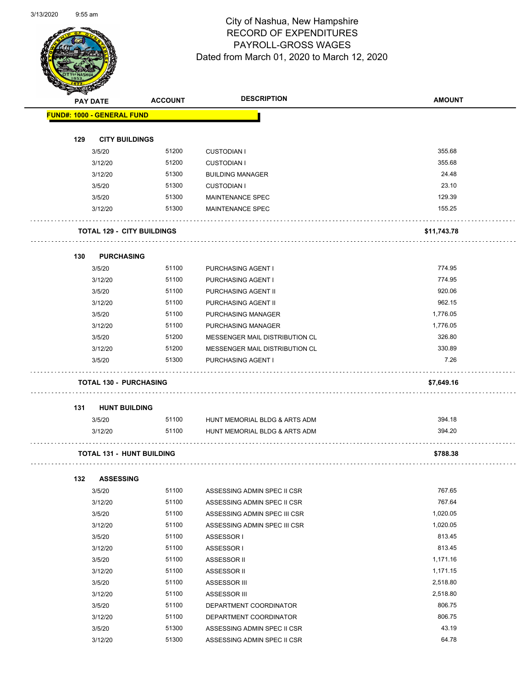Page 46 of 97

|     | <b>PAY DATE</b>                   | <b>ACCOUNT</b> | <b>DESCRIPTION</b>             | <b>AMOUNT</b> |
|-----|-----------------------------------|----------------|--------------------------------|---------------|
|     | <b>FUND#: 1000 - GENERAL FUND</b> |                |                                |               |
| 129 | <b>CITY BUILDINGS</b>             |                |                                |               |
|     | 3/5/20                            | 51200          | <b>CUSTODIAN I</b>             | 355.68        |
|     | 3/12/20                           | 51200          | <b>CUSTODIAN I</b>             | 355.68        |
|     | 3/12/20                           | 51300          | <b>BUILDING MANAGER</b>        | 24.48         |
|     | 3/5/20                            | 51300          | <b>CUSTODIAN I</b>             | 23.10         |
|     | 3/5/20                            | 51300          | <b>MAINTENANCE SPEC</b>        | 129.39        |
|     | 3/12/20                           | 51300          | <b>MAINTENANCE SPEC</b>        | 155.25        |
|     | <b>TOTAL 129 - CITY BUILDINGS</b> |                |                                | \$11,743.78   |
|     |                                   |                |                                |               |
| 130 | <b>PURCHASING</b><br>3/5/20       | 51100          | <b>PURCHASING AGENT I</b>      | 774.95        |
|     | 3/12/20                           | 51100          | PURCHASING AGENT I             | 774.95        |
|     | 3/5/20                            | 51100          | PURCHASING AGENT II            | 920.06        |
|     | 3/12/20                           | 51100          | PURCHASING AGENT II            | 962.15        |
|     | 3/5/20                            | 51100          | PURCHASING MANAGER             | 1,776.05      |
|     | 3/12/20                           | 51100          | PURCHASING MANAGER             | 1,776.05      |
|     | 3/5/20                            | 51200          | MESSENGER MAIL DISTRIBUTION CL | 326.80        |
|     | 3/12/20                           | 51200          | MESSENGER MAIL DISTRIBUTION CL | 330.89        |
|     | 3/5/20                            | 51300          | PURCHASING AGENT I             | 7.26          |
|     | <b>TOTAL 130 - PURCHASING</b>     |                |                                | \$7,649.16    |
| 131 | <b>HUNT BUILDING</b>              |                |                                |               |
|     | 3/5/20                            | 51100          | HUNT MEMORIAL BLDG & ARTS ADM  | 394.18        |
|     | 3/12/20                           | 51100          | HUNT MEMORIAL BLDG & ARTS ADM  | 394.20        |
|     | <b>TOTAL 131 - HUNT BUILDING</b>  |                |                                | \$788.38      |
| 132 | <b>ASSESSING</b>                  |                |                                |               |
|     | 3/5/20                            | 51100          | ASSESSING ADMIN SPEC II CSR    | 767.65        |
|     | 3/12/20                           | 51100          | ASSESSING ADMIN SPEC II CSR    | 767.64        |
|     | 3/5/20                            | 51100          | ASSESSING ADMIN SPEC III CSR   | 1,020.05      |
|     | 3/12/20                           | 51100          | ASSESSING ADMIN SPEC III CSR   | 1,020.05      |
|     | 3/5/20                            | 51100          | ASSESSOR I                     | 813.45        |
|     | 3/12/20                           | 51100          | ASSESSOR I                     | 813.45        |
|     | 3/5/20                            | 51100          | ASSESSOR II                    | 1,171.16      |
|     | 3/12/20                           | 51100          | ASSESSOR II                    | 1,171.15      |
|     | 3/5/20                            | 51100          | ASSESSOR III                   | 2,518.80      |
|     | 3/12/20                           | 51100          | ASSESSOR III                   | 2,518.80      |
|     | 3/5/20                            | 51100          | DEPARTMENT COORDINATOR         | 806.75        |
|     | 3/12/20                           | 51100          | DEPARTMENT COORDINATOR         | 806.75        |
|     | 3/5/20                            | 51300          | ASSESSING ADMIN SPEC II CSR    | 43.19         |
|     | 3/12/20                           | 51300          | ASSESSING ADMIN SPEC II CSR    | 64.78         |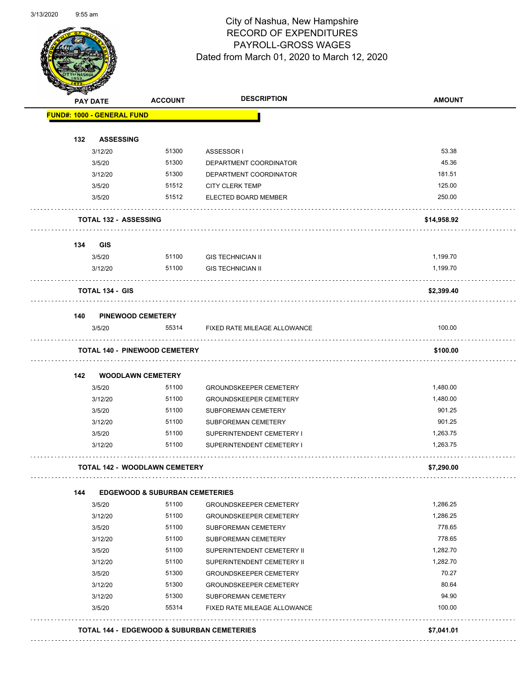#### City of Nashua, New Hampshire RECORD OF EXPENDITURES PAYROLL-GROSS WAGES Dated from March 01, 2020 to March 12, 2020

Page 47 of 97

| <b>PAY DATE</b>                   | <b>ACCOUNT</b>                            | <b>DESCRIPTION</b>            | <b>AMOUNT</b> |
|-----------------------------------|-------------------------------------------|-------------------------------|---------------|
| <b>FUND#: 1000 - GENERAL FUND</b> |                                           |                               |               |
| 132                               | <b>ASSESSING</b>                          |                               |               |
| 3/12/20                           | 51300                                     | ASSESSOR I                    | 53.38         |
| 3/5/20                            | 51300                                     | DEPARTMENT COORDINATOR        | 45.36         |
| 3/12/20                           | 51300                                     | DEPARTMENT COORDINATOR        | 181.51        |
| 3/5/20                            | 51512                                     | <b>CITY CLERK TEMP</b>        | 125.00        |
| 3/5/20                            | 51512                                     | ELECTED BOARD MEMBER          | 250.00        |
|                                   | <b>TOTAL 132 - ASSESSING</b>              |                               | \$14,958.92   |
| 134<br><b>GIS</b>                 |                                           |                               |               |
| 3/5/20                            | 51100                                     | <b>GIS TECHNICIAN II</b>      | 1,199.70      |
| 3/12/20                           | 51100                                     | <b>GIS TECHNICIAN II</b>      | 1,199.70      |
| <b>TOTAL 134 - GIS</b>            |                                           |                               | \$2,399.40    |
| 140                               | <b>PINEWOOD CEMETERY</b>                  |                               |               |
| 3/5/20                            | 55314                                     | FIXED RATE MILEAGE ALLOWANCE  | 100.00        |
|                                   | <b>TOTAL 140 - PINEWOOD CEMETERY</b>      |                               | \$100.00      |
| 142                               | <b>WOODLAWN CEMETERY</b>                  |                               |               |
| 3/5/20                            | 51100                                     | <b>GROUNDSKEEPER CEMETERY</b> | 1,480.00      |
| 3/12/20                           | 51100                                     | <b>GROUNDSKEEPER CEMETERY</b> | 1,480.00      |
| 3/5/20                            | 51100                                     | SUBFOREMAN CEMETERY           | 901.25        |
| 3/12/20                           | 51100                                     | SUBFOREMAN CEMETERY           | 901.25        |
| 3/5/20                            | 51100                                     | SUPERINTENDENT CEMETERY I     | 1,263.75      |
| 3/12/20                           | 51100                                     | SUPERINTENDENT CEMETERY I     | 1,263.75      |
|                                   | <b>TOTAL 142 - WOODLAWN CEMETERY</b>      |                               | \$7,290.00    |
| 144                               | <b>EDGEWOOD &amp; SUBURBAN CEMETERIES</b> |                               |               |
| 3/5/20                            | 51100                                     | <b>GROUNDSKEEPER CEMETERY</b> | 1,286.25      |
| 3/12/20                           | 51100                                     | <b>GROUNDSKEEPER CEMETERY</b> | 1,286.25      |
| 3/5/20                            | 51100                                     | SUBFOREMAN CEMETERY           | 778.65        |
| 3/12/20                           | 51100                                     | SUBFOREMAN CEMETERY           | 778.65        |
| 3/5/20                            | 51100                                     | SUPERINTENDENT CEMETERY II    | 1,282.70      |
| 3/12/20                           | 51100                                     | SUPERINTENDENT CEMETERY II    | 1,282.70      |
| 3/5/20                            | 51300                                     | <b>GROUNDSKEEPER CEMETERY</b> | 70.27         |
| 3/12/20                           | 51300                                     | <b>GROUNDSKEEPER CEMETERY</b> | 80.64         |
| 3/12/20                           | 51300                                     | SUBFOREMAN CEMETERY           | 94.90         |
| 3/5/20                            | 55314                                     | FIXED RATE MILEAGE ALLOWANCE  | 100.00        |
|                                   |                                           |                               |               |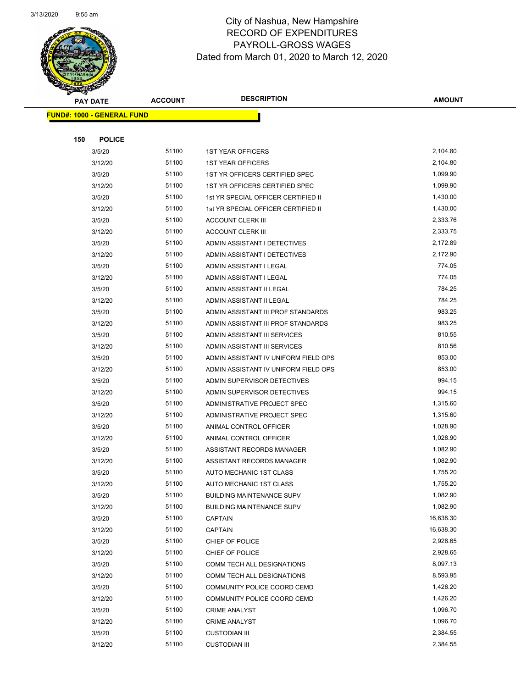

Page 48 of 97

|     | <b>PAY DATE</b>                   | <b>ACCOUNT</b> | <b>DESCRIPTION</b>                   | <b>AMOUNT</b> |
|-----|-----------------------------------|----------------|--------------------------------------|---------------|
|     | <b>FUND#: 1000 - GENERAL FUND</b> |                |                                      |               |
|     |                                   |                |                                      |               |
| 150 | <b>POLICE</b>                     |                |                                      |               |
|     | 3/5/20                            | 51100          | <b>1ST YEAR OFFICERS</b>             | 2,104.80      |
|     | 3/12/20                           | 51100          | <b>1ST YEAR OFFICERS</b>             | 2,104.80      |
|     | 3/5/20                            | 51100          | 1ST YR OFFICERS CERTIFIED SPEC       | 1,099.90      |
|     | 3/12/20                           | 51100          | 1ST YR OFFICERS CERTIFIED SPEC       | 1,099.90      |
|     | 3/5/20                            | 51100          | 1st YR SPECIAL OFFICER CERTIFIED II  | 1,430.00      |
|     | 3/12/20                           | 51100          | 1st YR SPECIAL OFFICER CERTIFIED II  | 1,430.00      |
|     | 3/5/20                            | 51100          | <b>ACCOUNT CLERK III</b>             | 2,333.76      |
|     | 3/12/20                           | 51100          | <b>ACCOUNT CLERK III</b>             | 2,333.75      |
|     | 3/5/20                            | 51100          | ADMIN ASSISTANT I DETECTIVES         | 2,172.89      |
|     | 3/12/20                           | 51100          | ADMIN ASSISTANT I DETECTIVES         | 2,172.90      |
|     | 3/5/20                            | 51100          | ADMIN ASSISTANT I LEGAL              | 774.05        |
|     | 3/12/20                           | 51100          | ADMIN ASSISTANT I LEGAL              | 774.05        |
|     | 3/5/20                            | 51100          | ADMIN ASSISTANT II LEGAL             | 784.25        |
|     | 3/12/20                           | 51100          | ADMIN ASSISTANT II LEGAL             | 784.25        |
|     | 3/5/20                            | 51100          | ADMIN ASSISTANT III PROF STANDARDS   | 983.25        |
|     | 3/12/20                           | 51100          | ADMIN ASSISTANT III PROF STANDARDS   | 983.25        |
|     | 3/5/20                            | 51100          | ADMIN ASSISTANT III SERVICES         | 810.55        |
|     | 3/12/20                           | 51100          | ADMIN ASSISTANT III SERVICES         | 810.56        |
|     | 3/5/20                            | 51100          | ADMIN ASSISTANT IV UNIFORM FIELD OPS | 853.00        |
|     | 3/12/20                           | 51100          | ADMIN ASSISTANT IV UNIFORM FIELD OPS | 853.00        |
|     | 3/5/20                            | 51100          | ADMIN SUPERVISOR DETECTIVES          | 994.15        |
|     | 3/12/20                           | 51100          | ADMIN SUPERVISOR DETECTIVES          | 994.15        |
|     | 3/5/20                            | 51100          | ADMINISTRATIVE PROJECT SPEC          | 1,315.60      |
|     | 3/12/20                           | 51100          | ADMINISTRATIVE PROJECT SPEC          | 1,315.60      |
|     | 3/5/20                            | 51100          | ANIMAL CONTROL OFFICER               | 1,028.90      |
|     | 3/12/20                           | 51100          | ANIMAL CONTROL OFFICER               | 1,028.90      |
|     | 3/5/20                            | 51100          | ASSISTANT RECORDS MANAGER            | 1,082.90      |
|     | 3/12/20                           | 51100          | ASSISTANT RECORDS MANAGER            | 1,082.90      |
|     | 3/5/20                            | 51100          | AUTO MECHANIC 1ST CLASS              | 1,755.20      |
|     | 3/12/20                           | 51100          | AUTO MECHANIC 1ST CLASS              | 1,755.20      |
|     | 3/5/20                            | 51100          | <b>BUILDING MAINTENANCE SUPV</b>     | 1,082.90      |
|     | 3/12/20                           | 51100          | <b>BUILDING MAINTENANCE SUPV</b>     | 1,082.90      |
|     | 3/5/20                            | 51100          | <b>CAPTAIN</b>                       | 16,638.30     |
|     | 3/12/20                           | 51100          | <b>CAPTAIN</b>                       | 16,638.30     |
|     | 3/5/20                            | 51100          | CHIEF OF POLICE                      | 2,928.65      |
|     | 3/12/20                           | 51100          | CHIEF OF POLICE                      | 2,928.65      |
|     | 3/5/20                            | 51100          | COMM TECH ALL DESIGNATIONS           | 8,097.13      |
|     | 3/12/20                           | 51100          | COMM TECH ALL DESIGNATIONS           | 8,593.95      |
|     | 3/5/20                            | 51100          | COMMUNITY POLICE COORD CEMD          | 1,426.20      |
|     | 3/12/20                           | 51100          | COMMUNITY POLICE COORD CEMD          | 1,426.20      |
|     | 3/5/20                            | 51100          | <b>CRIME ANALYST</b>                 | 1,096.70      |
|     | 3/12/20                           | 51100          | <b>CRIME ANALYST</b>                 | 1,096.70      |
|     | 3/5/20                            | 51100          | <b>CUSTODIAN III</b>                 | 2,384.55      |
|     | 3/12/20                           | 51100          | <b>CUSTODIAN III</b>                 | 2,384.55      |
|     |                                   |                |                                      |               |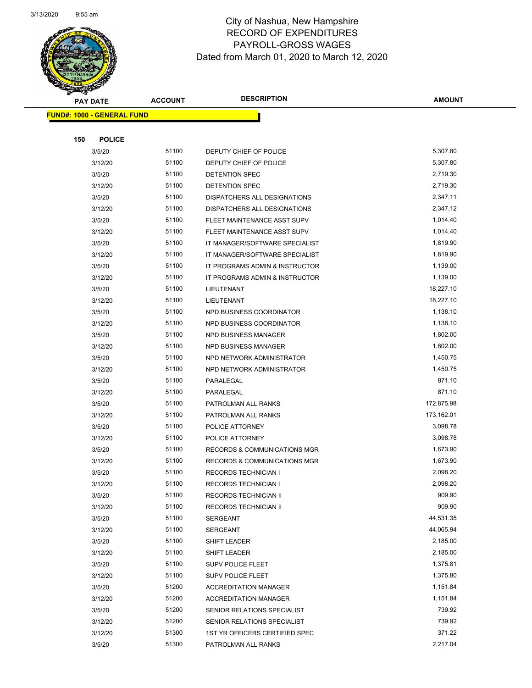

Page 49 of 97

|     | <b>PAY DATE</b>                   | <b>ACCOUNT</b> | <b>DESCRIPTION</b>                       | <b>AMOUNT</b>        |
|-----|-----------------------------------|----------------|------------------------------------------|----------------------|
|     | <b>FUND#: 1000 - GENERAL FUND</b> |                |                                          |                      |
|     |                                   |                |                                          |                      |
| 150 | <b>POLICE</b>                     |                |                                          |                      |
|     | 3/5/20                            | 51100          | DEPUTY CHIEF OF POLICE                   | 5,307.80             |
|     | 3/12/20                           | 51100          | DEPUTY CHIEF OF POLICE                   | 5,307.80             |
|     | 3/5/20                            | 51100          | DETENTION SPEC                           | 2,719.30             |
|     | 3/12/20                           | 51100          | <b>DETENTION SPEC</b>                    | 2,719.30             |
|     | 3/5/20                            | 51100          | <b>DISPATCHERS ALL DESIGNATIONS</b>      | 2,347.11             |
|     | 3/12/20                           | 51100          | DISPATCHERS ALL DESIGNATIONS             | 2,347.12             |
|     | 3/5/20                            | 51100          | FLEET MAINTENANCE ASST SUPV              | 1,014.40             |
|     | 3/12/20                           | 51100          | FLEET MAINTENANCE ASST SUPV              | 1,014.40             |
|     | 3/5/20                            | 51100          | IT MANAGER/SOFTWARE SPECIALIST           | 1,819.90             |
|     | 3/12/20                           | 51100          | IT MANAGER/SOFTWARE SPECIALIST           | 1,819.90             |
|     | 3/5/20                            | 51100          | IT PROGRAMS ADMIN & INSTRUCTOR           | 1,139.00             |
|     | 3/12/20                           | 51100          | IT PROGRAMS ADMIN & INSTRUCTOR           | 1,139.00             |
|     | 3/5/20                            | 51100          | LIEUTENANT                               | 18,227.10            |
|     | 3/12/20                           | 51100          | LIEUTENANT                               | 18,227.10            |
|     | 3/5/20                            | 51100          | NPD BUSINESS COORDINATOR                 | 1,138.10             |
|     | 3/12/20                           | 51100          | NPD BUSINESS COORDINATOR                 | 1,138.10             |
|     | 3/5/20                            | 51100          | <b>NPD BUSINESS MANAGER</b>              | 1,802.00             |
|     | 3/12/20                           | 51100          | NPD BUSINESS MANAGER                     | 1,802.00             |
|     | 3/5/20                            | 51100          | NPD NETWORK ADMINISTRATOR                | 1,450.75             |
|     | 3/12/20                           | 51100          | NPD NETWORK ADMINISTRATOR                | 1,450.75             |
|     | 3/5/20                            | 51100          | PARALEGAL                                | 871.10               |
|     | 3/12/20                           | 51100          | PARALEGAL                                | 871.10               |
|     | 3/5/20                            | 51100          | PATROLMAN ALL RANKS                      | 172,875.98           |
|     | 3/12/20                           | 51100          | PATROLMAN ALL RANKS                      | 173,162.01           |
|     | 3/5/20                            | 51100          | POLICE ATTORNEY                          | 3,098.78             |
|     | 3/12/20                           | 51100          | POLICE ATTORNEY                          | 3,098.78             |
|     | 3/5/20                            | 51100          | <b>RECORDS &amp; COMMUNICATIONS MGR</b>  | 1,673.90             |
|     | 3/12/20                           | 51100          | <b>RECORDS &amp; COMMUNICATIONS MGR</b>  | 1,673.90             |
|     | 3/5/20                            | 51100          | <b>RECORDS TECHNICIAN I</b>              | 2,098.20<br>2,098.20 |
|     | 3/12/20                           | 51100          | RECORDS TECHNICIAN I                     | 909.90               |
|     | 3/5/20<br>3/12/20                 | 51100<br>51100 | RECORDS TECHNICIAN II                    | 909.90               |
|     | 3/5/20                            | 51100          | RECORDS TECHNICIAN II<br><b>SERGEANT</b> | 44,531.35            |
|     | 3/12/20                           | 51100          | <b>SERGEANT</b>                          | 44,065.94            |
|     | 3/5/20                            | 51100          | SHIFT LEADER                             | 2,185.00             |
|     | 3/12/20                           | 51100          | SHIFT LEADER                             | 2,185.00             |
|     | 3/5/20                            | 51100          | SUPV POLICE FLEET                        | 1,375.81             |
|     | 3/12/20                           | 51100          | SUPV POLICE FLEET                        | 1,375.80             |
|     | 3/5/20                            | 51200          | <b>ACCREDITATION MANAGER</b>             | 1,151.84             |
|     | 3/12/20                           | 51200          | <b>ACCREDITATION MANAGER</b>             | 1,151.84             |
|     | 3/5/20                            | 51200          | SENIOR RELATIONS SPECIALIST              | 739.92               |
|     | 3/12/20                           | 51200          | SENIOR RELATIONS SPECIALIST              | 739.92               |
|     | 3/12/20                           | 51300          | 1ST YR OFFICERS CERTIFIED SPEC           | 371.22               |
|     | 3/5/20                            | 51300          | PATROLMAN ALL RANKS                      | 2,217.04             |
|     |                                   |                |                                          |                      |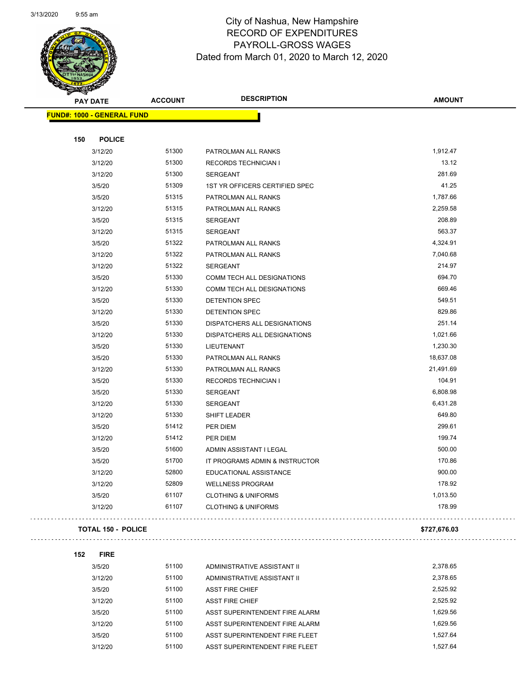

Page 50 of 97

| <b>SARGA</b>                      |                |                                   |                  |  |
|-----------------------------------|----------------|-----------------------------------|------------------|--|
| <b>PAY DATE</b>                   | <b>ACCOUNT</b> | <b>DESCRIPTION</b>                | <b>AMOUNT</b>    |  |
| <b>FUND#: 1000 - GENERAL FUND</b> |                |                                   |                  |  |
|                                   |                |                                   |                  |  |
| 150<br><b>POLICE</b>              |                |                                   |                  |  |
| 3/12/20                           | 51300          | PATROLMAN ALL RANKS               | 1,912.47         |  |
| 3/12/20                           | 51300          | <b>RECORDS TECHNICIAN I</b>       | 13.12            |  |
| 3/12/20                           | 51300          | <b>SERGEANT</b>                   | 281.69           |  |
| 3/5/20                            | 51309          | 1ST YR OFFICERS CERTIFIED SPEC    | 41.25            |  |
| 3/5/20                            | 51315          | PATROLMAN ALL RANKS               | 1,787.66         |  |
| 3/12/20                           | 51315          | PATROLMAN ALL RANKS               | 2,259.58         |  |
| 3/5/20                            | 51315          | <b>SERGEANT</b>                   | 208.89           |  |
| 3/12/20                           | 51315          | <b>SERGEANT</b>                   | 563.37           |  |
| 3/5/20                            | 51322          | PATROLMAN ALL RANKS               | 4,324.91         |  |
| 3/12/20                           | 51322          | PATROLMAN ALL RANKS               | 7,040.68         |  |
| 3/12/20                           | 51322          | <b>SERGEANT</b>                   | 214.97           |  |
| 3/5/20                            | 51330          | COMM TECH ALL DESIGNATIONS        | 694.70           |  |
| 3/12/20                           | 51330          | <b>COMM TECH ALL DESIGNATIONS</b> | 669.46           |  |
| 3/5/20                            | 51330          | DETENTION SPEC                    | 549.51           |  |
| 3/12/20                           | 51330          | <b>DETENTION SPEC</b>             | 829.86           |  |
| 3/5/20                            | 51330          | DISPATCHERS ALL DESIGNATIONS      | 251.14           |  |
| 3/12/20                           | 51330          | DISPATCHERS ALL DESIGNATIONS      | 1,021.66         |  |
| 3/5/20                            | 51330          | LIEUTENANT                        | 1,230.30         |  |
| 3/5/20                            | 51330          | PATROLMAN ALL RANKS               | 18,637.08        |  |
| 3/12/20                           | 51330          | PATROLMAN ALL RANKS               | 21,491.69        |  |
| 3/5/20                            | 51330          | <b>RECORDS TECHNICIAN I</b>       | 104.91           |  |
| 3/5/20                            | 51330          | <b>SERGEANT</b>                   | 6,808.98         |  |
| 3/12/20                           | 51330          | <b>SERGEANT</b>                   | 6,431.28         |  |
| 3/12/20                           | 51330          | SHIFT LEADER                      | 649.80           |  |
|                                   | 51412          |                                   | 299.61           |  |
| 3/5/20                            | 51412          | PER DIEM<br>PER DIEM              | 199.74           |  |
| 3/12/20                           | 51600          |                                   | 500.00           |  |
| 3/5/20                            |                | ADMIN ASSISTANT I LEGAL           |                  |  |
| 3/5/20                            | 51700<br>52800 | IT PROGRAMS ADMIN & INSTRUCTOR    | 170.86<br>900.00 |  |
| 3/12/20                           | 52809          | EDUCATIONAL ASSISTANCE            | 178.92           |  |
| 3/12/20                           | 61107          | <b>WELLNESS PROGRAM</b>           |                  |  |
| 3/5/20                            |                | <b>CLOTHING &amp; UNIFORMS</b>    | 1,013.50         |  |
| 3/12/20                           | 61107          | <b>CLOTHING &amp; UNIFORMS</b>    | 178.99           |  |
| TOTAL 150 - POLICE                |                |                                   | \$727,676.03     |  |
| 152<br><b>FIRE</b>                |                |                                   |                  |  |
| 3/5/20                            | 51100          | ADMINISTRATIVE ASSISTANT II       | 2,378.65         |  |
| 3/12/20                           | 51100          | ADMINISTRATIVE ASSISTANT II       | 2,378.65         |  |
| 3/5/20                            | 51100          | <b>ASST FIRE CHIEF</b>            | 2,525.92         |  |
| 3/12/20                           | 51100          | <b>ASST FIRE CHIEF</b>            | 2,525.92         |  |
| 3/5/20                            | 51100          | ASST SUPERINTENDENT FIRE ALARM    | 1,629.56         |  |
| 3/12/20                           | 51100          | ASST SUPERINTENDENT FIRE ALARM    | 1,629.56         |  |
| 3/5/20                            | 51100          | ASST SUPERINTENDENT FIRE FLEET    | 1,527.64         |  |
| 3/12/20                           | 51100          | ASST SUPERINTENDENT FIRE FLEET    | 1,527.64         |  |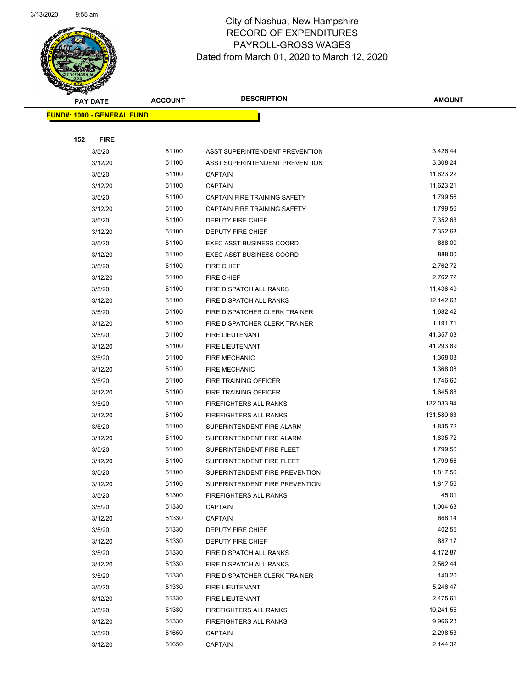

Page 51 of 97

| $\tilde{\phantom{a}}$<br><b>PAY DATE</b> | <b>ACCOUNT</b> | <b>DESCRIPTION</b>                           | <b>AMOUNT</b>    |
|------------------------------------------|----------------|----------------------------------------------|------------------|
| <b>FUND#: 1000 - GENERAL FUND</b>        |                |                                              |                  |
|                                          |                |                                              |                  |
| 152<br><b>FIRE</b>                       |                |                                              |                  |
| 3/5/20                                   | 51100          | ASST SUPERINTENDENT PREVENTION               | 3,426.44         |
| 3/12/20                                  | 51100          | ASST SUPERINTENDENT PREVENTION               | 3,308.24         |
| 3/5/20                                   | 51100          | <b>CAPTAIN</b>                               | 11,623.22        |
| 3/12/20                                  | 51100          | <b>CAPTAIN</b>                               | 11,623.21        |
| 3/5/20                                   | 51100          | CAPTAIN FIRE TRAINING SAFETY                 | 1,799.56         |
| 3/12/20                                  | 51100          | CAPTAIN FIRE TRAINING SAFETY                 | 1,799.56         |
| 3/5/20                                   | 51100          | DEPUTY FIRE CHIEF                            | 7,352.63         |
| 3/12/20                                  | 51100          | DEPUTY FIRE CHIEF                            | 7,352.63         |
| 3/5/20                                   | 51100          | <b>EXEC ASST BUSINESS COORD</b>              | 888.00           |
| 3/12/20                                  | 51100          | <b>EXEC ASST BUSINESS COORD</b>              | 888.00           |
| 3/5/20                                   | 51100          | FIRE CHIEF                                   | 2,762.72         |
| 3/12/20                                  | 51100          | FIRE CHIEF                                   | 2,762.72         |
| 3/5/20                                   | 51100          | FIRE DISPATCH ALL RANKS                      | 11,436.49        |
| 3/12/20                                  | 51100          | FIRE DISPATCH ALL RANKS                      | 12,142.68        |
| 3/5/20                                   | 51100          | FIRE DISPATCHER CLERK TRAINER                | 1,682.42         |
| 3/12/20                                  | 51100          | FIRE DISPATCHER CLERK TRAINER                | 1,191.71         |
| 3/5/20                                   | 51100          | FIRE LIEUTENANT                              | 41,357.03        |
| 3/12/20                                  | 51100          | <b>FIRE LIEUTENANT</b>                       | 41,293.89        |
| 3/5/20                                   | 51100          | <b>FIRE MECHANIC</b>                         | 1,368.08         |
| 3/12/20                                  | 51100          | <b>FIRE MECHANIC</b>                         | 1,368.08         |
| 3/5/20                                   | 51100          | FIRE TRAINING OFFICER                        | 1,746.60         |
| 3/12/20                                  | 51100          | FIRE TRAINING OFFICER                        | 1,645.88         |
| 3/5/20                                   | 51100          | FIREFIGHTERS ALL RANKS                       | 132,033.94       |
| 3/12/20                                  | 51100          | <b>FIREFIGHTERS ALL RANKS</b>                | 131,580.63       |
| 3/5/20                                   | 51100          | SUPERINTENDENT FIRE ALARM                    | 1,835.72         |
| 3/12/20                                  | 51100          | SUPERINTENDENT FIRE ALARM                    | 1,835.72         |
| 3/5/20                                   | 51100          | SUPERINTENDENT FIRE FLEET                    | 1,799.56         |
| 3/12/20                                  | 51100          | SUPERINTENDENT FIRE FLEET                    | 1,799.56         |
| 3/5/20                                   | 51100          | SUPERINTENDENT FIRE PREVENTION               | 1,817.56         |
| 3/12/20                                  | 51100          | SUPERINTENDENT FIRE PREVENTION               | 1,817.56         |
| 3/5/20                                   | 51300          | FIREFIGHTERS ALL RANKS                       | 45.01            |
| 3/5/20                                   | 51330          | <b>CAPTAIN</b>                               | 1,004.63         |
| 3/12/20                                  | 51330          | <b>CAPTAIN</b>                               | 668.14<br>402.55 |
| 3/5/20                                   | 51330<br>51330 | DEPUTY FIRE CHIEF                            | 887.17           |
| 3/12/20                                  | 51330          | DEPUTY FIRE CHIEF<br>FIRE DISPATCH ALL RANKS | 4,172.87         |
| 3/5/20<br>3/12/20                        | 51330          | FIRE DISPATCH ALL RANKS                      | 2,562.44         |
| 3/5/20                                   | 51330          | FIRE DISPATCHER CLERK TRAINER                | 140.20           |
| 3/5/20                                   | 51330          | FIRE LIEUTENANT                              | 5,246.47         |
| 3/12/20                                  | 51330          | FIRE LIEUTENANT                              | 2,475.61         |
| 3/5/20                                   | 51330          | FIREFIGHTERS ALL RANKS                       | 10,241.55        |
| 3/12/20                                  | 51330          | FIREFIGHTERS ALL RANKS                       | 9,966.23         |
| 3/5/20                                   | 51650          | <b>CAPTAIN</b>                               | 2,298.53         |
| 3/12/20                                  | 51650          | <b>CAPTAIN</b>                               | 2,144.32         |
|                                          |                |                                              |                  |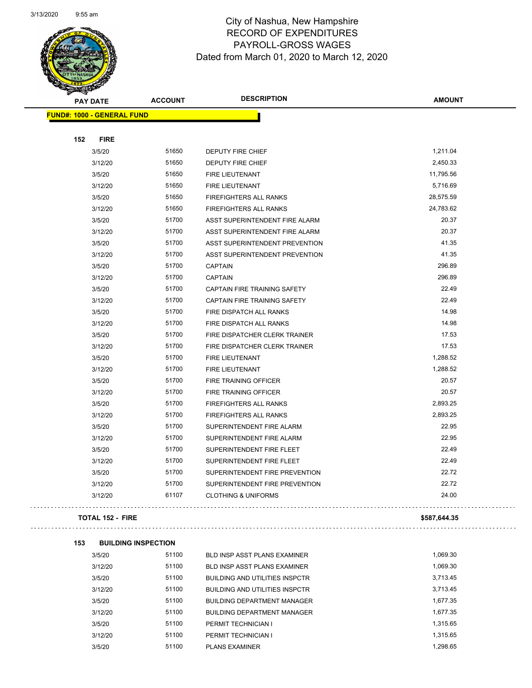and the contract of the contract of the contract of the contract of the contract of the contract of the contract of the contract of the contract of the contract of the contract of the contract of the contract of the contra



# City of Nashua, New Hampshire RECORD OF EXPENDITURES PAYROLL-GROSS WAGES Dated from March 01, 2020 to March 12, 2020

Page 52 of 97

| <b>SANGRA</b>                     |                |                                       |               |
|-----------------------------------|----------------|---------------------------------------|---------------|
| <b>PAY DATE</b>                   | <b>ACCOUNT</b> | <b>DESCRIPTION</b>                    | <b>AMOUNT</b> |
| <b>FUND#: 1000 - GENERAL FUND</b> |                |                                       |               |
|                                   |                |                                       |               |
| <b>FIRE</b><br>152                |                |                                       |               |
| 3/5/20                            | 51650          | <b>DEPUTY FIRE CHIEF</b>              | 1,211.04      |
| 3/12/20                           | 51650          | DEPUTY FIRE CHIEF                     | 2,450.33      |
| 3/5/20                            | 51650          | <b>FIRE LIEUTENANT</b>                | 11,795.56     |
| 3/12/20                           | 51650          | <b>FIRE LIEUTENANT</b>                | 5,716.69      |
| 3/5/20                            | 51650          | <b>FIREFIGHTERS ALL RANKS</b>         | 28,575.59     |
| 3/12/20                           | 51650          | <b>FIREFIGHTERS ALL RANKS</b>         | 24,783.62     |
| 3/5/20                            | 51700          | ASST SUPERINTENDENT FIRE ALARM        | 20.37         |
| 3/12/20                           | 51700          | ASST SUPERINTENDENT FIRE ALARM        | 20.37         |
| 3/5/20                            | 51700          | ASST SUPERINTENDENT PREVENTION        | 41.35         |
| 3/12/20                           | 51700          | ASST SUPERINTENDENT PREVENTION        | 41.35         |
| 3/5/20                            | 51700          | <b>CAPTAIN</b>                        | 296.89        |
| 3/12/20                           | 51700          | <b>CAPTAIN</b>                        | 296.89        |
| 3/5/20                            | 51700          | CAPTAIN FIRE TRAINING SAFETY          | 22.49         |
| 3/12/20                           | 51700          | <b>CAPTAIN FIRE TRAINING SAFETY</b>   | 22.49         |
| 3/5/20                            | 51700          | FIRE DISPATCH ALL RANKS               | 14.98         |
| 3/12/20                           | 51700          | FIRE DISPATCH ALL RANKS               | 14.98         |
| 3/5/20                            | 51700          | FIRE DISPATCHER CLERK TRAINER         | 17.53         |
| 3/12/20                           | 51700          | FIRE DISPATCHER CLERK TRAINER         | 17.53         |
| 3/5/20                            | 51700          | FIRE LIEUTENANT                       | 1,288.52      |
| 3/12/20                           | 51700          | FIRE LIEUTENANT                       | 1,288.52      |
| 3/5/20                            | 51700          | FIRE TRAINING OFFICER                 | 20.57         |
| 3/12/20                           | 51700          | FIRE TRAINING OFFICER                 | 20.57         |
| 3/5/20                            | 51700          | <b>FIREFIGHTERS ALL RANKS</b>         | 2,893.25      |
| 3/12/20                           | 51700          | <b>FIREFIGHTERS ALL RANKS</b>         | 2,893.25      |
| 3/5/20                            | 51700          | SUPERINTENDENT FIRE ALARM             | 22.95         |
| 3/12/20                           | 51700          | SUPERINTENDENT FIRE ALARM             | 22.95         |
| 3/5/20                            | 51700          | SUPERINTENDENT FIRE FLEET             | 22.49         |
| 3/12/20                           | 51700          | SUPERINTENDENT FIRE FLEET             | 22.49         |
| 3/5/20                            | 51700          | SUPERINTENDENT FIRE PREVENTION        | 22.72         |
| 3/12/20                           | 51700          | SUPERINTENDENT FIRE PREVENTION        | 22.72         |
| 3/12/20                           | 61107          | <b>CLOTHING &amp; UNIFORMS</b>        | 24.00         |
|                                   |                |                                       |               |
| <b>TOTAL 152 - FIRE</b>           |                |                                       | \$587,644.35  |
| 153<br><b>BUILDING INSPECTION</b> |                |                                       |               |
| 3/5/20                            | 51100          | BLD INSP ASST PLANS EXAMINER          | 1,069.30      |
| 3/12/20                           | 51100          | <b>BLD INSP ASST PLANS EXAMINER</b>   | 1,069.30      |
| 3/5/20                            | 51100          | <b>BUILDING AND UTILITIES INSPCTR</b> | 3,713.45      |
| 3/12/20                           | 51100          | <b>BUILDING AND UTILITIES INSPCTR</b> | 3,713.45      |
| 3/5/20                            | 51100          | <b>BUILDING DEPARTMENT MANAGER</b>    | 1,677.35      |
| 3/12/20                           | 51100          | <b>BUILDING DEPARTMENT MANAGER</b>    | 1,677.35      |
| 3/5/20                            | 51100          | PERMIT TECHNICIAN I                   | 1,315.65      |
|                                   |                |                                       |               |

3/12/20 51100 PERMIT TECHNICIAN I 1,315.65 3/5/20 51100 PLANS EXAMINER 1,298.65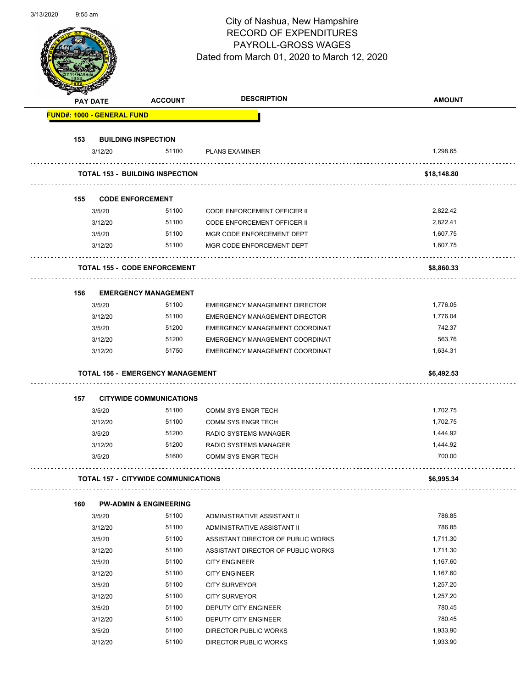Page 53 of 97

|                                   | <b>PAY DATE</b>   | <b>ACCOUNT</b>                             | <b>DESCRIPTION</b>                   | <b>AMOUNT</b> |
|-----------------------------------|-------------------|--------------------------------------------|--------------------------------------|---------------|
| <b>FUND#: 1000 - GENERAL FUND</b> |                   |                                            |                                      |               |
|                                   |                   |                                            |                                      |               |
| 153                               |                   | <b>BUILDING INSPECTION</b>                 |                                      |               |
|                                   | 3/12/20           | 51100                                      | <b>PLANS EXAMINER</b>                | 1,298.65      |
|                                   |                   | <b>TOTAL 153 - BUILDING INSPECTION</b>     |                                      | \$18,148.80   |
| 155                               |                   | <b>CODE ENFORCEMENT</b>                    |                                      |               |
|                                   | 3/5/20            | 51100                                      | CODE ENFORCEMENT OFFICER II          | 2,822.42      |
|                                   | 3/12/20           | 51100                                      | <b>CODE ENFORCEMENT OFFICER II</b>   | 2,822.41      |
|                                   | 3/5/20            | 51100                                      | MGR CODE ENFORCEMENT DEPT            | 1,607.75      |
|                                   | 3/12/20           | 51100                                      | MGR CODE ENFORCEMENT DEPT            | 1.607.75      |
|                                   |                   | <b>TOTAL 155 - CODE ENFORCEMENT</b>        |                                      | \$8,860.33    |
| 156                               |                   | <b>EMERGENCY MANAGEMENT</b>                |                                      |               |
|                                   | 3/5/20            | 51100                                      | <b>EMERGENCY MANAGEMENT DIRECTOR</b> | 1,776.05      |
|                                   | 3/12/20           | 51100                                      | <b>EMERGENCY MANAGEMENT DIRECTOR</b> | 1,776.04      |
|                                   | 3/5/20            | 51200                                      | EMERGENCY MANAGEMENT COORDINAT       | 742.37        |
|                                   | 3/12/20           | 51200                                      | EMERGENCY MANAGEMENT COORDINAT       | 563.76        |
|                                   | 3/12/20           | 51750                                      | EMERGENCY MANAGEMENT COORDINAT       | 1,634.31      |
|                                   |                   | <b>TOTAL 156 - EMERGENCY MANAGEMENT</b>    |                                      | \$6,492.53    |
| 157                               |                   | <b>CITYWIDE COMMUNICATIONS</b>             |                                      |               |
|                                   | 3/5/20            | 51100                                      | <b>COMM SYS ENGR TECH</b>            | 1,702.75      |
|                                   | 3/12/20           | 51100                                      | <b>COMM SYS ENGR TECH</b>            | 1,702.75      |
|                                   | 3/5/20            | 51200                                      | <b>RADIO SYSTEMS MANAGER</b>         | 1,444.92      |
|                                   | 3/12/20           | 51200                                      | RADIO SYSTEMS MANAGER                | 1,444.92      |
|                                   | 3/5/20            | 51600                                      | <b>COMM SYS ENGR TECH</b>            | 700.00        |
|                                   |                   | <b>TOTAL 157 - CITYWIDE COMMUNICATIONS</b> |                                      | \$6,995.34    |
| 160                               |                   | <b>PW-ADMIN &amp; ENGINEERING</b>          |                                      |               |
|                                   | 3/5/20            | 51100                                      | ADMINISTRATIVE ASSISTANT II          | 786.85        |
|                                   | 3/12/20           | 51100                                      | ADMINISTRATIVE ASSISTANT II          | 786.85        |
|                                   | 3/5/20            | 51100                                      | ASSISTANT DIRECTOR OF PUBLIC WORKS   | 1,711.30      |
|                                   | 3/12/20           | 51100                                      | ASSISTANT DIRECTOR OF PUBLIC WORKS   | 1,711.30      |
|                                   | 3/5/20            | 51100                                      | <b>CITY ENGINEER</b>                 | 1,167.60      |
|                                   | 3/12/20           | 51100                                      | <b>CITY ENGINEER</b>                 | 1,167.60      |
|                                   | 3/5/20            | 51100                                      | <b>CITY SURVEYOR</b>                 | 1,257.20      |
|                                   | 3/12/20           | 51100                                      | <b>CITY SURVEYOR</b>                 | 1,257.20      |
|                                   | 3/5/20            | 51100                                      | DEPUTY CITY ENGINEER                 | 780.45        |
|                                   |                   | 51100                                      | DEPUTY CITY ENGINEER                 | 780.45        |
|                                   |                   |                                            |                                      |               |
|                                   | 3/12/20<br>3/5/20 | 51100                                      | DIRECTOR PUBLIC WORKS                | 1,933.90      |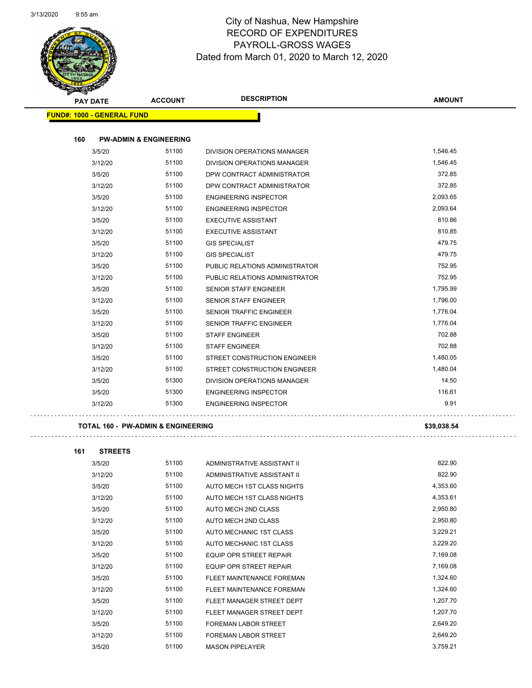Ğ,

. . . . . . . . . . .



# City of Nashua, New Hampshire RECORD OF EXPENDITURES PAYROLL-GROSS WAGES Dated from March 01, 2020 to March 12, 2020

Page 54 of 97

| <b>PAY DATE</b>                   | <b>ACCOUNT</b>                    | <b>DESCRIPTION</b>                 | <b>AMOUNT</b> |
|-----------------------------------|-----------------------------------|------------------------------------|---------------|
| <b>FUND#: 1000 - GENERAL FUND</b> |                                   |                                    |               |
| 160                               | <b>PW-ADMIN &amp; ENGINEERING</b> |                                    |               |
| 3/5/20                            | 51100                             | DIVISION OPERATIONS MANAGER        | 1,546.45      |
| 3/12/20                           | 51100                             | <b>DIVISION OPERATIONS MANAGER</b> | 1,546.45      |
| 3/5/20                            | 51100                             | DPW CONTRACT ADMINISTRATOR         | 372.85        |
| 3/12/20                           | 51100                             | DPW CONTRACT ADMINISTRATOR         | 372.85        |
| 3/5/20                            | 51100                             | <b>ENGINEERING INSPECTOR</b>       | 2,093.65      |
| 3/12/20                           | 51100                             | <b>ENGINEERING INSPECTOR</b>       | 2,093.64      |
| 3/5/20                            | 51100                             | <b>EXECUTIVE ASSISTANT</b>         | 810.86        |
| 3/12/20                           | 51100                             | <b>EXECUTIVE ASSISTANT</b>         | 810.85        |
| 3/5/20                            | 51100                             | <b>GIS SPECIALIST</b>              | 479.75        |
| 3/12/20                           | 51100                             | <b>GIS SPECIALIST</b>              | 479.75        |
| 3/5/20                            | 51100                             | PUBLIC RELATIONS ADMINISTRATOR     | 752.95        |
| 3/12/20                           | 51100                             | PUBLIC RELATIONS ADMINISTRATOR     | 752.95        |
| 3/5/20                            | 51100                             | <b>SENIOR STAFF ENGINEER</b>       | 1,795.99      |
| 3/12/20                           | 51100                             | <b>SENIOR STAFF ENGINEER</b>       | 1,796.00      |
| 3/5/20                            | 51100                             | <b>SENIOR TRAFFIC ENGINEER</b>     | 1,776.04      |
| 3/12/20                           | 51100                             | <b>SENIOR TRAFFIC ENGINEER</b>     | 1,776.04      |
| 3/5/20                            | 51100                             | <b>STAFF ENGINEER</b>              | 702.88        |
| 3/12/20                           | 51100                             | <b>STAFF ENGINEER</b>              | 702.88        |
| 3/5/20                            | 51100                             | STREET CONSTRUCTION ENGINEER       | 1,480.05      |
| 3/12/20                           | 51100                             | STREET CONSTRUCTION ENGINEER       | 1,480.04      |
| 3/5/20                            | 51300                             | <b>DIVISION OPERATIONS MANAGER</b> | 14.50         |
| 3/5/20                            | 51300                             | <b>ENGINEERING INSPECTOR</b>       | 116.61        |
| 3/12/20                           | 51300                             | <b>ENGINEERING INSPECTOR</b>       | 9.91          |

#### **TOTAL 160 - PW-ADMIN & ENGINEERING \$39,038.54**

. . . . . . . . . . . . . .

 $\mathbb{Z}^2$  ,  $\mathbb{Z}^2$  ,

| 161 | <b>STREETS</b> |       |                                |          |
|-----|----------------|-------|--------------------------------|----------|
|     | 3/5/20         | 51100 | ADMINISTRATIVE ASSISTANT II    | 822.90   |
|     | 3/12/20        | 51100 | ADMINISTRATIVE ASSISTANT II    | 822.90   |
|     | 3/5/20         | 51100 | AUTO MECH 1ST CLASS NIGHTS     | 4,353.60 |
|     | 3/12/20        | 51100 | AUTO MECH 1ST CLASS NIGHTS     | 4,353.61 |
|     | 3/5/20         | 51100 | AUTO MECH 2ND CLASS            | 2,950.80 |
|     | 3/12/20        | 51100 | AUTO MECH 2ND CLASS            | 2,950.80 |
|     | 3/5/20         | 51100 | AUTO MECHANIC 1ST CLASS        | 3,229.21 |
|     | 3/12/20        | 51100 | AUTO MECHANIC 1ST CLASS        | 3,229.20 |
|     | 3/5/20         | 51100 | <b>EQUIP OPR STREET REPAIR</b> | 7,169.08 |
|     | 3/12/20        | 51100 | <b>EQUIP OPR STREET REPAIR</b> | 7,169.08 |
|     | 3/5/20         | 51100 | FLEET MAINTENANCE FOREMAN      | 1,324.60 |
|     | 3/12/20        | 51100 | FLEET MAINTENANCE FOREMAN      | 1,324.60 |
|     | 3/5/20         | 51100 | FLEET MANAGER STREET DEPT      | 1,207.70 |
|     | 3/12/20        | 51100 | FLEET MANAGER STREET DEPT      | 1,207.70 |
|     | 3/5/20         | 51100 | <b>FOREMAN LABOR STREET</b>    | 2,649.20 |
|     | 3/12/20        | 51100 | <b>FOREMAN LABOR STREET</b>    | 2,649.20 |
|     | 3/5/20         | 51100 | <b>MASON PIPELAYER</b>         | 3,759.21 |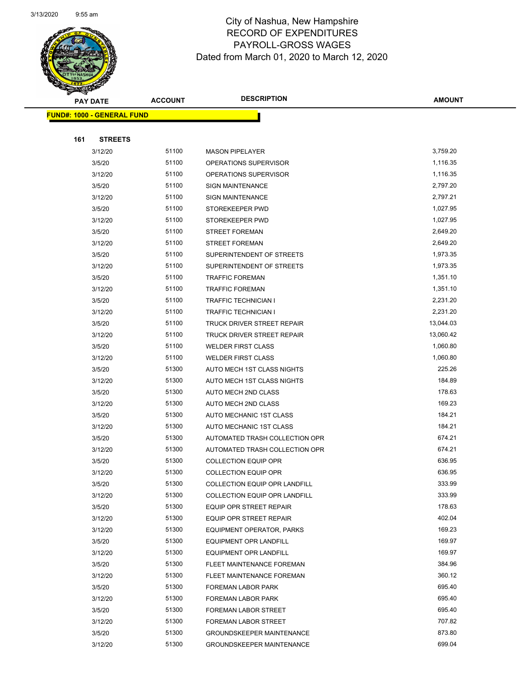

Page 55 of 97

| <b>PAY DATE</b>                   | <b>ACCOUNT</b> | <b>DESCRIPTION</b>               | <b>AMOUNT</b> |
|-----------------------------------|----------------|----------------------------------|---------------|
| <b>FUND#: 1000 - GENERAL FUND</b> |                |                                  |               |
|                                   |                |                                  |               |
| 161<br><b>STREETS</b>             |                |                                  |               |
| 3/12/20                           | 51100          | <b>MASON PIPELAYER</b>           | 3,759.20      |
| 3/5/20                            | 51100          | OPERATIONS SUPERVISOR            | 1,116.35      |
| 3/12/20                           | 51100          | OPERATIONS SUPERVISOR            | 1,116.35      |
| 3/5/20                            | 51100          | <b>SIGN MAINTENANCE</b>          | 2,797.20      |
| 3/12/20                           | 51100          | <b>SIGN MAINTENANCE</b>          | 2,797.21      |
| 3/5/20                            | 51100          | STOREKEEPER PWD                  | 1,027.95      |
| 3/12/20                           | 51100          | STOREKEEPER PWD                  | 1,027.95      |
| 3/5/20                            | 51100          | <b>STREET FOREMAN</b>            | 2,649.20      |
| 3/12/20                           | 51100          | <b>STREET FOREMAN</b>            | 2,649.20      |
| 3/5/20                            | 51100          | SUPERINTENDENT OF STREETS        | 1,973.35      |
| 3/12/20                           | 51100          | SUPERINTENDENT OF STREETS        | 1,973.35      |
| 3/5/20                            | 51100          | <b>TRAFFIC FOREMAN</b>           | 1,351.10      |
| 3/12/20                           | 51100          | <b>TRAFFIC FOREMAN</b>           | 1,351.10      |
| 3/5/20                            | 51100          | TRAFFIC TECHNICIAN I             | 2,231.20      |
| 3/12/20                           | 51100          | <b>TRAFFIC TECHNICIAN I</b>      | 2,231.20      |
| 3/5/20                            | 51100          | TRUCK DRIVER STREET REPAIR       | 13,044.03     |
| 3/12/20                           | 51100          | TRUCK DRIVER STREET REPAIR       | 13,060.42     |
| 3/5/20                            | 51100          | <b>WELDER FIRST CLASS</b>        | 1,060.80      |
| 3/12/20                           | 51100          | <b>WELDER FIRST CLASS</b>        | 1,060.80      |
| 3/5/20                            | 51300          | AUTO MECH 1ST CLASS NIGHTS       | 225.26        |
| 3/12/20                           | 51300          | AUTO MECH 1ST CLASS NIGHTS       | 184.89        |
| 3/5/20                            | 51300          | AUTO MECH 2ND CLASS              | 178.63        |
| 3/12/20                           | 51300          | AUTO MECH 2ND CLASS              | 169.23        |
| 3/5/20                            | 51300          | AUTO MECHANIC 1ST CLASS          | 184.21        |
| 3/12/20                           | 51300          | AUTO MECHANIC 1ST CLASS          | 184.21        |
| 3/5/20                            | 51300          | AUTOMATED TRASH COLLECTION OPR   | 674.21        |
| 3/12/20                           | 51300          | AUTOMATED TRASH COLLECTION OPR   | 674.21        |
| 3/5/20                            | 51300          | <b>COLLECTION EQUIP OPR</b>      | 636.95        |
| 3/12/20                           | 51300          | <b>COLLECTION EQUIP OPR</b>      | 636.95        |
| 3/5/20                            | 51300          | COLLECTION EQUIP OPR LANDFILL    | 333.99        |
| 3/12/20                           | 51300          | COLLECTION EQUIP OPR LANDFILL    | 333.99        |
| 3/5/20                            | 51300          | <b>EQUIP OPR STREET REPAIR</b>   | 178.63        |
| 3/12/20                           | 51300          | EQUIP OPR STREET REPAIR          | 402.04        |
| 3/12/20                           | 51300          | EQUIPMENT OPERATOR, PARKS        | 169.23        |
| 3/5/20                            | 51300          | EQUIPMENT OPR LANDFILL           | 169.97        |
| 3/12/20                           | 51300          | EQUIPMENT OPR LANDFILL           | 169.97        |
| 3/5/20                            | 51300          | FLEET MAINTENANCE FOREMAN        | 384.96        |
| 3/12/20                           | 51300          | FLEET MAINTENANCE FOREMAN        | 360.12        |
| 3/5/20                            | 51300          | FOREMAN LABOR PARK               | 695.40        |
| 3/12/20                           | 51300          | FOREMAN LABOR PARK               | 695.40        |
| 3/5/20                            | 51300          | <b>FOREMAN LABOR STREET</b>      | 695.40        |
| 3/12/20                           | 51300          | FOREMAN LABOR STREET             | 707.82        |
| 3/5/20                            | 51300          | <b>GROUNDSKEEPER MAINTENANCE</b> | 873.80        |
| 3/12/20                           | 51300          | <b>GROUNDSKEEPER MAINTENANCE</b> | 699.04        |
|                                   |                |                                  |               |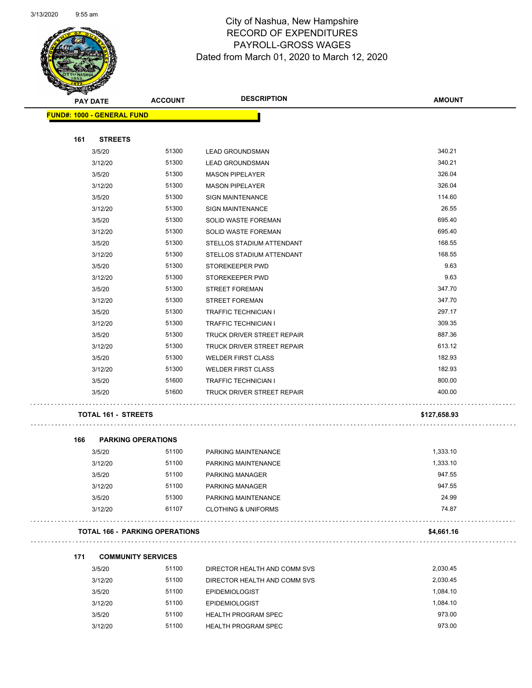

Page 56 of 97

| <b>SANGAN</b>                     |                            |                                       |                                |               |
|-----------------------------------|----------------------------|---------------------------------------|--------------------------------|---------------|
| <b>PAY DATE</b>                   |                            | <b>ACCOUNT</b>                        | <b>DESCRIPTION</b>             | <b>AMOUNT</b> |
| <b>FUND#: 1000 - GENERAL FUND</b> |                            |                                       |                                |               |
|                                   |                            |                                       |                                |               |
| 161                               | <b>STREETS</b>             |                                       |                                |               |
|                                   | 3/5/20                     | 51300                                 | <b>LEAD GROUNDSMAN</b>         | 340.21        |
|                                   | 3/12/20                    | 51300                                 | <b>LEAD GROUNDSMAN</b>         | 340.21        |
|                                   | 3/5/20                     | 51300                                 | <b>MASON PIPELAYER</b>         | 326.04        |
|                                   | 3/12/20                    | 51300                                 | <b>MASON PIPELAYER</b>         | 326.04        |
|                                   | 3/5/20                     | 51300                                 | <b>SIGN MAINTENANCE</b>        | 114.60        |
|                                   | 3/12/20                    | 51300                                 | <b>SIGN MAINTENANCE</b>        | 26.55         |
|                                   | 3/5/20                     | 51300                                 | SOLID WASTE FOREMAN            | 695.40        |
|                                   | 3/12/20                    | 51300                                 | SOLID WASTE FOREMAN            | 695.40        |
|                                   | 3/5/20                     | 51300                                 | STELLOS STADIUM ATTENDANT      | 168.55        |
|                                   | 3/12/20                    | 51300                                 | STELLOS STADIUM ATTENDANT      | 168.55        |
|                                   | 3/5/20                     | 51300                                 | STOREKEEPER PWD                | 9.63          |
|                                   | 3/12/20                    | 51300                                 | STOREKEEPER PWD                | 9.63          |
|                                   | 3/5/20                     | 51300                                 | <b>STREET FOREMAN</b>          | 347.70        |
|                                   | 3/12/20                    | 51300                                 | <b>STREET FOREMAN</b>          | 347.70        |
|                                   | 3/5/20                     | 51300                                 | <b>TRAFFIC TECHNICIAN I</b>    | 297.17        |
|                                   | 3/12/20                    | 51300                                 | <b>TRAFFIC TECHNICIAN I</b>    | 309.35        |
|                                   | 3/5/20                     | 51300                                 | TRUCK DRIVER STREET REPAIR     | 887.36        |
|                                   | 3/12/20                    | 51300                                 | TRUCK DRIVER STREET REPAIR     | 613.12        |
|                                   | 3/5/20                     | 51300                                 | <b>WELDER FIRST CLASS</b>      | 182.93        |
|                                   | 3/12/20                    | 51300                                 | <b>WELDER FIRST CLASS</b>      | 182.93        |
|                                   | 3/5/20                     | 51600                                 | <b>TRAFFIC TECHNICIAN I</b>    | 800.00        |
|                                   | 3/5/20                     | 51600                                 | TRUCK DRIVER STREET REPAIR     | 400.00        |
|                                   | <b>TOTAL 161 - STREETS</b> |                                       |                                | \$127,658.93  |
| 166                               | <b>PARKING OPERATIONS</b>  |                                       |                                |               |
|                                   | 3/5/20                     | 51100                                 | PARKING MAINTENANCE            | 1,333.10      |
|                                   | 3/12/20                    | 51100                                 | PARKING MAINTENANCE            | 1,333.10      |
|                                   | 3/5/20                     | 51100                                 | PARKING MANAGER                | 947.55        |
|                                   | 3/12/20                    | 51100                                 | PARKING MANAGER                | 947.55        |
|                                   | 3/5/20                     | 51300                                 | PARKING MAINTENANCE            | 24.99         |
|                                   | 3/12/20                    | 61107                                 | <b>CLOTHING &amp; UNIFORMS</b> | 74.87         |
|                                   |                            | <b>TOTAL 166 - PARKING OPERATIONS</b> |                                | \$4,661.16    |
| 171                               | <b>COMMUNITY SERVICES</b>  |                                       |                                |               |
|                                   | 3/5/20                     | 51100                                 | DIRECTOR HEALTH AND COMM SVS   | 2,030.45      |
|                                   | 3/12/20                    | 51100                                 | DIRECTOR HEALTH AND COMM SVS   | 2,030.45      |
|                                   | 3/5/20                     | 51100                                 |                                | 1,084.10      |
|                                   |                            | 51100                                 | <b>EPIDEMIOLOGIST</b>          | 1,084.10      |
|                                   | 3/12/20                    | 51100                                 | <b>EPIDEMIOLOGIST</b>          | 973.00        |
|                                   | 3/5/20                     |                                       | <b>HEALTH PROGRAM SPEC</b>     |               |
|                                   | 3/12/20                    | 51100                                 | <b>HEALTH PROGRAM SPEC</b>     | 973.00        |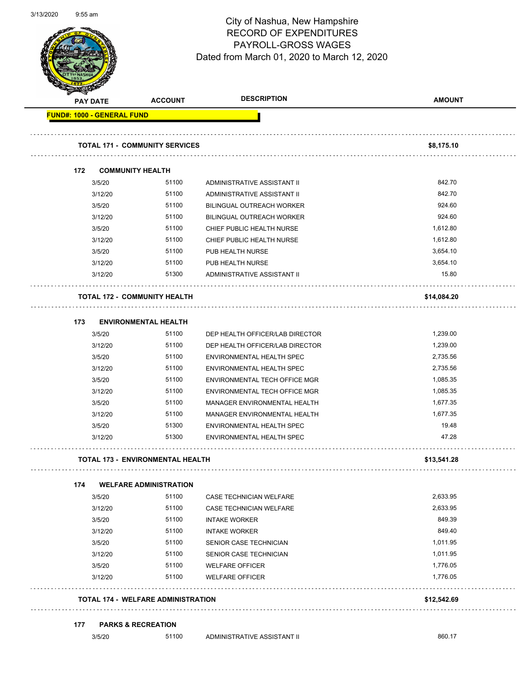

Page 57 of 97

|                                   | <b>PAY DATE</b> | <b>ACCOUNT</b>                            | <b>DESCRIPTION</b>               | <b>AMOUNT</b> |
|-----------------------------------|-----------------|-------------------------------------------|----------------------------------|---------------|
| <b>FUND#: 1000 - GENERAL FUND</b> |                 |                                           |                                  |               |
|                                   |                 | <b>TOTAL 171 - COMMUNITY SERVICES</b>     |                                  | \$8,175.10    |
|                                   |                 |                                           |                                  |               |
| 172                               |                 | <b>COMMUNITY HEALTH</b>                   |                                  |               |
|                                   | 3/5/20          | 51100                                     | ADMINISTRATIVE ASSISTANT II      | 842.70        |
|                                   | 3/12/20         | 51100                                     | ADMINISTRATIVE ASSISTANT II      | 842.70        |
|                                   | 3/5/20          | 51100                                     | <b>BILINGUAL OUTREACH WORKER</b> | 924.60        |
|                                   | 3/12/20         | 51100                                     | <b>BILINGUAL OUTREACH WORKER</b> | 924.60        |
|                                   | 3/5/20          | 51100                                     | CHIEF PUBLIC HEALTH NURSE        | 1,612.80      |
|                                   | 3/12/20         | 51100                                     | CHIEF PUBLIC HEALTH NURSE        | 1,612.80      |
|                                   | 3/5/20          | 51100                                     | PUB HEALTH NURSE                 | 3,654.10      |
|                                   | 3/12/20         | 51100                                     | PUB HEALTH NURSE                 | 3,654.10      |
|                                   | 3/12/20         | 51300                                     | ADMINISTRATIVE ASSISTANT II      | 15.80         |
|                                   |                 | <b>TOTAL 172 - COMMUNITY HEALTH</b>       |                                  | \$14,084.20   |
| 173                               |                 | <b>ENVIRONMENTAL HEALTH</b>               |                                  |               |
|                                   | 3/5/20          | 51100                                     | DEP HEALTH OFFICER/LAB DIRECTOR  | 1,239.00      |
|                                   | 3/12/20         | 51100                                     | DEP HEALTH OFFICER/LAB DIRECTOR  | 1,239.00      |
|                                   | 3/5/20          | 51100                                     | ENVIRONMENTAL HEALTH SPEC        | 2,735.56      |
|                                   | 3/12/20         | 51100                                     | ENVIRONMENTAL HEALTH SPEC        | 2,735.56      |
|                                   | 3/5/20          | 51100                                     | ENVIRONMENTAL TECH OFFICE MGR    | 1,085.35      |
|                                   | 3/12/20         | 51100                                     | ENVIRONMENTAL TECH OFFICE MGR    | 1,085.35      |
|                                   | 3/5/20          | 51100                                     | MANAGER ENVIRONMENTAL HEALTH     | 1,677.35      |
|                                   | 3/12/20         | 51100                                     | MANAGER ENVIRONMENTAL HEALTH     | 1,677.35      |
|                                   | 3/5/20          | 51300                                     | ENVIRONMENTAL HEALTH SPEC        | 19.48         |
|                                   | 3/12/20         | 51300                                     | ENVIRONMENTAL HEALTH SPEC        | 47.28         |
|                                   |                 | <b>TOTAL 173 - ENVIRONMENTAL HEALTH</b>   |                                  | \$13,541.28   |
| 174                               |                 | <b>WELFARE ADMINISTRATION</b>             |                                  |               |
|                                   | 3/5/20          | 51100                                     | CASE TECHNICIAN WELFARE          | 2,633.95      |
|                                   | 3/12/20         | 51100                                     | <b>CASE TECHNICIAN WELFARE</b>   | 2,633.95      |
|                                   | 3/5/20          | 51100                                     | <b>INTAKE WORKER</b>             | 849.39        |
|                                   | 3/12/20         | 51100                                     | <b>INTAKE WORKER</b>             | 849.40        |
|                                   | 3/5/20          | 51100                                     | SENIOR CASE TECHNICIAN           | 1,011.95      |
|                                   | 3/12/20         | 51100                                     | SENIOR CASE TECHNICIAN           | 1,011.95      |
|                                   | 3/5/20          | 51100                                     | <b>WELFARE OFFICER</b>           | 1,776.05      |
|                                   | 3/12/20         | 51100                                     | <b>WELFARE OFFICER</b>           | 1,776.05      |
|                                   |                 | <b>TOTAL 174 - WELFARE ADMINISTRATION</b> |                                  | \$12,542.69   |
| 177                               |                 | <b>PARKS &amp; RECREATION</b>             |                                  |               |
|                                   | 3/5/20          | 51100                                     | ADMINISTRATIVE ASSISTANT II      | 860.17        |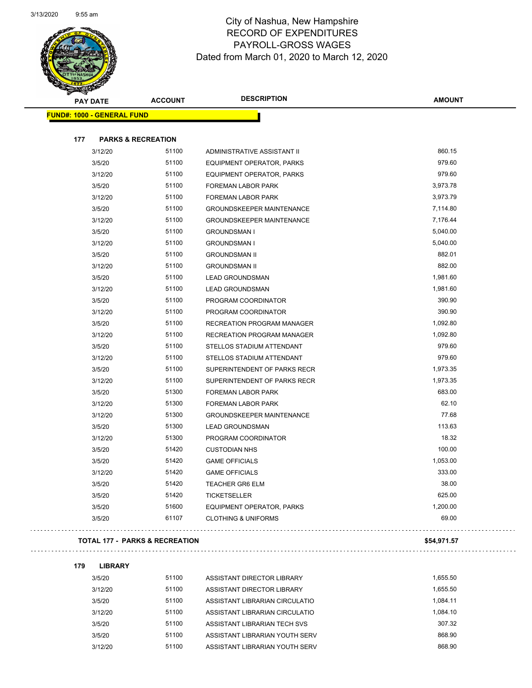

Page 58 of 97

| <b>PAY DATE</b>                   | <b>ACCOUNT</b>                            | <b>DESCRIPTION</b>               | <b>AMOUNT</b> |
|-----------------------------------|-------------------------------------------|----------------------------------|---------------|
| <b>FUND#: 1000 - GENERAL FUND</b> |                                           |                                  |               |
| 177                               | <b>PARKS &amp; RECREATION</b>             |                                  |               |
| 3/12/20                           | 51100                                     | ADMINISTRATIVE ASSISTANT II      | 860.15        |
| 3/5/20                            | 51100                                     | EQUIPMENT OPERATOR, PARKS        | 979.60        |
| 3/12/20                           | 51100                                     | EQUIPMENT OPERATOR, PARKS        | 979.60        |
| 3/5/20                            | 51100                                     | FOREMAN LABOR PARK               | 3,973.78      |
| 3/12/20                           | 51100                                     | <b>FOREMAN LABOR PARK</b>        | 3,973.79      |
| 3/5/20                            | 51100                                     | <b>GROUNDSKEEPER MAINTENANCE</b> | 7,114.80      |
| 3/12/20                           | 51100                                     | <b>GROUNDSKEEPER MAINTENANCE</b> | 7,176.44      |
| 3/5/20                            | 51100                                     | <b>GROUNDSMAN I</b>              | 5,040.00      |
| 3/12/20                           | 51100                                     | <b>GROUNDSMAN I</b>              | 5,040.00      |
| 3/5/20                            | 51100                                     | <b>GROUNDSMAN II</b>             | 882.01        |
| 3/12/20                           | 51100                                     | <b>GROUNDSMAN II</b>             | 882.00        |
| 3/5/20                            | 51100                                     | <b>LEAD GROUNDSMAN</b>           | 1,981.60      |
| 3/12/20                           | 51100                                     | <b>LEAD GROUNDSMAN</b>           | 1,981.60      |
| 3/5/20                            | 51100                                     | PROGRAM COORDINATOR              | 390.90        |
| 3/12/20                           | 51100                                     | PROGRAM COORDINATOR              | 390.90        |
| 3/5/20                            | 51100                                     | RECREATION PROGRAM MANAGER       | 1,092.80      |
| 3/12/20                           | 51100                                     | RECREATION PROGRAM MANAGER       | 1,092.80      |
| 3/5/20                            | 51100                                     | STELLOS STADIUM ATTENDANT        | 979.60        |
| 3/12/20                           | 51100                                     | STELLOS STADIUM ATTENDANT        | 979.60        |
| 3/5/20                            | 51100                                     | SUPERINTENDENT OF PARKS RECR     | 1,973.35      |
| 3/12/20                           | 51100                                     | SUPERINTENDENT OF PARKS RECR     | 1,973.35      |
| 3/5/20                            | 51300                                     | <b>FOREMAN LABOR PARK</b>        | 683.00        |
| 3/12/20                           | 51300                                     | <b>FOREMAN LABOR PARK</b>        | 62.10         |
| 3/12/20                           | 51300                                     | <b>GROUNDSKEEPER MAINTENANCE</b> | 77.68         |
| 3/5/20                            | 51300                                     | <b>LEAD GROUNDSMAN</b>           | 113.63        |
| 3/12/20                           | 51300                                     | PROGRAM COORDINATOR              | 18.32         |
| 3/5/20                            | 51420                                     | <b>CUSTODIAN NHS</b>             | 100.00        |
| 3/5/20                            | 51420                                     | <b>GAME OFFICIALS</b>            | 1,053.00      |
| 3/12/20                           | 51420                                     | <b>GAME OFFICIALS</b>            | 333.00        |
| 3/5/20                            | 51420                                     | <b>TEACHER GR6 ELM</b>           | 38.00         |
| 3/5/20                            | 51420                                     | <b>TICKETSELLER</b>              | 625.00        |
| 3/5/20                            | 51600                                     | EQUIPMENT OPERATOR, PARKS        | 1,200.00      |
| 3/5/20                            | 61107                                     | <b>CLOTHING &amp; UNIFORMS</b>   | 69.00         |
|                                   | <b>TOTAL 177 - PARKS &amp; RECREATION</b> |                                  | \$54,971.57   |

#### 

**179 LIBRARY**

| 3/5/20  | 51100 | ASSISTANT DIRECTOR LIBRARY     | 1.655.50 |
|---------|-------|--------------------------------|----------|
| 3/12/20 | 51100 | ASSISTANT DIRECTOR LIBRARY     | 1.655.50 |
| 3/5/20  | 51100 | ASSISTANT LIBRARIAN CIRCULATIO | 1.084.11 |
| 3/12/20 | 51100 | ASSISTANT LIBRARIAN CIRCULATIO | 1,084.10 |
| 3/5/20  | 51100 | ASSISTANT LIBRARIAN TECH SVS   | 307.32   |
| 3/5/20  | 51100 | ASSISTANT LIBRARIAN YOUTH SERV | 868.90   |
| 3/12/20 | 51100 | ASSISTANT LIBRARIAN YOUTH SERV | 868.90   |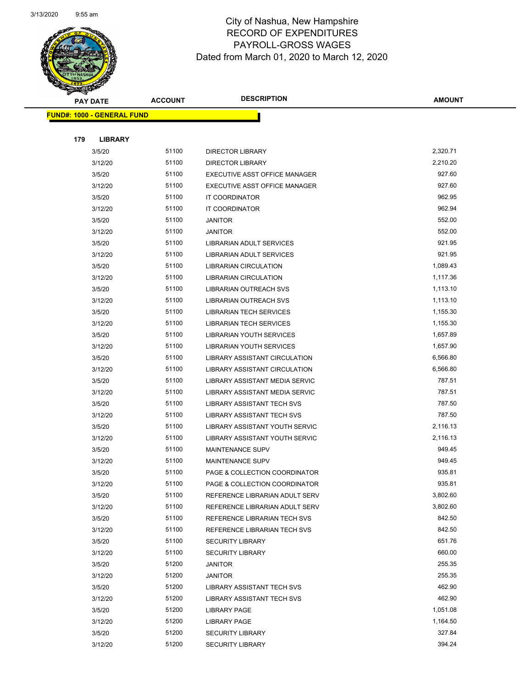

Page 59 of 97

| $\blacktriangleleft$ . | <b>PAY DATE</b>                    | <b>ACCOUNT</b> | <b>DESCRIPTION</b>                   | <b>AMOUNT</b> |
|------------------------|------------------------------------|----------------|--------------------------------------|---------------|
|                        | <u> FUND#: 1000 - GENERAL FUND</u> |                |                                      |               |
|                        |                                    |                |                                      |               |
| 179                    | <b>LIBRARY</b>                     |                |                                      |               |
|                        | 3/5/20                             | 51100          | <b>DIRECTOR LIBRARY</b>              | 2,320.71      |
|                        | 3/12/20                            | 51100          | <b>DIRECTOR LIBRARY</b>              | 2,210.20      |
|                        | 3/5/20                             | 51100          | EXECUTIVE ASST OFFICE MANAGER        | 927.60        |
|                        | 3/12/20                            | 51100          | EXECUTIVE ASST OFFICE MANAGER        | 927.60        |
|                        | 3/5/20                             | 51100          | IT COORDINATOR                       | 962.95        |
|                        | 3/12/20                            | 51100          | <b>IT COORDINATOR</b>                | 962.94        |
|                        | 3/5/20                             | 51100          | <b>JANITOR</b>                       | 552.00        |
|                        | 3/12/20                            | 51100          | <b>JANITOR</b>                       | 552.00        |
|                        | 3/5/20                             | 51100          | LIBRARIAN ADULT SERVICES             | 921.95        |
|                        | 3/12/20                            | 51100          | LIBRARIAN ADULT SERVICES             | 921.95        |
|                        | 3/5/20                             | 51100          | <b>LIBRARIAN CIRCULATION</b>         | 1,089.43      |
|                        | 3/12/20                            | 51100          | <b>LIBRARIAN CIRCULATION</b>         | 1,117.36      |
|                        | 3/5/20                             | 51100          | <b>LIBRARIAN OUTREACH SVS</b>        | 1,113.10      |
|                        | 3/12/20                            | 51100          | <b>LIBRARIAN OUTREACH SVS</b>        | 1,113.10      |
|                        | 3/5/20                             | 51100          | <b>LIBRARIAN TECH SERVICES</b>       | 1,155.30      |
|                        | 3/12/20                            | 51100          | <b>LIBRARIAN TECH SERVICES</b>       | 1,155.30      |
|                        | 3/5/20                             | 51100          | LIBRARIAN YOUTH SERVICES             | 1,657.89      |
|                        | 3/12/20                            | 51100          | LIBRARIAN YOUTH SERVICES             | 1,657.90      |
|                        | 3/5/20                             | 51100          | LIBRARY ASSISTANT CIRCULATION        | 6,566.80      |
|                        | 3/12/20                            | 51100          | <b>LIBRARY ASSISTANT CIRCULATION</b> | 6,566.80      |
|                        | 3/5/20                             | 51100          | LIBRARY ASSISTANT MEDIA SERVIC       | 787.51        |
|                        | 3/12/20                            | 51100          | LIBRARY ASSISTANT MEDIA SERVIC       | 787.51        |
|                        | 3/5/20                             | 51100          | LIBRARY ASSISTANT TECH SVS           | 787.50        |
|                        | 3/12/20                            | 51100          | LIBRARY ASSISTANT TECH SVS           | 787.50        |
|                        | 3/5/20                             | 51100          | LIBRARY ASSISTANT YOUTH SERVIC       | 2,116.13      |
|                        | 3/12/20                            | 51100          | LIBRARY ASSISTANT YOUTH SERVIC       | 2,116.13      |
|                        | 3/5/20                             | 51100          | <b>MAINTENANCE SUPV</b>              | 949.45        |
|                        | 3/12/20                            | 51100          | <b>MAINTENANCE SUPV</b>              | 949.45        |
|                        | 3/5/20                             | 51100          | PAGE & COLLECTION COORDINATOR        | 935.81        |
|                        | 3/12/20                            | 51100          | PAGE & COLLECTION COORDINATOR        | 935.81        |
|                        | 3/5/20                             | 51100          | REFERENCE LIBRARIAN ADULT SERV       | 3,802.60      |
|                        | 3/12/20                            | 51100          | REFERENCE LIBRARIAN ADULT SERV       | 3,802.60      |
|                        | 3/5/20                             | 51100          | REFERENCE LIBRARIAN TECH SVS         | 842.50        |
|                        | 3/12/20                            | 51100          | REFERENCE LIBRARIAN TECH SVS         | 842.50        |
|                        | 3/5/20                             | 51100          | <b>SECURITY LIBRARY</b>              | 651.76        |
|                        | 3/12/20                            | 51100          | <b>SECURITY LIBRARY</b>              | 660.00        |
|                        | 3/5/20                             | 51200          | <b>JANITOR</b>                       | 255.35        |
|                        | 3/12/20                            | 51200          | JANITOR                              | 255.35        |
|                        | 3/5/20                             | 51200          | LIBRARY ASSISTANT TECH SVS           | 462.90        |
|                        | 3/12/20                            | 51200          | LIBRARY ASSISTANT TECH SVS           | 462.90        |
|                        | 3/5/20                             | 51200          | <b>LIBRARY PAGE</b>                  | 1,051.08      |
|                        | 3/12/20                            | 51200          | <b>LIBRARY PAGE</b>                  | 1,164.50      |
|                        | 3/5/20                             | 51200          | <b>SECURITY LIBRARY</b>              | 327.84        |
|                        | 3/12/20                            | 51200          | <b>SECURITY LIBRARY</b>              | 394.24        |
|                        |                                    |                |                                      |               |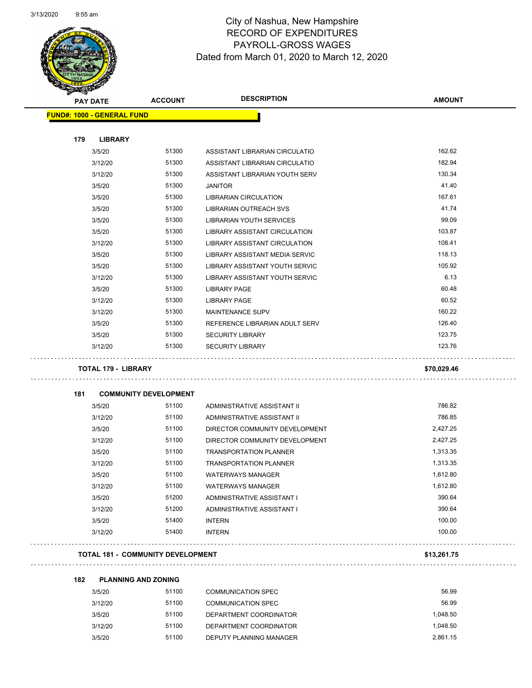$\overline{\phantom{0}}$ 



# City of Nashua, New Hampshire RECORD OF EXPENDITURES PAYROLL-GROSS WAGES Dated from March 01, 2020 to March 12, 2020

Page 60 of 97

| <b>PAY DATE</b>                   | <b>ACCOUNT</b>                           | <b>DESCRIPTION</b>             | <b>AMOUNT</b> |
|-----------------------------------|------------------------------------------|--------------------------------|---------------|
| <b>FUND#: 1000 - GENERAL FUND</b> |                                          |                                |               |
| 179<br><b>LIBRARY</b>             |                                          |                                |               |
| 3/5/20                            | 51300                                    | ASSISTANT LIBRARIAN CIRCULATIO | 162.62        |
| 3/12/20                           | 51300                                    | ASSISTANT LIBRARIAN CIRCULATIO | 182.94        |
| 3/12/20                           | 51300                                    | ASSISTANT LIBRARIAN YOUTH SERV | 130.34        |
| 3/5/20                            | 51300                                    | <b>JANITOR</b>                 | 41.40         |
| 3/5/20                            | 51300                                    | LIBRARIAN CIRCULATION          | 167.61        |
| 3/5/20                            | 51300                                    | <b>LIBRARIAN OUTREACH SVS</b>  | 41.74         |
| 3/5/20                            | 51300                                    | LIBRARIAN YOUTH SERVICES       | 99.09         |
| 3/5/20                            | 51300                                    | LIBRARY ASSISTANT CIRCULATION  | 103.87        |
| 3/12/20                           | 51300                                    | LIBRARY ASSISTANT CIRCULATION  | 108.41        |
| 3/5/20                            | 51300                                    | LIBRARY ASSISTANT MEDIA SERVIC | 118.13        |
| 3/5/20                            | 51300                                    | LIBRARY ASSISTANT YOUTH SERVIC | 105.92        |
| 3/12/20                           | 51300                                    | LIBRARY ASSISTANT YOUTH SERVIC | 6.13          |
| 3/5/20                            | 51300                                    | <b>LIBRARY PAGE</b>            | 60.48         |
| 3/12/20                           | 51300                                    | <b>LIBRARY PAGE</b>            | 60.52         |
| 3/12/20                           | 51300                                    | MAINTENANCE SUPV               | 160.22        |
| 3/5/20                            | 51300                                    | REFERENCE LIBRARIAN ADULT SERV | 126.40        |
| 3/5/20                            | 51300                                    | <b>SECURITY LIBRARY</b>        | 123.75        |
| 3/12/20                           | 51300                                    | <b>SECURITY LIBRARY</b>        | 123.76        |
| <b>TOTAL 179 - LIBRARY</b>        |                                          |                                | \$70,029.46   |
| 181                               | <b>COMMUNITY DEVELOPMENT</b>             |                                |               |
| 3/5/20                            | 51100                                    | ADMINISTRATIVE ASSISTANT II    | 786.82        |
| 3/12/20                           | 51100                                    | ADMINISTRATIVE ASSISTANT II    | 786.85        |
| 3/5/20                            | 51100                                    | DIRECTOR COMMUNITY DEVELOPMENT | 2,427.25      |
| 3/12/20                           | 51100                                    | DIRECTOR COMMUNITY DEVELOPMENT | 2,427.25      |
| 3/5/20                            | 51100                                    | <b>TRANSPORTATION PLANNER</b>  | 1,313.35      |
| 3/12/20                           | 51100                                    | <b>TRANSPORTATION PLANNER</b>  | 1,313.35      |
| 3/5/20                            | 51100                                    | <b>WATERWAYS MANAGER</b>       | 1.612.80      |
| 3/12/20                           | 51100                                    | <b>WATERWAYS MANAGER</b>       | 1,612.80      |
| 3/5/20                            | 51200                                    | ADMINISTRATIVE ASSISTANT I     | 390.64        |
| 3/12/20                           | 51200                                    | ADMINISTRATIVE ASSISTANT I     | 390.64        |
| 3/5/20                            | 51400                                    | <b>INTERN</b>                  | 100.00        |
| 3/12/20                           | 51400                                    | <b>INTERN</b>                  | 100.00        |
|                                   | <b>TOTAL 181 - COMMUNITY DEVELOPMENT</b> |                                | \$13,261.75   |

| 3/5/20  | 51100 | COMMUNICATION SPEC        | 56.99    |
|---------|-------|---------------------------|----------|
| 3/12/20 | 51100 | <b>COMMUNICATION SPEC</b> | 56.99    |
| 3/5/20  | 51100 | DEPARTMENT COORDINATOR    | 1.048.50 |
| 3/12/20 | 51100 | DEPARTMENT COORDINATOR    | 1.048.50 |
| 3/5/20  | 51100 | DEPUTY PLANNING MANAGER   | 2.861.15 |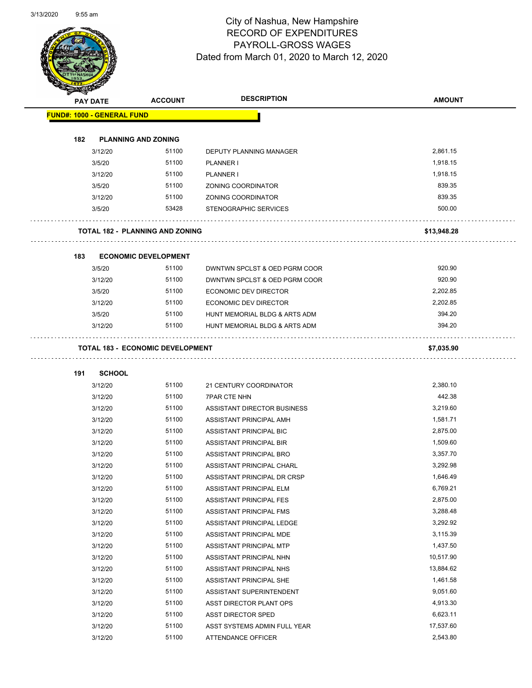

Page 61 of 97

|     | <b>PAY DATE</b>                   | <b>ACCOUNT</b>                          | <b>DESCRIPTION</b>            | <b>AMOUNT</b> |
|-----|-----------------------------------|-----------------------------------------|-------------------------------|---------------|
|     | <b>FUND#: 1000 - GENERAL FUND</b> |                                         |                               |               |
| 182 |                                   | <b>PLANNING AND ZONING</b>              |                               |               |
|     | 3/12/20                           | 51100                                   | DEPUTY PLANNING MANAGER       | 2,861.15      |
|     | 3/5/20                            | 51100                                   | <b>PLANNER I</b>              | 1,918.15      |
|     | 3/12/20                           | 51100                                   | <b>PLANNER I</b>              | 1.918.15      |
|     | 3/5/20                            | 51100                                   | ZONING COORDINATOR            | 839.35        |
|     | 3/12/20                           | 51100                                   | ZONING COORDINATOR            | 839.35        |
|     | 3/5/20                            | 53428                                   | STENOGRAPHIC SERVICES         | 500.00        |
|     |                                   | <b>TOTAL 182 - PLANNING AND ZONING</b>  |                               | \$13,948.28   |
| 183 |                                   | <b>ECONOMIC DEVELOPMENT</b>             |                               |               |
|     | 3/5/20                            | 51100                                   | DWNTWN SPCLST & OED PGRM COOR | 920.90        |
|     | 3/12/20                           | 51100                                   | DWNTWN SPCLST & OED PGRM COOR | 920.90        |
|     | 3/5/20                            | 51100                                   | ECONOMIC DEV DIRECTOR         | 2,202.85      |
|     | 3/12/20                           | 51100                                   | ECONOMIC DEV DIRECTOR         | 2,202.85      |
|     | 3/5/20                            | 51100                                   | HUNT MEMORIAL BLDG & ARTS ADM | 394.20        |
|     | 3/12/20                           | 51100                                   | HUNT MEMORIAL BLDG & ARTS ADM | 394.20        |
|     |                                   | <b>TOTAL 183 - ECONOMIC DEVELOPMENT</b> |                               | \$7,035.90    |
| 191 | <b>SCHOOL</b>                     |                                         |                               |               |
|     | 3/12/20                           | 51100                                   | 21 CENTURY COORDINATOR        | 2,380.10      |
|     | 3/12/20                           | 51100                                   | <b>7PAR CTE NHN</b>           | 442.38        |
|     | 3/12/20                           | 51100                                   | ASSISTANT DIRECTOR BUSINESS   | 3,219.60      |
|     | 3/12/20                           | 51100                                   | ASSISTANT PRINCIPAL AMH       | 1,581.71      |
|     | 3/12/20                           | 51100                                   | ASSISTANT PRINCIPAL BIC       | 2,875.00      |
|     | 3/12/20                           | 51100                                   | ASSISTANT PRINCIPAL BIR       | 1,509.60      |
|     | 3/12/20                           | 51100                                   | ASSISTANT PRINCIPAL BRO       | 3,357.70      |
|     | 3/12/20                           | 51100                                   | ASSISTANT PRINCIPAL CHARL     | 3,292.98      |
|     | 3/12/20                           | 51100                                   | ASSISTANT PRINCIPAL DR CRSP   | 1,646.49      |
|     | 3/12/20                           | 51100                                   | ASSISTANT PRINCIPAL ELM       | 6,769.21      |
|     | 3/12/20                           | 51100                                   | ASSISTANT PRINCIPAL FES       | 2,875.00      |
|     | 3/12/20                           | 51100                                   | ASSISTANT PRINCIPAL FMS       | 3,288.48      |
|     | 3/12/20                           | 51100                                   | ASSISTANT PRINCIPAL LEDGE     | 3,292.92      |
|     | 3/12/20                           | 51100                                   | ASSISTANT PRINCIPAL MDE       | 3,115.39      |
|     | 3/12/20                           | 51100                                   | ASSISTANT PRINCIPAL MTP       | 1,437.50      |
|     | 3/12/20                           | 51100                                   | ASSISTANT PRINCIPAL NHN       | 10,517.90     |
|     | 3/12/20                           | 51100                                   | ASSISTANT PRINCIPAL NHS       | 13,884.62     |
|     | 3/12/20                           | 51100                                   | ASSISTANT PRINCIPAL SHE       | 1,461.58      |
|     | 3/12/20                           | 51100                                   | ASSISTANT SUPERINTENDENT      | 9,051.60      |
|     | 3/12/20                           | 51100                                   | ASST DIRECTOR PLANT OPS       | 4,913.30      |
|     | 3/12/20                           | 51100                                   | ASST DIRECTOR SPED            | 6,623.11      |
|     | 3/12/20                           | 51100                                   | ASST SYSTEMS ADMIN FULL YEAR  | 17,537.60     |
|     |                                   |                                         |                               |               |
|     | 3/12/20                           | 51100                                   | ATTENDANCE OFFICER            | 2,543.80      |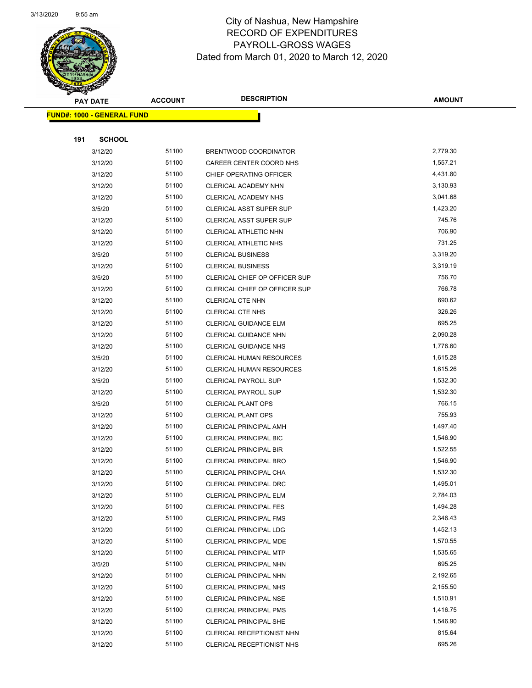

Page 62 of 97

|     | <b>PAY DATE</b>                   | <b>ACCOUNT</b> | <b>DESCRIPTION</b>              | <b>AMOUNT</b> |
|-----|-----------------------------------|----------------|---------------------------------|---------------|
|     | <b>FUND#: 1000 - GENERAL FUND</b> |                |                                 |               |
|     |                                   |                |                                 |               |
| 191 | <b>SCHOOL</b>                     |                |                                 |               |
|     | 3/12/20                           | 51100          | BRENTWOOD COORDINATOR           | 2,779.30      |
|     | 3/12/20                           | 51100          | CAREER CENTER COORD NHS         | 1,557.21      |
|     | 3/12/20                           | 51100          | CHIEF OPERATING OFFICER         | 4,431.80      |
|     | 3/12/20                           | 51100          | CLERICAL ACADEMY NHN            | 3,130.93      |
|     | 3/12/20                           | 51100          | CLERICAL ACADEMY NHS            | 3,041.68      |
|     | 3/5/20                            | 51100          | CLERICAL ASST SUPER SUP         | 1,423.20      |
|     | 3/12/20                           | 51100          | <b>CLERICAL ASST SUPER SUP</b>  | 745.76        |
|     | 3/12/20                           | 51100          | CLERICAL ATHLETIC NHN           | 706.90        |
|     | 3/12/20                           | 51100          | CLERICAL ATHLETIC NHS           | 731.25        |
|     | 3/5/20                            | 51100          | <b>CLERICAL BUSINESS</b>        | 3,319.20      |
|     | 3/12/20                           | 51100          | <b>CLERICAL BUSINESS</b>        | 3,319.19      |
|     | 3/5/20                            | 51100          | CLERICAL CHIEF OP OFFICER SUP   | 756.70        |
|     | 3/12/20                           | 51100          | CLERICAL CHIEF OP OFFICER SUP   | 766.78        |
|     | 3/12/20                           | 51100          | CLERICAL CTE NHN                | 690.62        |
|     | 3/12/20                           | 51100          | CLERICAL CTE NHS                | 326.26        |
|     | 3/12/20                           | 51100          | <b>CLERICAL GUIDANCE ELM</b>    | 695.25        |
|     | 3/12/20                           | 51100          | <b>CLERICAL GUIDANCE NHN</b>    | 2,090.28      |
|     | 3/12/20                           | 51100          | <b>CLERICAL GUIDANCE NHS</b>    | 1,776.60      |
|     | 3/5/20                            | 51100          | <b>CLERICAL HUMAN RESOURCES</b> | 1,615.28      |
|     | 3/12/20                           | 51100          | CLERICAL HUMAN RESOURCES        | 1,615.26      |
|     | 3/5/20                            | 51100          | <b>CLERICAL PAYROLL SUP</b>     | 1,532.30      |
|     | 3/12/20                           | 51100          | <b>CLERICAL PAYROLL SUP</b>     | 1,532.30      |
|     | 3/5/20                            | 51100          | <b>CLERICAL PLANT OPS</b>       | 766.15        |
|     | 3/12/20                           | 51100          | <b>CLERICAL PLANT OPS</b>       | 755.93        |
|     | 3/12/20                           | 51100          | <b>CLERICAL PRINCIPAL AMH</b>   | 1,497.40      |
|     | 3/12/20                           | 51100          | <b>CLERICAL PRINCIPAL BIC</b>   | 1,546.90      |
|     | 3/12/20                           | 51100          | <b>CLERICAL PRINCIPAL BIR</b>   | 1,522.55      |
|     | 3/12/20                           | 51100          | <b>CLERICAL PRINCIPAL BRO</b>   | 1,546.90      |
|     | 3/12/20                           | 51100          | <b>CLERICAL PRINCIPAL CHA</b>   | 1,532.30      |
|     | 3/12/20                           | 51100          | CLERICAL PRINCIPAL DRC          | 1,495.01      |
|     | 3/12/20                           | 51100          | <b>CLERICAL PRINCIPAL ELM</b>   | 2,784.03      |
|     | 3/12/20                           | 51100          | <b>CLERICAL PRINCIPAL FES</b>   | 1,494.28      |
|     | 3/12/20                           | 51100          | <b>CLERICAL PRINCIPAL FMS</b>   | 2,346.43      |
|     | 3/12/20                           | 51100          | <b>CLERICAL PRINCIPAL LDG</b>   | 1,452.13      |
|     | 3/12/20                           | 51100          | CLERICAL PRINCIPAL MDE          | 1,570.55      |
|     | 3/12/20                           | 51100          | <b>CLERICAL PRINCIPAL MTP</b>   | 1,535.65      |
|     | 3/5/20                            | 51100          | CLERICAL PRINCIPAL NHN          | 695.25        |
|     | 3/12/20                           | 51100          | CLERICAL PRINCIPAL NHN          | 2,192.65      |
|     | 3/12/20                           | 51100          | <b>CLERICAL PRINCIPAL NHS</b>   | 2,155.50      |
|     | 3/12/20                           | 51100          | <b>CLERICAL PRINCIPAL NSE</b>   | 1,510.91      |
|     | 3/12/20                           | 51100          | <b>CLERICAL PRINCIPAL PMS</b>   | 1,416.75      |
|     | 3/12/20                           | 51100          | <b>CLERICAL PRINCIPAL SHE</b>   | 1,546.90      |
|     | 3/12/20                           | 51100          | CLERICAL RECEPTIONIST NHN       | 815.64        |
|     | 3/12/20                           | 51100          | CLERICAL RECEPTIONIST NHS       | 695.26        |
|     |                                   |                |                                 |               |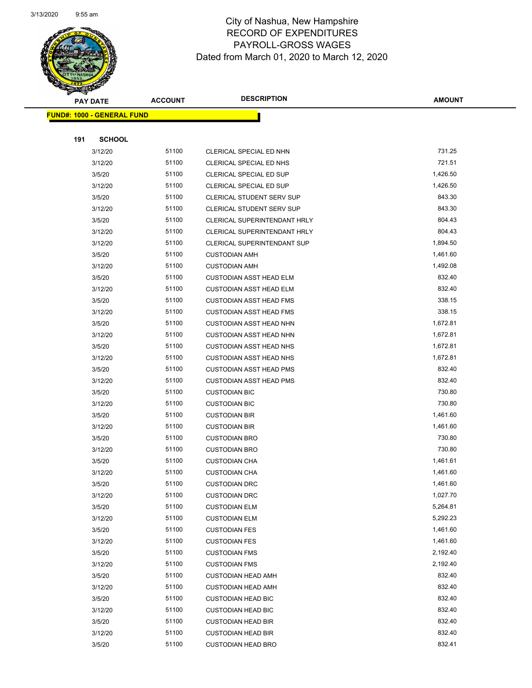

Page 63 of 97

|     | <b>PAY DATE</b>                   | <b>ACCOUNT</b> | <b>DESCRIPTION</b>                                     | <b>AMOUNT</b>    |
|-----|-----------------------------------|----------------|--------------------------------------------------------|------------------|
|     | <b>FUND#: 1000 - GENERAL FUND</b> |                |                                                        |                  |
|     |                                   |                |                                                        |                  |
| 191 | <b>SCHOOL</b>                     |                |                                                        |                  |
|     | 3/12/20                           | 51100          | CLERICAL SPECIAL ED NHN                                | 731.25           |
|     | 3/12/20                           | 51100          | CLERICAL SPECIAL ED NHS                                | 721.51           |
|     | 3/5/20                            | 51100          | CLERICAL SPECIAL ED SUP                                | 1,426.50         |
|     | 3/12/20                           | 51100          | CLERICAL SPECIAL ED SUP                                | 1,426.50         |
|     | 3/5/20                            | 51100          | CLERICAL STUDENT SERV SUP                              | 843.30           |
|     | 3/12/20                           | 51100          | CLERICAL STUDENT SERV SUP                              | 843.30           |
|     | 3/5/20                            | 51100          | <b>CLERICAL SUPERINTENDANT HRLY</b>                    | 804.43           |
|     | 3/12/20                           | 51100          | CLERICAL SUPERINTENDANT HRLY                           | 804.43           |
|     | 3/12/20                           | 51100          | <b>CLERICAL SUPERINTENDANT SUP</b>                     | 1,894.50         |
|     | 3/5/20                            | 51100          | <b>CUSTODIAN AMH</b>                                   | 1,461.60         |
|     | 3/12/20                           | 51100          | <b>CUSTODIAN AMH</b>                                   | 1,492.08         |
|     | 3/5/20                            | 51100          | <b>CUSTODIAN ASST HEAD ELM</b>                         | 832.40           |
|     | 3/12/20                           | 51100          | <b>CUSTODIAN ASST HEAD ELM</b>                         | 832.40           |
|     | 3/5/20                            | 51100          | <b>CUSTODIAN ASST HEAD FMS</b>                         | 338.15           |
|     | 3/12/20                           | 51100          | <b>CUSTODIAN ASST HEAD FMS</b>                         | 338.15           |
|     | 3/5/20                            | 51100          | <b>CUSTODIAN ASST HEAD NHN</b>                         | 1,672.81         |
|     | 3/12/20                           | 51100          | <b>CUSTODIAN ASST HEAD NHN</b>                         | 1,672.81         |
|     | 3/5/20                            | 51100          | <b>CUSTODIAN ASST HEAD NHS</b>                         | 1,672.81         |
|     | 3/12/20                           | 51100          | <b>CUSTODIAN ASST HEAD NHS</b>                         | 1,672.81         |
|     | 3/5/20                            | 51100          | <b>CUSTODIAN ASST HEAD PMS</b>                         | 832.40           |
|     | 3/12/20                           | 51100          | <b>CUSTODIAN ASST HEAD PMS</b>                         | 832.40           |
|     | 3/5/20                            | 51100          | <b>CUSTODIAN BIC</b>                                   | 730.80           |
|     | 3/12/20                           | 51100          | <b>CUSTODIAN BIC</b>                                   | 730.80           |
|     | 3/5/20                            | 51100          | <b>CUSTODIAN BIR</b>                                   | 1,461.60         |
|     | 3/12/20                           | 51100          | <b>CUSTODIAN BIR</b>                                   | 1,461.60         |
|     | 3/5/20                            | 51100          | <b>CUSTODIAN BRO</b>                                   | 730.80           |
|     | 3/12/20                           | 51100          | <b>CUSTODIAN BRO</b>                                   | 730.80           |
|     | 3/5/20                            | 51100          | <b>CUSTODIAN CHA</b>                                   | 1,461.61         |
|     | 3/12/20                           | 51100          | <b>CUSTODIAN CHA</b>                                   | 1,461.60         |
|     | 3/5/20                            | 51100          | <b>CUSTODIAN DRC</b>                                   | 1,461.60         |
|     | 3/12/20                           | 51100          | <b>CUSTODIAN DRC</b>                                   | 1,027.70         |
|     | 3/5/20                            | 51100          | <b>CUSTODIAN ELM</b>                                   | 5,264.81         |
|     | 3/12/20                           | 51100          | <b>CUSTODIAN ELM</b>                                   | 5,292.23         |
|     | 3/5/20                            | 51100          | <b>CUSTODIAN FES</b>                                   | 1,461.60         |
|     | 3/12/20                           | 51100          | <b>CUSTODIAN FES</b>                                   | 1,461.60         |
|     | 3/5/20                            | 51100          | <b>CUSTODIAN FMS</b>                                   | 2,192.40         |
|     | 3/12/20                           | 51100          | <b>CUSTODIAN FMS</b>                                   | 2,192.40         |
|     | 3/5/20                            | 51100          | <b>CUSTODIAN HEAD AMH</b>                              | 832.40<br>832.40 |
|     | 3/12/20                           | 51100<br>51100 | <b>CUSTODIAN HEAD AMH</b>                              | 832.40           |
|     | 3/5/20<br>3/12/20                 | 51100          | <b>CUSTODIAN HEAD BIC</b>                              | 832.40           |
|     | 3/5/20                            | 51100          | <b>CUSTODIAN HEAD BIC</b><br><b>CUSTODIAN HEAD BIR</b> | 832.40           |
|     | 3/12/20                           | 51100          | <b>CUSTODIAN HEAD BIR</b>                              | 832.40           |
|     | 3/5/20                            | 51100          | <b>CUSTODIAN HEAD BRO</b>                              | 832.41           |
|     |                                   |                |                                                        |                  |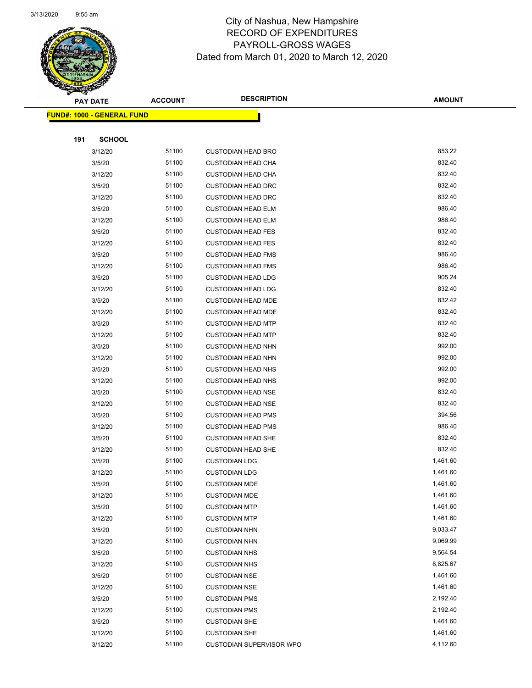

Page 64 of 97

|     | <b>PAY DATE</b>                   | <b>ACCOUNT</b> | <b>DESCRIPTION</b>              | <b>AMOUNT</b> |
|-----|-----------------------------------|----------------|---------------------------------|---------------|
|     | <b>FUND#: 1000 - GENERAL FUND</b> |                |                                 |               |
|     |                                   |                |                                 |               |
| 191 | <b>SCHOOL</b>                     |                |                                 |               |
|     | 3/12/20                           | 51100          | <b>CUSTODIAN HEAD BRO</b>       | 853.22        |
|     | 3/5/20                            | 51100          | <b>CUSTODIAN HEAD CHA</b>       | 832.40        |
|     | 3/12/20                           | 51100          | <b>CUSTODIAN HEAD CHA</b>       | 832.40        |
|     | 3/5/20                            | 51100          | <b>CUSTODIAN HEAD DRC</b>       | 832.40        |
|     | 3/12/20                           | 51100          | <b>CUSTODIAN HEAD DRC</b>       | 832.40        |
|     | 3/5/20                            | 51100          | <b>CUSTODIAN HEAD ELM</b>       | 986.40        |
|     | 3/12/20                           | 51100          | <b>CUSTODIAN HEAD ELM</b>       | 986.40        |
|     | 3/5/20                            | 51100          | <b>CUSTODIAN HEAD FES</b>       | 832.40        |
|     | 3/12/20                           | 51100          | <b>CUSTODIAN HEAD FES</b>       | 832.40        |
|     | 3/5/20                            | 51100          | <b>CUSTODIAN HEAD FMS</b>       | 986.40        |
|     | 3/12/20                           | 51100          | <b>CUSTODIAN HEAD FMS</b>       | 986.40        |
|     | 3/5/20                            | 51100          | <b>CUSTODIAN HEAD LDG</b>       | 905.24        |
|     | 3/12/20                           | 51100          | <b>CUSTODIAN HEAD LDG</b>       | 832.40        |
|     | 3/5/20                            | 51100          | <b>CUSTODIAN HEAD MDE</b>       | 832.42        |
|     | 3/12/20                           | 51100          | <b>CUSTODIAN HEAD MDE</b>       | 832.40        |
|     | 3/5/20                            | 51100          | <b>CUSTODIAN HEAD MTP</b>       | 832.40        |
|     | 3/12/20                           | 51100          | <b>CUSTODIAN HEAD MTP</b>       | 832.40        |
|     | 3/5/20                            | 51100          | <b>CUSTODIAN HEAD NHN</b>       | 992.00        |
|     | 3/12/20                           | 51100          | <b>CUSTODIAN HEAD NHN</b>       | 992.00        |
|     | 3/5/20                            | 51100          | <b>CUSTODIAN HEAD NHS</b>       | 992.00        |
|     | 3/12/20                           | 51100          | <b>CUSTODIAN HEAD NHS</b>       | 992.00        |
|     | 3/5/20                            | 51100          | <b>CUSTODIAN HEAD NSE</b>       | 832.40        |
|     | 3/12/20                           | 51100          | <b>CUSTODIAN HEAD NSE</b>       | 832.40        |
|     | 3/5/20                            | 51100          | <b>CUSTODIAN HEAD PMS</b>       | 394.56        |
|     | 3/12/20                           | 51100          | <b>CUSTODIAN HEAD PMS</b>       | 986.40        |
|     | 3/5/20                            | 51100          | <b>CUSTODIAN HEAD SHE</b>       | 832.40        |
|     | 3/12/20                           | 51100          | <b>CUSTODIAN HEAD SHE</b>       | 832.40        |
|     | 3/5/20                            | 51100          | <b>CUSTODIAN LDG</b>            | 1,461.60      |
|     | 3/12/20                           | 51100          | <b>CUSTODIAN LDG</b>            | 1,461.60      |
|     | 3/5/20                            | 51100          | <b>CUSTODIAN MDE</b>            | 1,461.60      |
|     | 3/12/20                           | 51100          | <b>CUSTODIAN MDE</b>            | 1,461.60      |
|     | 3/5/20                            | 51100          | <b>CUSTODIAN MTP</b>            | 1,461.60      |
|     | 3/12/20                           | 51100          | <b>CUSTODIAN MTP</b>            | 1,461.60      |
|     | 3/5/20                            | 51100          | <b>CUSTODIAN NHN</b>            | 9,033.47      |
|     | 3/12/20                           | 51100          | <b>CUSTODIAN NHN</b>            | 9,069.99      |
|     | 3/5/20                            | 51100          | <b>CUSTODIAN NHS</b>            | 9,564.54      |
|     | 3/12/20                           | 51100          | <b>CUSTODIAN NHS</b>            | 8,825.67      |
|     | 3/5/20                            | 51100          | <b>CUSTODIAN NSE</b>            | 1,461.60      |
|     | 3/12/20                           | 51100          | <b>CUSTODIAN NSE</b>            | 1,461.60      |
|     | 3/5/20                            | 51100          | <b>CUSTODIAN PMS</b>            | 2,192.40      |
|     | 3/12/20                           | 51100          | <b>CUSTODIAN PMS</b>            | 2,192.40      |
|     | 3/5/20                            | 51100          | <b>CUSTODIAN SHE</b>            | 1,461.60      |
|     | 3/12/20                           | 51100          | <b>CUSTODIAN SHE</b>            | 1,461.60      |
|     | 3/12/20                           | 51100          | <b>CUSTODIAN SUPERVISOR WPO</b> | 4,112.60      |
|     |                                   |                |                                 |               |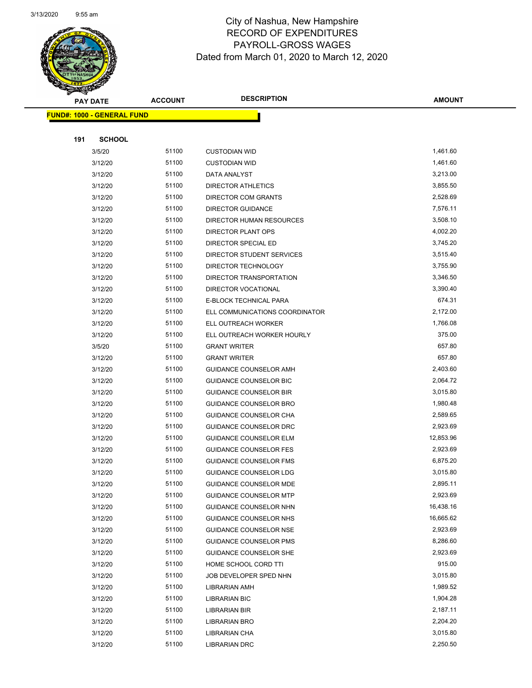

Page 65 of 97

| <b>PAY DATE</b>                   | <b>ACCOUNT</b> | <b>DESCRIPTION</b>                             | <b>AMOUNT</b>        |
|-----------------------------------|----------------|------------------------------------------------|----------------------|
| <b>FUND#: 1000 - GENERAL FUND</b> |                |                                                |                      |
|                                   |                |                                                |                      |
| 191<br><b>SCHOOL</b>              |                |                                                |                      |
| 3/5/20                            | 51100          | <b>CUSTODIAN WID</b>                           | 1,461.60             |
| 3/12/20                           | 51100          | <b>CUSTODIAN WID</b>                           | 1,461.60             |
| 3/12/20                           | 51100          | DATA ANALYST                                   | 3,213.00             |
| 3/12/20                           | 51100          | <b>DIRECTOR ATHLETICS</b>                      | 3,855.50             |
| 3/12/20                           | 51100          | <b>DIRECTOR COM GRANTS</b>                     | 2,528.69             |
| 3/12/20                           | 51100          | <b>DIRECTOR GUIDANCE</b>                       | 7,576.11             |
| 3/12/20                           | 51100          | DIRECTOR HUMAN RESOURCES                       | 3,508.10             |
| 3/12/20                           | 51100          | DIRECTOR PLANT OPS                             | 4,002.20             |
| 3/12/20                           | 51100          | DIRECTOR SPECIAL ED                            | 3,745.20             |
| 3/12/20                           | 51100          | DIRECTOR STUDENT SERVICES                      | 3,515.40             |
| 3/12/20                           | 51100          | DIRECTOR TECHNOLOGY                            | 3,755.90             |
| 3/12/20                           | 51100          | DIRECTOR TRANSPORTATION                        | 3,346.50             |
| 3/12/20                           | 51100          | DIRECTOR VOCATIONAL                            | 3,390.40             |
| 3/12/20                           | 51100          | E-BLOCK TECHNICAL PARA                         | 674.31               |
| 3/12/20                           | 51100          | ELL COMMUNICATIONS COORDINATOR                 | 2,172.00             |
| 3/12/20                           | 51100          | ELL OUTREACH WORKER                            | 1,766.08             |
| 3/12/20                           | 51100          | ELL OUTREACH WORKER HOURLY                     | 375.00               |
| 3/5/20                            | 51100          | <b>GRANT WRITER</b>                            | 657.80               |
| 3/12/20                           | 51100          | <b>GRANT WRITER</b>                            | 657.80               |
| 3/12/20                           | 51100          | GUIDANCE COUNSELOR AMH                         | 2,403.60             |
| 3/12/20                           | 51100          | GUIDANCE COUNSELOR BIC                         | 2,064.72             |
| 3/12/20                           | 51100          | <b>GUIDANCE COUNSELOR BIR</b>                  | 3,015.80             |
| 3/12/20                           | 51100          | GUIDANCE COUNSELOR BRO                         | 1,980.48             |
| 3/12/20                           | 51100          | GUIDANCE COUNSELOR CHA                         | 2,589.65             |
| 3/12/20                           | 51100          | GUIDANCE COUNSELOR DRC                         | 2,923.69             |
| 3/12/20                           | 51100          | <b>GUIDANCE COUNSELOR ELM</b>                  | 12,853.96            |
| 3/12/20                           | 51100          | <b>GUIDANCE COUNSELOR FES</b>                  | 2,923.69             |
| 3/12/20                           | 51100          | <b>GUIDANCE COUNSELOR FMS</b>                  | 6,875.20             |
| 3/12/20                           | 51100          | <b>GUIDANCE COUNSELOR LDG</b>                  | 3,015.80             |
| 3/12/20                           | 51100          | <b>GUIDANCE COUNSELOR MDE</b>                  | 2,895.11             |
| 3/12/20                           | 51100          | <b>GUIDANCE COUNSELOR MTP</b>                  | 2,923.69             |
| 3/12/20                           | 51100          | GUIDANCE COUNSELOR NHN                         | 16,438.16            |
| 3/12/20                           | 51100          | GUIDANCE COUNSELOR NHS                         | 16,665.62            |
| 3/12/20                           | 51100          | GUIDANCE COUNSELOR NSE                         | 2,923.69             |
| 3/12/20                           | 51100          | <b>GUIDANCE COUNSELOR PMS</b>                  | 8,286.60<br>2,923.69 |
| 3/12/20                           | 51100          | <b>GUIDANCE COUNSELOR SHE</b>                  |                      |
| 3/12/20                           | 51100          | HOME SCHOOL CORD TTI                           | 915.00               |
| 3/12/20                           | 51100<br>51100 | JOB DEVELOPER SPED NHN<br><b>LIBRARIAN AMH</b> | 3,015.80<br>1,989.52 |
| 3/12/20                           | 51100          |                                                | 1,904.28             |
| 3/12/20<br>3/12/20                | 51100          | <b>LIBRARIAN BIC</b><br>LIBRARIAN BIR          | 2,187.11             |
| 3/12/20                           | 51100          | LIBRARIAN BRO                                  | 2,204.20             |
| 3/12/20                           | 51100          | LIBRARIAN CHA                                  | 3,015.80             |
| 3/12/20                           | 51100          | LIBRARIAN DRC                                  | 2,250.50             |
|                                   |                |                                                |                      |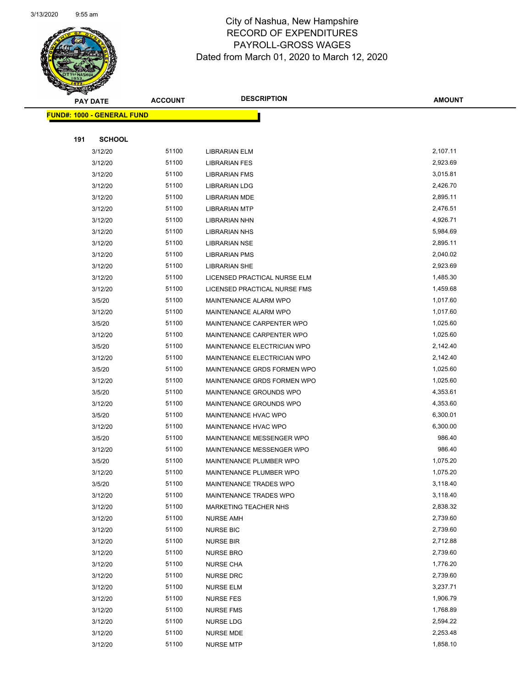

Page 66 of 97

|     | <b>PAY DATE</b>                   | <b>ACCOUNT</b> | <b>DESCRIPTION</b>           | <b>AMOUNT</b> |
|-----|-----------------------------------|----------------|------------------------------|---------------|
|     | <b>FUND#: 1000 - GENERAL FUND</b> |                |                              |               |
|     |                                   |                |                              |               |
| 191 | <b>SCHOOL</b>                     |                |                              |               |
|     | 3/12/20                           | 51100          | LIBRARIAN ELM                | 2,107.11      |
|     | 3/12/20                           | 51100          | <b>LIBRARIAN FES</b>         | 2,923.69      |
|     | 3/12/20                           | 51100          | <b>LIBRARIAN FMS</b>         | 3,015.81      |
|     | 3/12/20                           | 51100          | LIBRARIAN LDG                | 2,426.70      |
|     | 3/12/20                           | 51100          | <b>LIBRARIAN MDE</b>         | 2,895.11      |
|     | 3/12/20                           | 51100          | <b>LIBRARIAN MTP</b>         | 2,476.51      |
|     | 3/12/20                           | 51100          | LIBRARIAN NHN                | 4,926.71      |
|     | 3/12/20                           | 51100          | <b>LIBRARIAN NHS</b>         | 5,984.69      |
|     | 3/12/20                           | 51100          | <b>LIBRARIAN NSE</b>         | 2,895.11      |
|     | 3/12/20                           | 51100          | <b>LIBRARIAN PMS</b>         | 2,040.02      |
|     | 3/12/20                           | 51100          | LIBRARIAN SHE                | 2,923.69      |
|     | 3/12/20                           | 51100          | LICENSED PRACTICAL NURSE ELM | 1,485.30      |
|     | 3/12/20                           | 51100          | LICENSED PRACTICAL NURSE FMS | 1,459.68      |
|     | 3/5/20                            | 51100          | MAINTENANCE ALARM WPO        | 1,017.60      |
|     | 3/12/20                           | 51100          | MAINTENANCE ALARM WPO        | 1,017.60      |
|     | 3/5/20                            | 51100          | MAINTENANCE CARPENTER WPO    | 1,025.60      |
|     | 3/12/20                           | 51100          | MAINTENANCE CARPENTER WPO    | 1,025.60      |
|     | 3/5/20                            | 51100          | MAINTENANCE ELECTRICIAN WPO  | 2,142.40      |
|     | 3/12/20                           | 51100          | MAINTENANCE ELECTRICIAN WPO  | 2,142.40      |
|     | 3/5/20                            | 51100          | MAINTENANCE GRDS FORMEN WPO  | 1,025.60      |
|     | 3/12/20                           | 51100          | MAINTENANCE GRDS FORMEN WPO  | 1,025.60      |
|     | 3/5/20                            | 51100          | MAINTENANCE GROUNDS WPO      | 4,353.61      |
|     | 3/12/20                           | 51100          | MAINTENANCE GROUNDS WPO      | 4,353.60      |
|     | 3/5/20                            | 51100          | MAINTENANCE HVAC WPO         | 6,300.01      |
|     | 3/12/20                           | 51100          | MAINTENANCE HVAC WPO         | 6,300.00      |
|     | 3/5/20                            | 51100          | MAINTENANCE MESSENGER WPO    | 986.40        |
|     | 3/12/20                           | 51100          | MAINTENANCE MESSENGER WPO    | 986.40        |
|     | 3/5/20                            | 51100          | MAINTENANCE PLUMBER WPO      | 1,075.20      |
|     | 3/12/20                           | 51100          | MAINTENANCE PLUMBER WPO      | 1,075.20      |
|     | 3/5/20                            | 51100          | MAINTENANCE TRADES WPO       | 3,118.40      |
|     | 3/12/20                           | 51100          | MAINTENANCE TRADES WPO       | 3,118.40      |
|     | 3/12/20                           | 51100          | <b>MARKETING TEACHER NHS</b> | 2,838.32      |
|     | 3/12/20                           | 51100          | <b>NURSE AMH</b>             | 2,739.60      |
|     | 3/12/20                           | 51100          | <b>NURSE BIC</b>             | 2,739.60      |
|     | 3/12/20                           | 51100          | <b>NURSE BIR</b>             | 2,712.88      |
|     | 3/12/20                           | 51100          | <b>NURSE BRO</b>             | 2,739.60      |
|     | 3/12/20                           | 51100          | <b>NURSE CHA</b>             | 1,776.20      |
|     | 3/12/20                           | 51100          | NURSE DRC                    | 2,739.60      |
|     | 3/12/20                           | 51100          | <b>NURSE ELM</b>             | 3,237.71      |
|     | 3/12/20                           | 51100          | <b>NURSE FES</b>             | 1,906.79      |
|     | 3/12/20                           | 51100          | <b>NURSE FMS</b>             | 1,768.89      |
|     | 3/12/20                           | 51100          | NURSE LDG                    | 2,594.22      |
|     | 3/12/20                           | 51100          | <b>NURSE MDE</b>             | 2,253.48      |
|     | 3/12/20                           | 51100          | <b>NURSE MTP</b>             | 1,858.10      |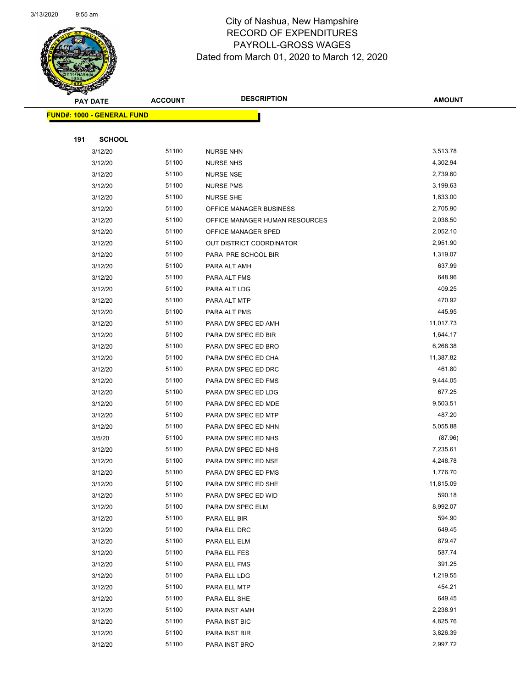

Page 67 of 97

|     | <b>PAY DATE</b>                   | <b>ACCOUNT</b> | <b>DESCRIPTION</b>             | <b>AMOUNT</b>      |
|-----|-----------------------------------|----------------|--------------------------------|--------------------|
|     | <b>FUND#: 1000 - GENERAL FUND</b> |                |                                |                    |
|     |                                   |                |                                |                    |
| 191 | <b>SCHOOL</b>                     |                |                                |                    |
|     | 3/12/20                           | 51100          | <b>NURSE NHN</b>               | 3,513.78           |
|     | 3/12/20                           | 51100          | <b>NURSE NHS</b>               | 4,302.94           |
|     | 3/12/20                           | 51100          | <b>NURSE NSE</b>               | 2,739.60           |
|     | 3/12/20                           | 51100          | <b>NURSE PMS</b>               | 3,199.63           |
|     | 3/12/20                           | 51100          | <b>NURSE SHE</b>               | 1,833.00           |
|     | 3/12/20                           | 51100          | OFFICE MANAGER BUSINESS        | 2,705.90           |
|     | 3/12/20                           | 51100          | OFFICE MANAGER HUMAN RESOURCES | 2,038.50           |
|     | 3/12/20                           | 51100          | OFFICE MANAGER SPED            | 2,052.10           |
|     | 3/12/20                           | 51100          | OUT DISTRICT COORDINATOR       | 2,951.90           |
|     | 3/12/20                           | 51100          | PARA PRE SCHOOL BIR            | 1,319.07           |
|     | 3/12/20                           | 51100          | PARA ALT AMH                   | 637.99             |
|     | 3/12/20                           | 51100          | PARA ALT FMS                   | 648.96             |
|     | 3/12/20                           | 51100          | PARA ALT LDG                   | 409.25             |
|     | 3/12/20                           | 51100          | PARA ALT MTP                   | 470.92             |
|     | 3/12/20                           | 51100          | PARA ALT PMS                   | 445.95             |
|     | 3/12/20                           | 51100          | PARA DW SPEC ED AMH            | 11,017.73          |
|     | 3/12/20                           | 51100          | PARA DW SPEC ED BIR            | 1,644.17           |
|     | 3/12/20                           | 51100          | PARA DW SPEC ED BRO            | 6,268.38           |
|     | 3/12/20                           | 51100          | PARA DW SPEC ED CHA            | 11,387.82          |
|     | 3/12/20                           | 51100          | PARA DW SPEC ED DRC            | 461.80             |
|     | 3/12/20                           | 51100          | PARA DW SPEC ED FMS            | 9,444.05           |
|     | 3/12/20                           | 51100          | PARA DW SPEC ED LDG            | 677.25             |
|     | 3/12/20                           | 51100          | PARA DW SPEC ED MDE            | 9,503.51           |
|     | 3/12/20                           | 51100          | PARA DW SPEC ED MTP            | 487.20             |
|     | 3/12/20                           | 51100          | PARA DW SPEC ED NHN            | 5,055.88           |
|     | 3/5/20                            | 51100          | PARA DW SPEC ED NHS            | (87.96)            |
|     | 3/12/20                           | 51100          | PARA DW SPEC ED NHS            | 7,235.61           |
|     | 3/12/20                           | 51100          | PARA DW SPEC ED NSE            | 4,248.78           |
|     | 3/12/20                           | 51100          | PARA DW SPEC ED PMS            | 1,776.70           |
|     | 3/12/20                           | 51100          | PARA DW SPEC ED SHE            | 11,815.09          |
|     | 3/12/20                           | 51100          | PARA DW SPEC ED WID            | 590.18<br>8,992.07 |
|     | 3/12/20                           | 51100          | PARA DW SPEC ELM               |                    |
|     | 3/12/20<br>3/12/20                | 51100<br>51100 | PARA ELL BIR                   | 594.90<br>649.45   |
|     | 3/12/20                           | 51100          | PARA ELL DRC                   | 879.47             |
|     | 3/12/20                           | 51100          | PARA ELL ELM<br>PARA ELL FES   | 587.74             |
|     | 3/12/20                           | 51100          | PARA ELL FMS                   | 391.25             |
|     | 3/12/20                           | 51100          | PARA ELL LDG                   | 1,219.55           |
|     | 3/12/20                           | 51100          | PARA ELL MTP                   | 454.21             |
|     | 3/12/20                           | 51100          | PARA ELL SHE                   | 649.45             |
|     | 3/12/20                           | 51100          | PARA INST AMH                  | 2,238.91           |
|     | 3/12/20                           | 51100          | PARA INST BIC                  | 4,825.76           |
|     | 3/12/20                           | 51100          | PARA INST BIR                  | 3,826.39           |
|     | 3/12/20                           | 51100          | PARA INST BRO                  | 2,997.72           |
|     |                                   |                |                                |                    |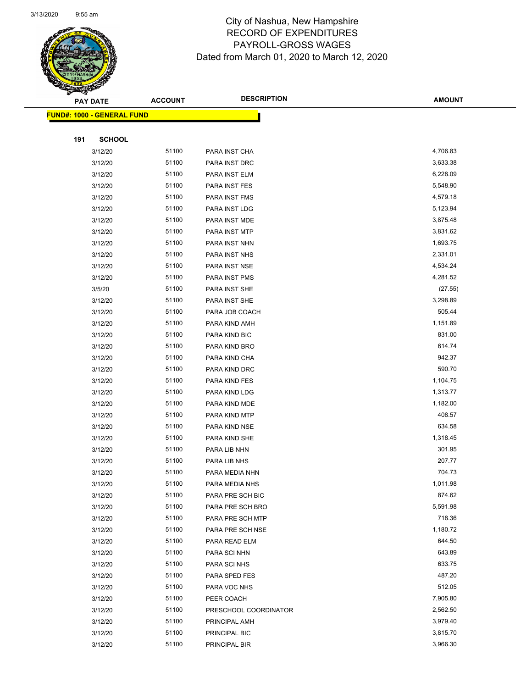

Page 68 of 97

|     | <b>PAY DATE</b>                    | <b>ACCOUNT</b> | <b>DESCRIPTION</b>    | <b>AMOUNT</b> |
|-----|------------------------------------|----------------|-----------------------|---------------|
|     | <u> FUND#: 1000 - GENERAL FUND</u> |                |                       |               |
|     |                                    |                |                       |               |
| 191 | <b>SCHOOL</b>                      |                |                       |               |
|     | 3/12/20                            | 51100          | PARA INST CHA         | 4,706.83      |
|     | 3/12/20                            | 51100          | PARA INST DRC         | 3,633.38      |
|     | 3/12/20                            | 51100          | PARA INST ELM         | 6,228.09      |
|     | 3/12/20                            | 51100          | PARA INST FES         | 5,548.90      |
|     | 3/12/20                            | 51100          | PARA INST FMS         | 4,579.18      |
|     | 3/12/20                            | 51100          | PARA INST LDG         | 5,123.94      |
|     | 3/12/20                            | 51100          | PARA INST MDE         | 3,875.48      |
|     | 3/12/20                            | 51100          | PARA INST MTP         | 3,831.62      |
|     | 3/12/20                            | 51100          | PARA INST NHN         | 1,693.75      |
|     | 3/12/20                            | 51100          | PARA INST NHS         | 2,331.01      |
|     | 3/12/20                            | 51100          | PARA INST NSE         | 4,534.24      |
|     | 3/12/20                            | 51100          | PARA INST PMS         | 4,281.52      |
|     | 3/5/20                             | 51100          | PARA INST SHE         | (27.55)       |
|     | 3/12/20                            | 51100          | PARA INST SHE         | 3,298.89      |
|     | 3/12/20                            | 51100          | PARA JOB COACH        | 505.44        |
|     | 3/12/20                            | 51100          | PARA KIND AMH         | 1,151.89      |
|     | 3/12/20                            | 51100          | PARA KIND BIC         | 831.00        |
|     | 3/12/20                            | 51100          | PARA KIND BRO         | 614.74        |
|     | 3/12/20                            | 51100          | PARA KIND CHA         | 942.37        |
|     | 3/12/20                            | 51100          | PARA KIND DRC         | 590.70        |
|     | 3/12/20                            | 51100          | PARA KIND FES         | 1,104.75      |
|     | 3/12/20                            | 51100          | PARA KIND LDG         | 1,313.77      |
|     | 3/12/20                            | 51100          | PARA KIND MDE         | 1,182.00      |
|     | 3/12/20                            | 51100          | PARA KIND MTP         | 408.57        |
|     | 3/12/20                            | 51100          | PARA KIND NSE         | 634.58        |
|     | 3/12/20                            | 51100          | PARA KIND SHE         | 1,318.45      |
|     | 3/12/20                            | 51100          | PARA LIB NHN          | 301.95        |
|     | 3/12/20                            | 51100          | PARA LIB NHS          | 207.77        |
|     | 3/12/20                            | 51100          | PARA MEDIA NHN        | 704.73        |
|     | 3/12/20                            | 51100          | PARA MEDIA NHS        | 1,011.98      |
|     | 3/12/20                            | 51100          | PARA PRE SCH BIC      | 874.62        |
|     | 3/12/20                            | 51100          | PARA PRE SCH BRO      | 5,591.98      |
|     | 3/12/20                            | 51100          | PARA PRE SCH MTP      | 718.36        |
|     | 3/12/20                            | 51100          | PARA PRE SCH NSE      | 1,180.72      |
|     | 3/12/20                            | 51100          | PARA READ ELM         | 644.50        |
|     | 3/12/20                            | 51100          | PARA SCI NHN          | 643.89        |
|     | 3/12/20                            | 51100          | PARA SCI NHS          | 633.75        |
|     | 3/12/20                            | 51100          | PARA SPED FES         | 487.20        |
|     | 3/12/20                            | 51100          | PARA VOC NHS          | 512.05        |
|     | 3/12/20                            | 51100          | PEER COACH            | 7,905.80      |
|     | 3/12/20                            | 51100          | PRESCHOOL COORDINATOR | 2,562.50      |
|     | 3/12/20                            | 51100          | PRINCIPAL AMH         | 3,979.40      |
|     | 3/12/20                            | 51100          | PRINCIPAL BIC         | 3,815.70      |
|     | 3/12/20                            | 51100          | PRINCIPAL BIR         | 3,966.30      |
|     |                                    |                |                       |               |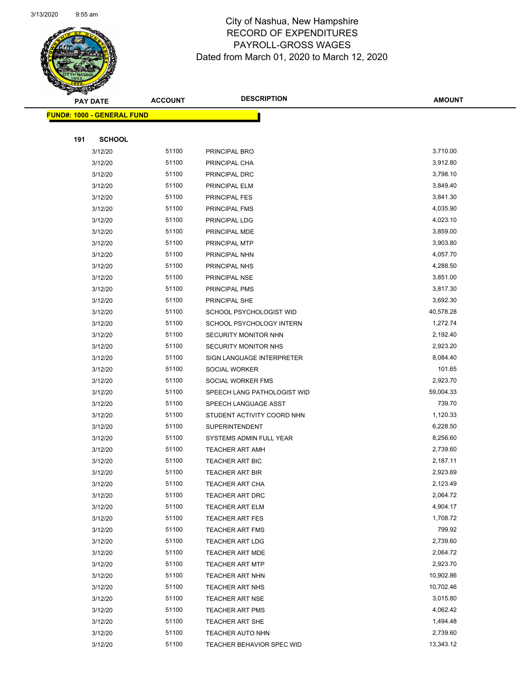

Page 69 of 97

| <b>PAY DATE</b>                   | <b>ACCOUNT</b> | <b>DESCRIPTION</b>                               | <b>AMOUNT</b>        |
|-----------------------------------|----------------|--------------------------------------------------|----------------------|
| <b>FUND#: 1000 - GENERAL FUND</b> |                |                                                  |                      |
|                                   |                |                                                  |                      |
| 191<br><b>SCHOOL</b>              |                |                                                  |                      |
| 3/12/20                           | 51100          | PRINCIPAL BRO                                    | 3,710.00             |
| 3/12/20                           | 51100          | PRINCIPAL CHA                                    | 3,912.80             |
| 3/12/20                           | 51100          | PRINCIPAL DRC                                    | 3,798.10             |
| 3/12/20                           | 51100          | PRINCIPAL ELM                                    | 3,849.40             |
| 3/12/20                           | 51100          | <b>PRINCIPAL FES</b>                             | 3,841.30             |
| 3/12/20                           | 51100          | PRINCIPAL FMS                                    | 4,035.90             |
| 3/12/20                           | 51100          | PRINCIPAL LDG                                    | 4,023.10             |
| 3/12/20                           | 51100          | PRINCIPAL MDE                                    | 3,859.00             |
| 3/12/20                           | 51100          | PRINCIPAL MTP                                    | 3,903.80             |
| 3/12/20                           | 51100          | PRINCIPAL NHN                                    | 4,057.70             |
| 3/12/20                           | 51100          | PRINCIPAL NHS                                    | 4,288.50             |
| 3/12/20                           | 51100          | <b>PRINCIPAL NSE</b>                             | 3,851.00             |
| 3/12/20                           | 51100          | PRINCIPAL PMS                                    | 3,817.30             |
| 3/12/20                           | 51100          | PRINCIPAL SHE                                    | 3,692.30             |
| 3/12/20                           | 51100          | SCHOOL PSYCHOLOGIST WID                          | 40,578.28            |
| 3/12/20                           | 51100          | SCHOOL PSYCHOLOGY INTERN                         | 1,272.74             |
| 3/12/20                           | 51100          | SECURITY MONITOR NHN                             | 2,192.40             |
| 3/12/20                           | 51100          | SECURITY MONITOR NHS                             | 2,923.20             |
| 3/12/20                           | 51100          | SIGN LANGUAGE INTERPRETER                        | 8,084.40             |
| 3/12/20                           | 51100          | SOCIAL WORKER                                    | 101.65               |
| 3/12/20                           | 51100          | SOCIAL WORKER FMS                                | 2,923.70             |
| 3/12/20                           | 51100          | SPEECH LANG PATHOLOGIST WID                      | 59,004.33            |
| 3/12/20                           | 51100          | SPEECH LANGUAGE ASST                             | 739.70               |
| 3/12/20                           | 51100          | STUDENT ACTIVITY COORD NHN                       | 1,120.33             |
| 3/12/20                           | 51100          | <b>SUPERINTENDENT</b>                            | 6,228.50             |
| 3/12/20                           | 51100          | SYSTEMS ADMIN FULL YEAR                          | 8,256.60             |
| 3/12/20                           | 51100          | <b>TEACHER ART AMH</b>                           | 2,739.60             |
| 3/12/20                           | 51100          | TEACHER ART BIC                                  | 2,187.11             |
| 3/12/20                           | 51100          | <b>TEACHER ART BIR</b>                           | 2,923.69             |
| 3/12/20                           | 51100          | <b>TEACHER ART CHA</b>                           | 2,123.49             |
| 3/12/20                           | 51100          | TEACHER ART DRC                                  | 2,064.72             |
| 3/12/20                           | 51100          | <b>TEACHER ART ELM</b>                           | 4,904.17             |
| 3/12/20                           | 51100          | <b>TEACHER ART FES</b>                           | 1,708.72             |
| 3/12/20                           | 51100          | TEACHER ART FMS                                  | 799.92               |
| 3/12/20                           | 51100<br>51100 | <b>TEACHER ART LDG</b>                           | 2,739.60             |
| 3/12/20                           | 51100          | TEACHER ART MDE                                  | 2,064.72<br>2,923.70 |
| 3/12/20                           |                | <b>TEACHER ART MTP</b>                           | 10,902.86            |
| 3/12/20<br>3/12/20                | 51100<br>51100 | TEACHER ART NHN<br>TEACHER ART NHS               | 10,702.46            |
| 3/12/20                           | 51100          |                                                  | 3,015.80             |
| 3/12/20                           | 51100          | <b>TEACHER ART NSE</b><br><b>TEACHER ART PMS</b> | 4,062.42             |
| 3/12/20                           | 51100          | <b>TEACHER ART SHE</b>                           | 1,494.48             |
| 3/12/20                           | 51100          | <b>TEACHER AUTO NHN</b>                          | 2,739.60             |
| 3/12/20                           | 51100          | TEACHER BEHAVIOR SPEC WID                        | 13,343.12            |
|                                   |                |                                                  |                      |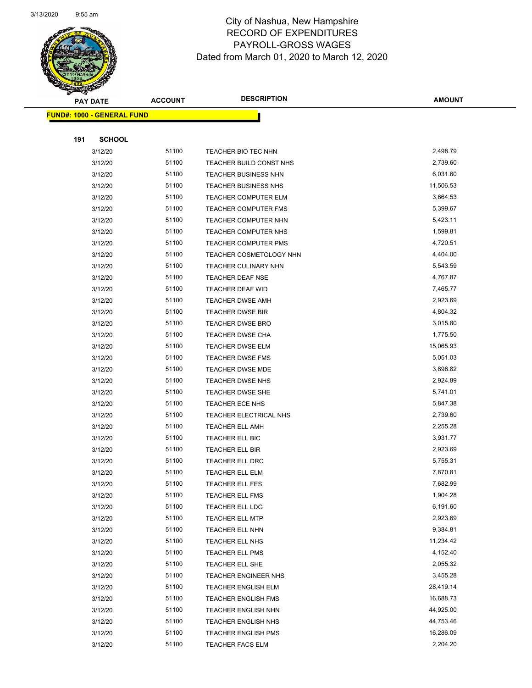

Page 70 of 97

|     | <b>PAY DATE</b>                   | <b>ACCOUNT</b> | <b>DESCRIPTION</b>                 | <b>AMOUNT</b>        |
|-----|-----------------------------------|----------------|------------------------------------|----------------------|
|     | <b>FUND#: 1000 - GENERAL FUND</b> |                |                                    |                      |
|     |                                   |                |                                    |                      |
| 191 | <b>SCHOOL</b>                     |                |                                    |                      |
|     | 3/12/20                           | 51100          | TEACHER BIO TEC NHN                | 2,498.79             |
|     | 3/12/20                           | 51100          | TEACHER BUILD CONST NHS            | 2,739.60             |
|     | 3/12/20                           | 51100          | <b>TEACHER BUSINESS NHN</b>        | 6,031.60             |
|     | 3/12/20                           | 51100          | <b>TEACHER BUSINESS NHS</b>        | 11,506.53            |
|     | 3/12/20                           | 51100          | TEACHER COMPUTER ELM               | 3,664.53             |
|     | 3/12/20                           | 51100          | TEACHER COMPUTER FMS               | 5,399.67             |
|     | 3/12/20                           | 51100          | TEACHER COMPUTER NHN               | 5,423.11             |
|     | 3/12/20                           | 51100          | TEACHER COMPUTER NHS               | 1,599.81             |
|     | 3/12/20                           | 51100          | <b>TEACHER COMPUTER PMS</b>        | 4,720.51             |
|     | 3/12/20                           | 51100          | <b>TEACHER COSMETOLOGY NHN</b>     | 4,404.00             |
|     | 3/12/20                           | 51100          | <b>TEACHER CULINARY NHN</b>        | 5,543.59             |
|     | 3/12/20                           | 51100          | <b>TEACHER DEAF NSE</b>            | 4,767.87             |
|     | 3/12/20                           | 51100          | TEACHER DEAF WID                   | 7,465.77             |
|     | 3/12/20                           | 51100          | <b>TEACHER DWSE AMH</b>            | 2,923.69             |
|     | 3/12/20                           | 51100          | <b>TEACHER DWSE BIR</b>            | 4,804.32             |
|     | 3/12/20                           | 51100          | TEACHER DWSE BRO                   | 3,015.80             |
|     | 3/12/20                           | 51100          | TEACHER DWSE CHA                   | 1,775.50             |
|     | 3/12/20                           | 51100          | TEACHER DWSE ELM                   | 15,065.93            |
|     | 3/12/20                           | 51100          | <b>TEACHER DWSE FMS</b>            | 5,051.03             |
|     | 3/12/20                           | 51100          | TEACHER DWSE MDE                   | 3,896.82             |
|     | 3/12/20                           | 51100          | <b>TEACHER DWSE NHS</b>            | 2,924.89             |
|     | 3/12/20                           | 51100          | <b>TEACHER DWSE SHE</b>            | 5,741.01             |
|     | 3/12/20                           | 51100          | TEACHER ECE NHS                    | 5,847.38             |
|     | 3/12/20                           | 51100          | TEACHER ELECTRICAL NHS             | 2,739.60             |
|     | 3/12/20                           | 51100          | <b>TEACHER ELL AMH</b>             | 2,255.28             |
|     | 3/12/20                           | 51100          | TEACHER ELL BIC                    | 3,931.77             |
|     | 3/12/20                           | 51100          | <b>TEACHER ELL BIR</b>             | 2,923.69             |
|     | 3/12/20                           | 51100          | TEACHER ELL DRC                    | 5,755.31             |
|     | 3/12/20                           | 51100          | <b>TEACHER ELL ELM</b>             | 7,870.81             |
|     | 3/12/20                           | 51100          | TEACHER ELL FES                    | 7,682.99             |
|     | 3/12/20                           | 51100<br>51100 | TEACHER ELL FMS<br>TEACHER ELL LDG | 1,904.28<br>6,191.60 |
|     | 3/12/20<br>3/12/20                | 51100          | TEACHER ELL MTP                    | 2,923.69             |
|     | 3/12/20                           | 51100          | TEACHER ELL NHN                    | 9,384.81             |
|     | 3/12/20                           | 51100          | TEACHER ELL NHS                    | 11,234.42            |
|     | 3/12/20                           | 51100          | <b>TEACHER ELL PMS</b>             | 4,152.40             |
|     | 3/12/20                           | 51100          | TEACHER ELL SHE                    | 2,055.32             |
|     | 3/12/20                           | 51100          | <b>TEACHER ENGINEER NHS</b>        | 3,455.28             |
|     | 3/12/20                           | 51100          | <b>TEACHER ENGLISH ELM</b>         | 28,419.14            |
|     | 3/12/20                           | 51100          | <b>TEACHER ENGLISH FMS</b>         | 16,688.73            |
|     | 3/12/20                           | 51100          | <b>TEACHER ENGLISH NHN</b>         | 44,925.00            |
|     | 3/12/20                           | 51100          | <b>TEACHER ENGLISH NHS</b>         | 44,753.46            |
|     | 3/12/20                           | 51100          | <b>TEACHER ENGLISH PMS</b>         | 16,286.09            |
|     | 3/12/20                           | 51100          | <b>TEACHER FACS ELM</b>            | 2,204.20             |
|     |                                   |                |                                    |                      |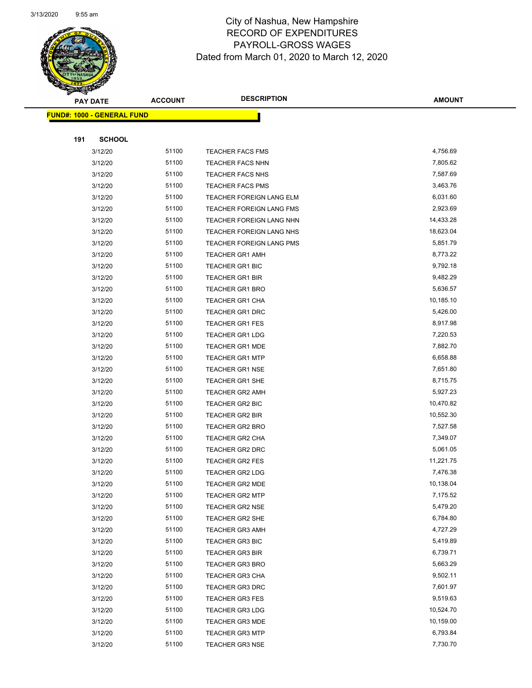

Page 71 of 97

| <b>PAY DATE</b> |                                   | <b>ACCOUNT</b> | <b>DESCRIPTION</b>              | <b>AMOUNT</b> |
|-----------------|-----------------------------------|----------------|---------------------------------|---------------|
|                 | <b>FUND#: 1000 - GENERAL FUND</b> |                |                                 |               |
|                 |                                   |                |                                 |               |
| 191             | <b>SCHOOL</b>                     |                |                                 |               |
|                 | 3/12/20                           | 51100          | <b>TEACHER FACS FMS</b>         | 4,756.69      |
|                 | 3/12/20                           | 51100          | <b>TEACHER FACS NHN</b>         | 7,805.62      |
|                 | 3/12/20                           | 51100          | <b>TEACHER FACS NHS</b>         | 7,587.69      |
|                 | 3/12/20                           | 51100          | <b>TEACHER FACS PMS</b>         | 3,463.76      |
|                 | 3/12/20                           | 51100          | TEACHER FOREIGN LANG ELM        | 6,031.60      |
|                 | 3/12/20                           | 51100          | TEACHER FOREIGN LANG FMS        | 2,923.69      |
|                 | 3/12/20                           | 51100          | <b>TEACHER FOREIGN LANG NHN</b> | 14,433.28     |
|                 | 3/12/20                           | 51100          | TEACHER FOREIGN LANG NHS        | 18,623.04     |
|                 | 3/12/20                           | 51100          | TEACHER FOREIGN LANG PMS        | 5,851.79      |
|                 | 3/12/20                           | 51100          | <b>TEACHER GR1 AMH</b>          | 8,773.22      |
|                 | 3/12/20                           | 51100          | <b>TEACHER GR1 BIC</b>          | 9,792.18      |
|                 | 3/12/20                           | 51100          | <b>TEACHER GR1 BIR</b>          | 9,482.29      |
|                 | 3/12/20                           | 51100          | <b>TEACHER GR1 BRO</b>          | 5,636.57      |
|                 | 3/12/20                           | 51100          | TEACHER GR1 CHA                 | 10,185.10     |
|                 | 3/12/20                           | 51100          | TEACHER GR1 DRC                 | 5,426.00      |
|                 | 3/12/20                           | 51100          | <b>TEACHER GR1 FES</b>          | 8,917.98      |
|                 | 3/12/20                           | 51100          | <b>TEACHER GR1 LDG</b>          | 7,220.53      |
|                 | 3/12/20                           | 51100          | <b>TEACHER GR1 MDE</b>          | 7,882.70      |
|                 | 3/12/20                           | 51100          | <b>TEACHER GR1 MTP</b>          | 6,658.88      |
|                 | 3/12/20                           | 51100          | <b>TEACHER GR1 NSE</b>          | 7,651.80      |
|                 | 3/12/20                           | 51100          | TEACHER GR1 SHE                 | 8,715.75      |
|                 | 3/12/20                           | 51100          | <b>TEACHER GR2 AMH</b>          | 5,927.23      |
|                 | 3/12/20                           | 51100          | TEACHER GR2 BIC                 | 10,470.82     |
|                 | 3/12/20                           | 51100          | TEACHER GR2 BIR                 | 10,552.30     |
|                 | 3/12/20                           | 51100          | <b>TEACHER GR2 BRO</b>          | 7,527.58      |
|                 | 3/12/20                           | 51100          | TEACHER GR2 CHA                 | 7,349.07      |
|                 | 3/12/20                           | 51100          | TEACHER GR2 DRC                 | 5,061.05      |
|                 | 3/12/20                           | 51100          | <b>TEACHER GR2 FES</b>          | 11,221.75     |
|                 | 3/12/20                           | 51100          | TEACHER GR2 LDG                 | 7,476.38      |
|                 | 3/12/20                           | 51100          | <b>TEACHER GR2 MDE</b>          | 10,138.04     |
|                 | 3/12/20                           | 51100          | <b>TEACHER GR2 MTP</b>          | 7,175.52      |
|                 | 3/12/20                           | 51100          | <b>TEACHER GR2 NSE</b>          | 5,479.20      |
|                 | 3/12/20                           | 51100          | <b>TEACHER GR2 SHE</b>          | 6,784.80      |
|                 | 3/12/20                           | 51100          | <b>TEACHER GR3 AMH</b>          | 4,727.29      |
|                 | 3/12/20                           | 51100          | <b>TEACHER GR3 BIC</b>          | 5,419.89      |
|                 | 3/12/20                           | 51100          | TEACHER GR3 BIR                 | 6,739.71      |
|                 | 3/12/20                           | 51100          | <b>TEACHER GR3 BRO</b>          | 5,663.29      |
|                 | 3/12/20                           | 51100          | <b>TEACHER GR3 CHA</b>          | 9,502.11      |
|                 | 3/12/20                           | 51100          | <b>TEACHER GR3 DRC</b>          | 7,601.97      |
|                 | 3/12/20                           | 51100          | <b>TEACHER GR3 FES</b>          | 9,519.63      |
|                 | 3/12/20                           | 51100          | <b>TEACHER GR3 LDG</b>          | 10,524.70     |
|                 | 3/12/20                           | 51100          | <b>TEACHER GR3 MDE</b>          | 10,159.00     |
|                 | 3/12/20                           | 51100          | <b>TEACHER GR3 MTP</b>          | 6,793.84      |
|                 | 3/12/20                           | 51100          | <b>TEACHER GR3 NSE</b>          | 7,730.70      |
|                 |                                   |                |                                 |               |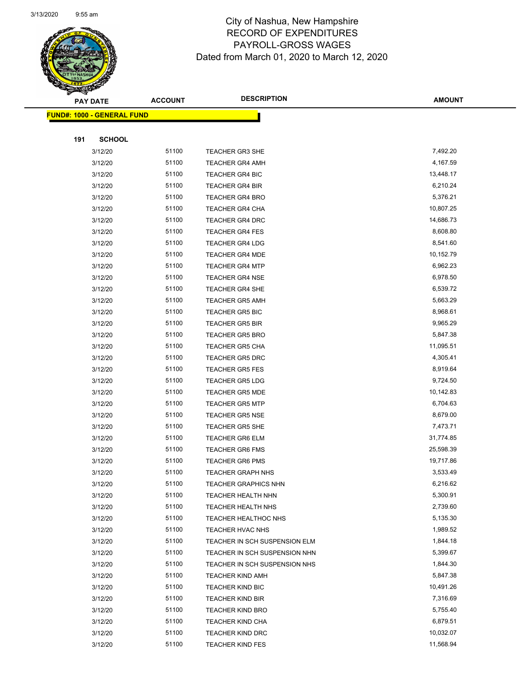

Page 72 of 97

|     | <b>PAY DATE</b>                   | <b>ACCOUNT</b> | <b>DESCRIPTION</b>            | <b>AMOUNT</b> |
|-----|-----------------------------------|----------------|-------------------------------|---------------|
|     | <b>FUND#: 1000 - GENERAL FUND</b> |                |                               |               |
|     |                                   |                |                               |               |
| 191 | <b>SCHOOL</b>                     |                |                               |               |
|     | 3/12/20                           | 51100          | <b>TEACHER GR3 SHE</b>        | 7,492.20      |
|     | 3/12/20                           | 51100          | <b>TEACHER GR4 AMH</b>        | 4,167.59      |
|     | 3/12/20                           | 51100          | <b>TEACHER GR4 BIC</b>        | 13,448.17     |
|     | 3/12/20                           | 51100          | <b>TEACHER GR4 BIR</b>        | 6,210.24      |
|     | 3/12/20                           | 51100          | <b>TEACHER GR4 BRO</b>        | 5,376.21      |
|     | 3/12/20                           | 51100          | <b>TEACHER GR4 CHA</b>        | 10,807.25     |
|     | 3/12/20                           | 51100          | <b>TEACHER GR4 DRC</b>        | 14,686.73     |
|     | 3/12/20                           | 51100          | <b>TEACHER GR4 FES</b>        | 8,608.80      |
|     | 3/12/20                           | 51100          | <b>TEACHER GR4 LDG</b>        | 8,541.60      |
|     | 3/12/20                           | 51100          | <b>TEACHER GR4 MDE</b>        | 10,152.79     |
|     | 3/12/20                           | 51100          | <b>TEACHER GR4 MTP</b>        | 6,962.23      |
|     | 3/12/20                           | 51100          | <b>TEACHER GR4 NSE</b>        | 6,978.50      |
|     | 3/12/20                           | 51100          | TEACHER GR4 SHE               | 6,539.72      |
|     | 3/12/20                           | 51100          | <b>TEACHER GR5 AMH</b>        | 5,663.29      |
|     | 3/12/20                           | 51100          | <b>TEACHER GR5 BIC</b>        | 8,968.61      |
|     | 3/12/20                           | 51100          | <b>TEACHER GR5 BIR</b>        | 9,965.29      |
|     | 3/12/20                           | 51100          | <b>TEACHER GR5 BRO</b>        | 5,847.38      |
|     | 3/12/20                           | 51100          | <b>TEACHER GR5 CHA</b>        | 11,095.51     |
|     | 3/12/20                           | 51100          | <b>TEACHER GR5 DRC</b>        | 4,305.41      |
|     | 3/12/20                           | 51100          | <b>TEACHER GR5 FES</b>        | 8,919.64      |
|     | 3/12/20                           | 51100          | <b>TEACHER GR5 LDG</b>        | 9,724.50      |
|     | 3/12/20                           | 51100          | <b>TEACHER GR5 MDE</b>        | 10,142.83     |
|     | 3/12/20                           | 51100          | <b>TEACHER GR5 MTP</b>        | 6,704.63      |
|     | 3/12/20                           | 51100          | <b>TEACHER GR5 NSE</b>        | 8,679.00      |
|     | 3/12/20                           | 51100          | <b>TEACHER GR5 SHE</b>        | 7,473.71      |
|     | 3/12/20                           | 51100          | <b>TEACHER GR6 ELM</b>        | 31,774.85     |
|     | 3/12/20                           | 51100          | <b>TEACHER GR6 FMS</b>        | 25,598.39     |
|     | 3/12/20                           | 51100          | <b>TEACHER GR6 PMS</b>        | 19,717.86     |
|     | 3/12/20                           | 51100          | <b>TEACHER GRAPH NHS</b>      | 3,533.49      |
|     | 3/12/20                           | 51100          | TEACHER GRAPHICS NHN          | 6,216.62      |
|     | 3/12/20                           | 51100          | TEACHER HEALTH NHN            | 5,300.91      |
|     | 3/12/20                           | 51100          | TEACHER HEALTH NHS            | 2,739.60      |
|     | 3/12/20                           | 51100          | TEACHER HEALTHOC NHS          | 5,135.30      |
|     | 3/12/20                           | 51100          | TEACHER HVAC NHS              | 1,989.52      |
|     | 3/12/20                           | 51100          | TEACHER IN SCH SUSPENSION ELM | 1,844.18      |
|     | 3/12/20                           | 51100          | TEACHER IN SCH SUSPENSION NHN | 5,399.67      |
|     | 3/12/20                           | 51100          | TEACHER IN SCH SUSPENSION NHS | 1,844.30      |
|     | 3/12/20                           | 51100          | <b>TEACHER KIND AMH</b>       | 5,847.38      |
|     | 3/12/20                           | 51100          | <b>TEACHER KIND BIC</b>       | 10,491.26     |
|     | 3/12/20                           | 51100          | <b>TEACHER KIND BIR</b>       | 7,316.69      |
|     | 3/12/20                           | 51100          | <b>TEACHER KIND BRO</b>       | 5,755.40      |
|     | 3/12/20                           | 51100          | <b>TEACHER KIND CHA</b>       | 6,879.51      |
|     | 3/12/20                           | 51100          | <b>TEACHER KIND DRC</b>       | 10,032.07     |
|     | 3/12/20                           | 51100          | <b>TEACHER KIND FES</b>       | 11,568.94     |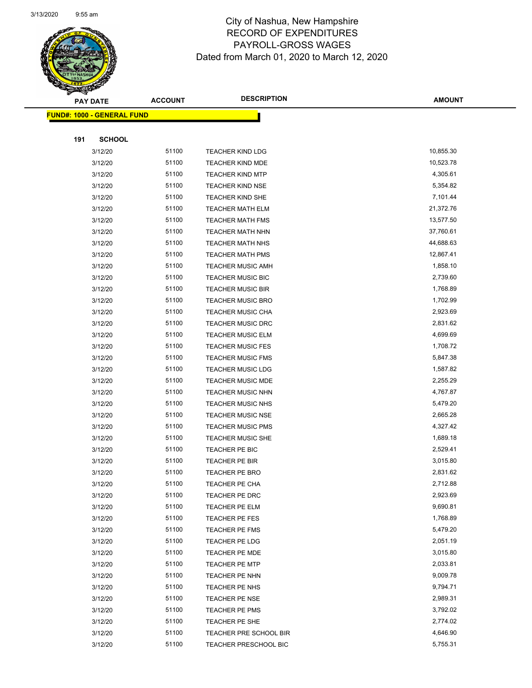

Page 73 of 97

|     | <b>PAY DATE</b>                   | <b>ACCOUNT</b> | <b>DESCRIPTION</b>           | <b>AMOUNT</b> |
|-----|-----------------------------------|----------------|------------------------------|---------------|
|     | <b>FUND#: 1000 - GENERAL FUND</b> |                |                              |               |
|     |                                   |                |                              |               |
| 191 | <b>SCHOOL</b>                     |                |                              |               |
|     | 3/12/20                           | 51100          | <b>TEACHER KIND LDG</b>      | 10,855.30     |
|     | 3/12/20                           | 51100          | <b>TEACHER KIND MDE</b>      | 10,523.78     |
|     | 3/12/20                           | 51100          | <b>TEACHER KIND MTP</b>      | 4,305.61      |
|     | 3/12/20                           | 51100          | <b>TEACHER KIND NSE</b>      | 5,354.82      |
|     | 3/12/20                           | 51100          | <b>TEACHER KIND SHE</b>      | 7,101.44      |
|     | 3/12/20                           | 51100          | <b>TEACHER MATH ELM</b>      | 21,372.76     |
|     | 3/12/20                           | 51100          | <b>TEACHER MATH FMS</b>      | 13,577.50     |
|     | 3/12/20                           | 51100          | TEACHER MATH NHN             | 37,760.61     |
|     | 3/12/20                           | 51100          | <b>TEACHER MATH NHS</b>      | 44,688.63     |
|     | 3/12/20                           | 51100          | <b>TEACHER MATH PMS</b>      | 12,867.41     |
|     | 3/12/20                           | 51100          | <b>TEACHER MUSIC AMH</b>     | 1,858.10      |
|     | 3/12/20                           | 51100          | <b>TEACHER MUSIC BIC</b>     | 2,739.60      |
|     | 3/12/20                           | 51100          | <b>TEACHER MUSIC BIR</b>     | 1,768.89      |
|     | 3/12/20                           | 51100          | <b>TEACHER MUSIC BRO</b>     | 1,702.99      |
|     | 3/12/20                           | 51100          | <b>TEACHER MUSIC CHA</b>     | 2,923.69      |
|     | 3/12/20                           | 51100          | <b>TEACHER MUSIC DRC</b>     | 2,831.62      |
|     | 3/12/20                           | 51100          | <b>TEACHER MUSIC ELM</b>     | 4,699.69      |
|     | 3/12/20                           | 51100          | <b>TEACHER MUSIC FES</b>     | 1,708.72      |
|     | 3/12/20                           | 51100          | <b>TEACHER MUSIC FMS</b>     | 5,847.38      |
|     | 3/12/20                           | 51100          | <b>TEACHER MUSIC LDG</b>     | 1,587.82      |
|     | 3/12/20                           | 51100          | <b>TEACHER MUSIC MDE</b>     | 2,255.29      |
|     | 3/12/20                           | 51100          | <b>TEACHER MUSIC NHN</b>     | 4,767.87      |
|     | 3/12/20                           | 51100          | <b>TEACHER MUSIC NHS</b>     | 5,479.20      |
|     | 3/12/20                           | 51100          | <b>TEACHER MUSIC NSE</b>     | 2,665.28      |
|     | 3/12/20                           | 51100          | <b>TEACHER MUSIC PMS</b>     | 4,327.42      |
|     | 3/12/20                           | 51100          | <b>TEACHER MUSIC SHE</b>     | 1,689.18      |
|     | 3/12/20                           | 51100          | TEACHER PE BIC               | 2,529.41      |
|     | 3/12/20                           | 51100          | <b>TEACHER PE BIR</b>        | 3,015.80      |
|     | 3/12/20                           | 51100          | <b>TEACHER PE BRO</b>        | 2,831.62      |
|     | 3/12/20                           | 51100          | <b>TEACHER PE CHA</b>        | 2,712.88      |
|     | 3/12/20                           | 51100          | TEACHER PE DRC               | 2,923.69      |
|     | 3/12/20                           | 51100          | TEACHER PE ELM               | 9,690.81      |
|     | 3/12/20                           | 51100          | <b>TEACHER PE FES</b>        | 1,768.89      |
|     | 3/12/20                           | 51100          | <b>TEACHER PE FMS</b>        | 5,479.20      |
|     | 3/12/20                           | 51100          | <b>TEACHER PE LDG</b>        | 2,051.19      |
|     | 3/12/20                           | 51100          | TEACHER PE MDE               | 3,015.80      |
|     | 3/12/20                           | 51100          | <b>TEACHER PE MTP</b>        | 2,033.81      |
|     | 3/12/20                           | 51100          | TEACHER PE NHN               | 9,009.78      |
|     | 3/12/20                           | 51100          | TEACHER PE NHS               | 9,794.71      |
|     | 3/12/20                           | 51100          | <b>TEACHER PE NSE</b>        | 2,989.31      |
|     | 3/12/20                           | 51100          | TEACHER PE PMS               | 3,792.02      |
|     | 3/12/20                           | 51100          | TEACHER PE SHE               | 2,774.02      |
|     | 3/12/20                           | 51100          | TEACHER PRE SCHOOL BIR       | 4,646.90      |
|     | 3/12/20                           | 51100          | <b>TEACHER PRESCHOOL BIC</b> | 5,755.31      |
|     |                                   |                |                              |               |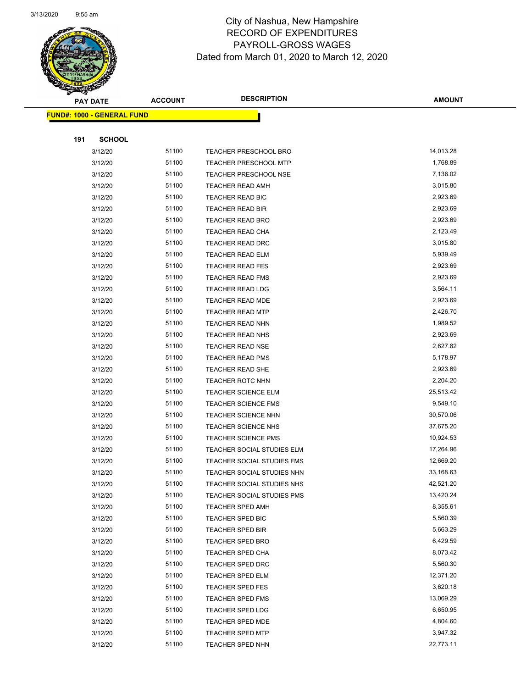

Page 74 of 97

|     | <b>PAY DATE</b>                   | <b>ACCOUNT</b> | <b>DESCRIPTION</b>                                 | <b>AMOUNT</b>         |
|-----|-----------------------------------|----------------|----------------------------------------------------|-----------------------|
|     | <b>FUND#: 1000 - GENERAL FUND</b> |                |                                                    |                       |
|     |                                   |                |                                                    |                       |
| 191 | <b>SCHOOL</b>                     |                |                                                    |                       |
|     | 3/12/20                           | 51100          | TEACHER PRESCHOOL BRO                              | 14,013.28             |
|     | 3/12/20                           | 51100          | <b>TEACHER PRESCHOOL MTP</b>                       | 1,768.89              |
|     | 3/12/20                           | 51100          | <b>TEACHER PRESCHOOL NSE</b>                       | 7,136.02              |
|     | 3/12/20                           | 51100          | <b>TEACHER READ AMH</b>                            | 3,015.80              |
|     | 3/12/20                           | 51100          | TEACHER READ BIC                                   | 2,923.69              |
|     | 3/12/20                           | 51100          | TEACHER READ BIR                                   | 2,923.69              |
|     | 3/12/20                           | 51100          | <b>TEACHER READ BRO</b>                            | 2,923.69              |
|     | 3/12/20                           | 51100          | <b>TEACHER READ CHA</b>                            | 2,123.49              |
|     | 3/12/20                           | 51100          | TEACHER READ DRC                                   | 3,015.80              |
|     | 3/12/20                           | 51100          | <b>TEACHER READ ELM</b>                            | 5,939.49              |
|     | 3/12/20                           | 51100          | <b>TEACHER READ FES</b>                            | 2,923.69              |
|     | 3/12/20                           | 51100          | <b>TEACHER READ FMS</b>                            | 2,923.69              |
|     | 3/12/20                           | 51100          | <b>TEACHER READ LDG</b>                            | 3,564.11              |
|     | 3/12/20                           | 51100          | <b>TEACHER READ MDE</b>                            | 2,923.69              |
|     | 3/12/20                           | 51100          | <b>TEACHER READ MTP</b>                            | 2,426.70              |
|     | 3/12/20                           | 51100          | <b>TEACHER READ NHN</b>                            | 1,989.52              |
|     | 3/12/20                           | 51100          | <b>TEACHER READ NHS</b>                            | 2,923.69              |
|     | 3/12/20                           | 51100          | <b>TEACHER READ NSE</b>                            | 2,627.82              |
|     | 3/12/20                           | 51100          | <b>TEACHER READ PMS</b>                            | 5,178.97              |
|     | 3/12/20                           | 51100          | TEACHER READ SHE                                   | 2,923.69              |
|     | 3/12/20                           | 51100          | TEACHER ROTC NHN                                   | 2,204.20              |
|     | 3/12/20                           | 51100          | <b>TEACHER SCIENCE ELM</b>                         | 25,513.42             |
|     | 3/12/20                           | 51100          | <b>TEACHER SCIENCE FMS</b>                         | 9,549.10              |
|     | 3/12/20                           | 51100          | TEACHER SCIENCE NHN                                | 30,570.06             |
|     | 3/12/20                           | 51100          | TEACHER SCIENCE NHS                                | 37,675.20             |
|     | 3/12/20                           | 51100          | <b>TEACHER SCIENCE PMS</b>                         | 10,924.53             |
|     | 3/12/20                           | 51100          | TEACHER SOCIAL STUDIES ELM                         | 17,264.96             |
|     | 3/12/20                           | 51100          | TEACHER SOCIAL STUDIES FMS                         | 12,669.20             |
|     | 3/12/20                           | 51100          | TEACHER SOCIAL STUDIES NHN                         | 33,168.63             |
|     | 3/12/20                           | 51100          | TEACHER SOCIAL STUDIES NHS                         | 42,521.20             |
|     | 3/12/20                           | 51100          | TEACHER SOCIAL STUDIES PMS                         | 13,420.24             |
|     | 3/12/20                           | 51100          | <b>TEACHER SPED AMH</b>                            | 8,355.61              |
|     | 3/12/20                           | 51100          | TEACHER SPED BIC                                   | 5,560.39              |
|     | 3/12/20                           | 51100          | <b>TEACHER SPED BIR</b>                            | 5,663.29              |
|     | 3/12/20                           | 51100          | TEACHER SPED BRO                                   | 6,429.59              |
|     | 3/12/20                           | 51100          | <b>TEACHER SPED CHA</b>                            | 8,073.42<br>5,560.30  |
|     | 3/12/20                           | 51100          | <b>TEACHER SPED DRC</b>                            | 12,371.20             |
|     | 3/12/20                           | 51100          | <b>TEACHER SPED ELM</b><br><b>TEACHER SPED FES</b> |                       |
|     | 3/12/20                           | 51100<br>51100 |                                                    | 3,620.18<br>13,069.29 |
|     | 3/12/20                           | 51100          | <b>TEACHER SPED FMS</b>                            | 6,650.95              |
|     | 3/12/20<br>3/12/20                | 51100          | <b>TEACHER SPED LDG</b><br><b>TEACHER SPED MDE</b> | 4,804.60              |
|     | 3/12/20                           | 51100          | <b>TEACHER SPED MTP</b>                            | 3,947.32              |
|     | 3/12/20                           | 51100          | TEACHER SPED NHN                                   | 22,773.11             |
|     |                                   |                |                                                    |                       |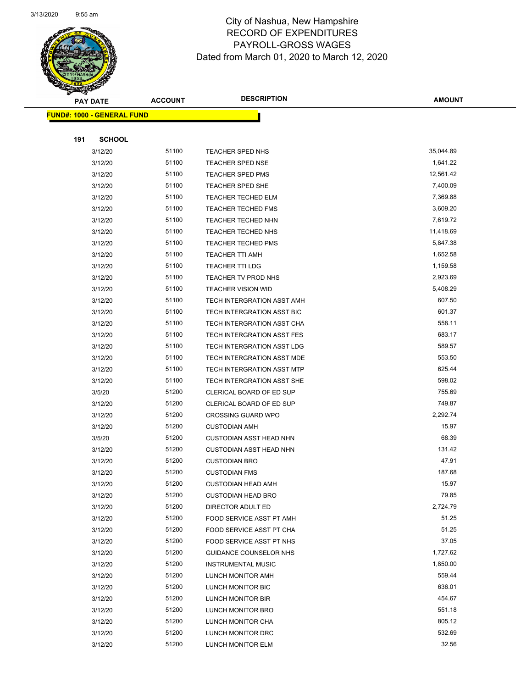

Page 75 of 97

|     | <b>PAY DATE</b>                   | <b>ACCOUNT</b> | <b>DESCRIPTION</b>                            | <b>AMOUNT</b>  |
|-----|-----------------------------------|----------------|-----------------------------------------------|----------------|
|     | <b>FUND#: 1000 - GENERAL FUND</b> |                |                                               |                |
|     |                                   |                |                                               |                |
| 191 | <b>SCHOOL</b>                     |                |                                               |                |
|     | 3/12/20                           | 51100          | TEACHER SPED NHS                              | 35,044.89      |
|     | 3/12/20                           | 51100          | <b>TEACHER SPED NSE</b>                       | 1,641.22       |
|     | 3/12/20                           | 51100          | <b>TEACHER SPED PMS</b>                       | 12,561.42      |
|     | 3/12/20                           | 51100          | TEACHER SPED SHE                              | 7,400.09       |
|     | 3/12/20                           | 51100          | <b>TEACHER TECHED ELM</b>                     | 7,369.88       |
|     | 3/12/20                           | 51100          | <b>TEACHER TECHED FMS</b>                     | 3,609.20       |
|     | 3/12/20                           | 51100          | <b>TEACHER TECHED NHN</b>                     | 7,619.72       |
|     | 3/12/20                           | 51100          | TEACHER TECHED NHS                            | 11,418.69      |
|     | 3/12/20                           | 51100          | <b>TEACHER TECHED PMS</b>                     | 5,847.38       |
|     | 3/12/20                           | 51100          | <b>TEACHER TTI AMH</b>                        | 1,652.58       |
|     | 3/12/20                           | 51100          | <b>TEACHER TTI LDG</b>                        | 1,159.58       |
|     | 3/12/20                           | 51100          | TEACHER TV PROD NHS                           | 2,923.69       |
|     | 3/12/20                           | 51100          | <b>TEACHER VISION WID</b>                     | 5,408.29       |
|     | 3/12/20                           | 51100          | TECH INTERGRATION ASST AMH                    | 607.50         |
|     | 3/12/20                           | 51100          | TECH INTERGRATION ASST BIC                    | 601.37         |
|     | 3/12/20                           | 51100          | TECH INTERGRATION ASST CHA                    | 558.11         |
|     | 3/12/20                           | 51100          | TECH INTERGRATION ASST FES                    | 683.17         |
|     | 3/12/20                           | 51100          | TECH INTERGRATION ASST LDG                    | 589.57         |
|     | 3/12/20                           | 51100          | TECH INTERGRATION ASST MDE                    | 553.50         |
|     | 3/12/20                           | 51100          | TECH INTERGRATION ASST MTP                    | 625.44         |
|     | 3/12/20                           | 51100          | TECH INTERGRATION ASST SHE                    | 598.02         |
|     | 3/5/20                            | 51200          | CLERICAL BOARD OF ED SUP                      | 755.69         |
|     | 3/12/20                           | 51200          | CLERICAL BOARD OF ED SUP                      | 749.87         |
|     | 3/12/20                           | 51200          | <b>CROSSING GUARD WPO</b>                     | 2,292.74       |
|     | 3/12/20                           | 51200          | <b>CUSTODIAN AMH</b>                          | 15.97          |
|     | 3/5/20                            | 51200          | <b>CUSTODIAN ASST HEAD NHN</b>                | 68.39          |
|     | 3/12/20                           | 51200          | <b>CUSTODIAN ASST HEAD NHN</b>                | 131.42         |
|     | 3/12/20                           | 51200          | <b>CUSTODIAN BRO</b>                          | 47.91          |
|     | 3/12/20                           | 51200          | <b>CUSTODIAN FMS</b>                          | 187.68         |
|     | 3/12/20                           | 51200          | <b>CUSTODIAN HEAD AMH</b>                     | 15.97<br>79.85 |
|     | 3/12/20                           | 51200<br>51200 | <b>CUSTODIAN HEAD BRO</b>                     | 2,724.79       |
|     | 3/12/20<br>3/12/20                | 51200          | DIRECTOR ADULT ED<br>FOOD SERVICE ASST PT AMH | 51.25          |
|     | 3/12/20                           | 51200          | FOOD SERVICE ASST PT CHA                      | 51.25          |
|     | 3/12/20                           | 51200          | FOOD SERVICE ASST PT NHS                      | 37.05          |
|     | 3/12/20                           | 51200          | GUIDANCE COUNSELOR NHS                        | 1,727.62       |
|     | 3/12/20                           | 51200          | <b>INSTRUMENTAL MUSIC</b>                     | 1,850.00       |
|     | 3/12/20                           | 51200          | LUNCH MONITOR AMH                             | 559.44         |
|     | 3/12/20                           | 51200          | LUNCH MONITOR BIC                             | 636.01         |
|     | 3/12/20                           | 51200          | LUNCH MONITOR BIR                             | 454.67         |
|     | 3/12/20                           | 51200          | LUNCH MONITOR BRO                             | 551.18         |
|     | 3/12/20                           | 51200          | LUNCH MONITOR CHA                             | 805.12         |
|     | 3/12/20                           | 51200          | LUNCH MONITOR DRC                             | 532.69         |
|     | 3/12/20                           | 51200          | LUNCH MONITOR ELM                             | 32.56          |
|     |                                   |                |                                               |                |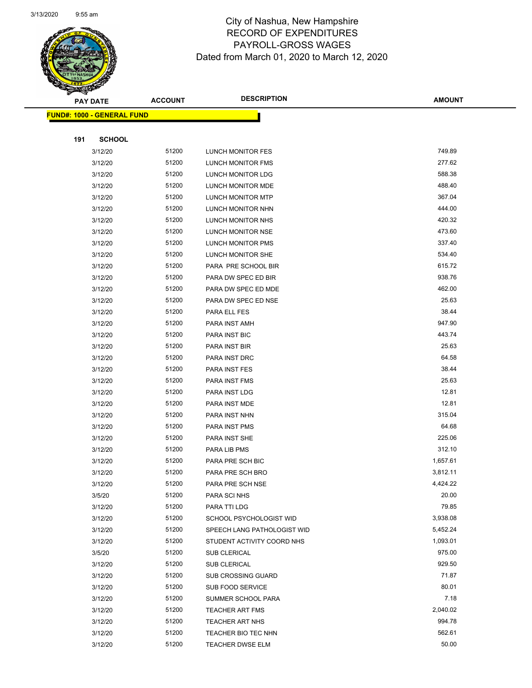

Page 76 of 97

| <b>PAY DATE</b>                   | <b>ACCOUNT</b> | <b>DESCRIPTION</b>          | <b>AMOUNT</b> |
|-----------------------------------|----------------|-----------------------------|---------------|
| <b>FUND#: 1000 - GENERAL FUND</b> |                |                             |               |
|                                   |                |                             |               |
| 191<br><b>SCHOOL</b>              |                |                             |               |
| 3/12/20                           | 51200          | LUNCH MONITOR FES           | 749.89        |
| 3/12/20                           | 51200          | LUNCH MONITOR FMS           | 277.62        |
| 3/12/20                           | 51200          | LUNCH MONITOR LDG           | 588.38        |
| 3/12/20                           | 51200          | LUNCH MONITOR MDE           | 488.40        |
| 3/12/20                           | 51200          | LUNCH MONITOR MTP           | 367.04        |
| 3/12/20                           | 51200          | LUNCH MONITOR NHN           | 444.00        |
| 3/12/20                           | 51200          | LUNCH MONITOR NHS           | 420.32        |
| 3/12/20                           | 51200          | LUNCH MONITOR NSE           | 473.60        |
| 3/12/20                           | 51200          | LUNCH MONITOR PMS           | 337.40        |
| 3/12/20                           | 51200          | LUNCH MONITOR SHE           | 534.40        |
| 3/12/20                           | 51200          | PARA PRE SCHOOL BIR         | 615.72        |
| 3/12/20                           | 51200          | PARA DW SPEC ED BIR         | 938.76        |
| 3/12/20                           | 51200          | PARA DW SPEC ED MDE         | 462.00        |
| 3/12/20                           | 51200          | PARA DW SPEC ED NSE         | 25.63         |
| 3/12/20                           | 51200          | PARA ELL FES                | 38.44         |
| 3/12/20                           | 51200          | PARA INST AMH               | 947.90        |
| 3/12/20                           | 51200          | PARA INST BIC               | 443.74        |
| 3/12/20                           | 51200          | PARA INST BIR               | 25.63         |
| 3/12/20                           | 51200          | PARA INST DRC               | 64.58         |
| 3/12/20                           | 51200          | PARA INST FES               | 38.44         |
| 3/12/20                           | 51200          | PARA INST FMS               | 25.63         |
| 3/12/20                           | 51200          | PARA INST LDG               | 12.81         |
| 3/12/20                           | 51200          | PARA INST MDE               | 12.81         |
| 3/12/20                           | 51200          | PARA INST NHN               | 315.04        |
| 3/12/20                           | 51200          | PARA INST PMS               | 64.68         |
| 3/12/20                           | 51200          | PARA INST SHE               | 225.06        |
| 3/12/20                           | 51200          | PARA LIB PMS                | 312.10        |
| 3/12/20                           | 51200          | PARA PRE SCH BIC            | 1,657.61      |
| 3/12/20                           | 51200          | PARA PRE SCH BRO            | 3,812.11      |
| 3/12/20                           | 51200          | PARA PRE SCH NSE            | 4,424.22      |
| 3/5/20                            | 51200          | PARA SCI NHS                | 20.00         |
| 3/12/20                           | 51200          | PARA TTI LDG                | 79.85         |
| 3/12/20                           | 51200          | SCHOOL PSYCHOLOGIST WID     | 3,938.08      |
| 3/12/20                           | 51200          | SPEECH LANG PATHOLOGIST WID | 5,452.24      |
| 3/12/20                           | 51200          | STUDENT ACTIVITY COORD NHS  | 1,093.01      |
| 3/5/20                            | 51200          | <b>SUB CLERICAL</b>         | 975.00        |
| 3/12/20                           | 51200          | <b>SUB CLERICAL</b>         | 929.50        |
| 3/12/20                           | 51200          | <b>SUB CROSSING GUARD</b>   | 71.87         |
| 3/12/20                           | 51200          | SUB FOOD SERVICE            | 80.01         |
| 3/12/20                           | 51200          | SUMMER SCHOOL PARA          | 7.18          |
| 3/12/20                           | 51200          | TEACHER ART FMS             | 2,040.02      |
| 3/12/20                           | 51200          | TEACHER ART NHS             | 994.78        |
| 3/12/20                           | 51200          | TEACHER BIO TEC NHN         | 562.61        |
| 3/12/20                           | 51200          | <b>TEACHER DWSE ELM</b>     | 50.00         |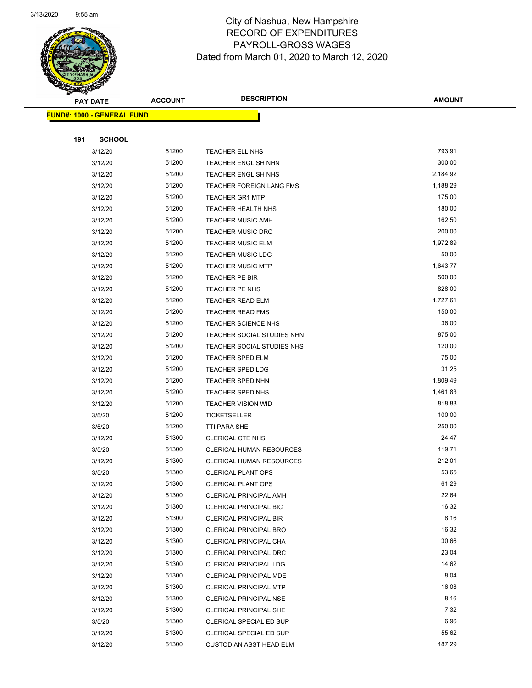

Page 77 of 97

| <b>PAY DATE</b>                   | <b>ACCOUNT</b> | <b>DESCRIPTION</b>              | <b>AMOUNT</b> |
|-----------------------------------|----------------|---------------------------------|---------------|
| <b>FUND#: 1000 - GENERAL FUND</b> |                |                                 |               |
|                                   |                |                                 |               |
| 191<br><b>SCHOOL</b>              |                |                                 |               |
| 3/12/20                           | 51200          | <b>TEACHER ELL NHS</b>          | 793.91        |
| 3/12/20                           | 51200          | <b>TEACHER ENGLISH NHN</b>      | 300.00        |
| 3/12/20                           | 51200          | <b>TEACHER ENGLISH NHS</b>      | 2,184.92      |
| 3/12/20                           | 51200          | <b>TEACHER FOREIGN LANG FMS</b> | 1,188.29      |
| 3/12/20                           | 51200          | <b>TEACHER GR1 MTP</b>          | 175.00        |
| 3/12/20                           | 51200          | TEACHER HEALTH NHS              | 180.00        |
| 3/12/20                           | 51200          | <b>TEACHER MUSIC AMH</b>        | 162.50        |
| 3/12/20                           | 51200          | <b>TEACHER MUSIC DRC</b>        | 200.00        |
| 3/12/20                           | 51200          | <b>TEACHER MUSIC ELM</b>        | 1,972.89      |
| 3/12/20                           | 51200          | <b>TEACHER MUSIC LDG</b>        | 50.00         |
| 3/12/20                           | 51200          | <b>TEACHER MUSIC MTP</b>        | 1,643.77      |
| 3/12/20                           | 51200          | TEACHER PE BIR                  | 500.00        |
| 3/12/20                           | 51200          | <b>TEACHER PE NHS</b>           | 828.00        |
| 3/12/20                           | 51200          | <b>TEACHER READ ELM</b>         | 1,727.61      |
| 3/12/20                           | 51200          | <b>TEACHER READ FMS</b>         | 150.00        |
| 3/12/20                           | 51200          | TEACHER SCIENCE NHS             | 36.00         |
| 3/12/20                           | 51200          | TEACHER SOCIAL STUDIES NHN      | 875.00        |
| 3/12/20                           | 51200          | TEACHER SOCIAL STUDIES NHS      | 120.00        |
| 3/12/20                           | 51200          | <b>TEACHER SPED ELM</b>         | 75.00         |
| 3/12/20                           | 51200          | TEACHER SPED LDG                | 31.25         |
| 3/12/20                           | 51200          | <b>TEACHER SPED NHN</b>         | 1,809.49      |
| 3/12/20                           | 51200          | TEACHER SPED NHS                | 1,461.83      |
| 3/12/20                           | 51200          | TEACHER VISION WID              | 818.83        |
| 3/5/20                            | 51200          | <b>TICKETSELLER</b>             | 100.00        |
| 3/5/20                            | 51200          | TTI PARA SHE                    | 250.00        |
| 3/12/20                           | 51300          | <b>CLERICAL CTE NHS</b>         | 24.47         |
| 3/5/20                            | 51300          | <b>CLERICAL HUMAN RESOURCES</b> | 119.71        |
| 3/12/20                           | 51300          | <b>CLERICAL HUMAN RESOURCES</b> | 212.01        |
| 3/5/20                            | 51300          | <b>CLERICAL PLANT OPS</b>       | 53.65         |
| 3/12/20                           | 51300          | CLERICAL PLANT OPS              | 61.29         |
| 3/12/20                           | 51300          | <b>CLERICAL PRINCIPAL AMH</b>   | 22.64         |
| 3/12/20                           | 51300          | CLERICAL PRINCIPAL BIC          | 16.32         |
| 3/12/20                           | 51300          | <b>CLERICAL PRINCIPAL BIR</b>   | 8.16          |
| 3/12/20                           | 51300          | <b>CLERICAL PRINCIPAL BRO</b>   | 16.32         |
| 3/12/20                           | 51300          | CLERICAL PRINCIPAL CHA          | 30.66         |
| 3/12/20                           | 51300          | <b>CLERICAL PRINCIPAL DRC</b>   | 23.04         |
| 3/12/20                           | 51300          | <b>CLERICAL PRINCIPAL LDG</b>   | 14.62         |
| 3/12/20                           | 51300          | CLERICAL PRINCIPAL MDE          | 8.04          |
| 3/12/20                           | 51300          | <b>CLERICAL PRINCIPAL MTP</b>   | 16.08         |
| 3/12/20                           | 51300          | CLERICAL PRINCIPAL NSE          | 8.16          |
| 3/12/20                           | 51300          | CLERICAL PRINCIPAL SHE          | 7.32          |
| 3/5/20                            | 51300          | CLERICAL SPECIAL ED SUP         | 6.96          |
| 3/12/20                           | 51300          | CLERICAL SPECIAL ED SUP         | 55.62         |
| 3/12/20                           | 51300          | <b>CUSTODIAN ASST HEAD ELM</b>  | 187.29        |
|                                   |                |                                 |               |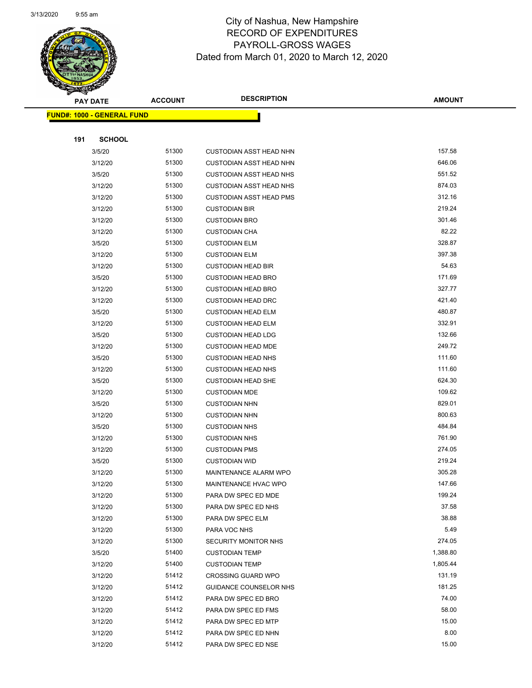

|     | <b>PAY DATE</b>                   | <b>ACCOUNT</b> | <b>DESCRIPTION</b>             | <b>AMOUNT</b> |
|-----|-----------------------------------|----------------|--------------------------------|---------------|
|     | <b>FUND#: 1000 - GENERAL FUND</b> |                |                                |               |
|     |                                   |                |                                |               |
| 191 | <b>SCHOOL</b>                     |                |                                |               |
|     | 3/5/20                            | 51300          | <b>CUSTODIAN ASST HEAD NHN</b> | 157.58        |
|     | 3/12/20                           | 51300          | <b>CUSTODIAN ASST HEAD NHN</b> | 646.06        |
|     | 3/5/20                            | 51300          | <b>CUSTODIAN ASST HEAD NHS</b> | 551.52        |
|     | 3/12/20                           | 51300          | <b>CUSTODIAN ASST HEAD NHS</b> | 874.03        |
|     | 3/12/20                           | 51300          | <b>CUSTODIAN ASST HEAD PMS</b> | 312.16        |
|     | 3/12/20                           | 51300          | <b>CUSTODIAN BIR</b>           | 219.24        |
|     | 3/12/20                           | 51300          | <b>CUSTODIAN BRO</b>           | 301.46        |
|     | 3/12/20                           | 51300          | <b>CUSTODIAN CHA</b>           | 82.22         |
|     | 3/5/20                            | 51300          | <b>CUSTODIAN ELM</b>           | 328.87        |
|     | 3/12/20                           | 51300          | <b>CUSTODIAN ELM</b>           | 397.38        |
|     | 3/12/20                           | 51300          | <b>CUSTODIAN HEAD BIR</b>      | 54.63         |
|     | 3/5/20                            | 51300          | <b>CUSTODIAN HEAD BRO</b>      | 171.69        |
|     | 3/12/20                           | 51300          | <b>CUSTODIAN HEAD BRO</b>      | 327.77        |
|     | 3/12/20                           | 51300          | <b>CUSTODIAN HEAD DRC</b>      | 421.40        |
|     | 3/5/20                            | 51300          | <b>CUSTODIAN HEAD ELM</b>      | 480.87        |
|     | 3/12/20                           | 51300          | <b>CUSTODIAN HEAD ELM</b>      | 332.91        |
|     | 3/5/20                            | 51300          | <b>CUSTODIAN HEAD LDG</b>      | 132.66        |
|     | 3/12/20                           | 51300          | <b>CUSTODIAN HEAD MDE</b>      | 249.72        |
|     | 3/5/20                            | 51300          | <b>CUSTODIAN HEAD NHS</b>      | 111.60        |
|     | 3/12/20                           | 51300          | <b>CUSTODIAN HEAD NHS</b>      | 111.60        |
|     | 3/5/20                            | 51300          | <b>CUSTODIAN HEAD SHE</b>      | 624.30        |
|     | 3/12/20                           | 51300          | <b>CUSTODIAN MDE</b>           | 109.62        |
|     | 3/5/20                            | 51300          | <b>CUSTODIAN NHN</b>           | 829.01        |
|     | 3/12/20                           | 51300          | <b>CUSTODIAN NHN</b>           | 800.63        |
|     | 3/5/20                            | 51300          | <b>CUSTODIAN NHS</b>           | 484.84        |
|     | 3/12/20                           | 51300          | <b>CUSTODIAN NHS</b>           | 761.90        |
|     | 3/12/20                           | 51300          | <b>CUSTODIAN PMS</b>           | 274.05        |
|     | 3/5/20                            | 51300          | <b>CUSTODIAN WID</b>           | 219.24        |
|     | 3/12/20                           | 51300          | MAINTENANCE ALARM WPO          | 305.28        |
|     | 3/12/20                           | 51300          | <b>MAINTENANCE HVAC WPO</b>    | 147.66        |
|     | 3/12/20                           | 51300          | PARA DW SPEC ED MDE            | 199.24        |
|     | 3/12/20                           | 51300          | PARA DW SPEC ED NHS            | 37.58         |
|     | 3/12/20                           | 51300          | PARA DW SPEC ELM               | 38.88         |
|     | 3/12/20                           | 51300          | PARA VOC NHS                   | 5.49          |
|     | 3/12/20                           | 51300          | <b>SECURITY MONITOR NHS</b>    | 274.05        |
|     | 3/5/20                            | 51400          | <b>CUSTODIAN TEMP</b>          | 1,388.80      |
|     | 3/12/20                           | 51400          | <b>CUSTODIAN TEMP</b>          | 1,805.44      |
|     | 3/12/20                           | 51412          | <b>CROSSING GUARD WPO</b>      | 131.19        |
|     | 3/12/20                           | 51412          | GUIDANCE COUNSELOR NHS         | 181.25        |
|     | 3/12/20                           | 51412          | PARA DW SPEC ED BRO            | 74.00         |
|     | 3/12/20                           | 51412          | PARA DW SPEC ED FMS            | 58.00         |
|     | 3/12/20                           | 51412          | PARA DW SPEC ED MTP            | 15.00         |
|     | 3/12/20                           | 51412          | PARA DW SPEC ED NHN            | 8.00          |
|     | 3/12/20                           | 51412          | PARA DW SPEC ED NSE            | 15.00         |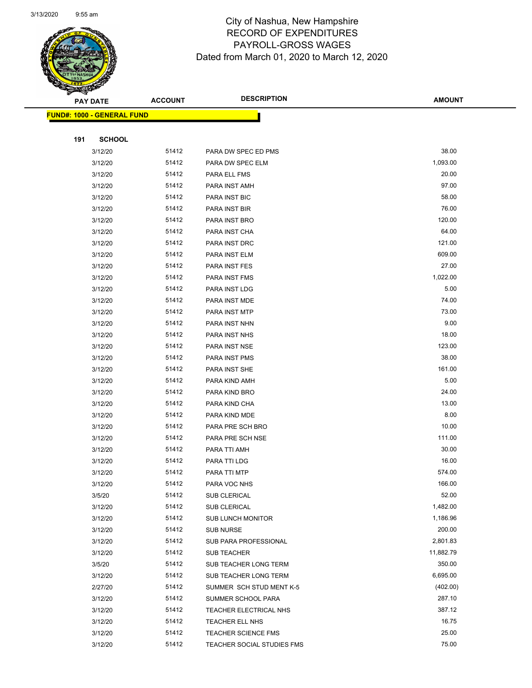

Page 79 of 97

|     | <b>PAY DATE</b>                   | <b>ACCOUNT</b> | <b>DESCRIPTION</b>         | <b>AMOUNT</b> |
|-----|-----------------------------------|----------------|----------------------------|---------------|
|     | <b>FUND#: 1000 - GENERAL FUND</b> |                |                            |               |
|     |                                   |                |                            |               |
| 191 | <b>SCHOOL</b>                     |                |                            |               |
|     | 3/12/20                           | 51412          | PARA DW SPEC ED PMS        | 38.00         |
|     | 3/12/20                           | 51412          | PARA DW SPEC ELM           | 1,093.00      |
|     | 3/12/20                           | 51412          | PARA ELL FMS               | 20.00         |
|     | 3/12/20                           | 51412          | PARA INST AMH              | 97.00         |
|     | 3/12/20                           | 51412          | PARA INST BIC              | 58.00         |
|     | 3/12/20                           | 51412          | PARA INST BIR              | 76.00         |
|     | 3/12/20                           | 51412          | PARA INST BRO              | 120.00        |
|     | 3/12/20                           | 51412          | PARA INST CHA              | 64.00         |
|     | 3/12/20                           | 51412          | PARA INST DRC              | 121.00        |
|     | 3/12/20                           | 51412          | PARA INST ELM              | 609.00        |
|     | 3/12/20                           | 51412          | PARA INST FES              | 27.00         |
|     | 3/12/20                           | 51412          | PARA INST FMS              | 1,022.00      |
|     | 3/12/20                           | 51412          | PARA INST LDG              | 5.00          |
|     | 3/12/20                           | 51412          | PARA INST MDE              | 74.00         |
|     | 3/12/20                           | 51412          | PARA INST MTP              | 73.00         |
|     | 3/12/20                           | 51412          | PARA INST NHN              | 9.00          |
|     | 3/12/20                           | 51412          | PARA INST NHS              | 18.00         |
|     | 3/12/20                           | 51412          | PARA INST NSE              | 123.00        |
|     | 3/12/20                           | 51412          | PARA INST PMS              | 38.00         |
|     | 3/12/20                           | 51412          | PARA INST SHE              | 161.00        |
|     | 3/12/20                           | 51412          | PARA KIND AMH              | 5.00          |
|     | 3/12/20                           | 51412          | PARA KIND BRO              | 24.00         |
|     | 3/12/20                           | 51412          | PARA KIND CHA              | 13.00         |
|     | 3/12/20                           | 51412          | PARA KIND MDE              | 8.00          |
|     | 3/12/20                           | 51412          | PARA PRE SCH BRO           | 10.00         |
|     | 3/12/20                           | 51412          | PARA PRE SCH NSE           | 111.00        |
|     | 3/12/20                           | 51412          | PARA TTI AMH               | 30.00         |
|     | 3/12/20                           | 51412          | PARA TTI LDG               | 16.00         |
|     | 3/12/20                           | 51412          | PARA TTI MTP               | 574.00        |
|     | 3/12/20                           | 51412          | PARA VOC NHS               | 166.00        |
|     | 3/5/20                            | 51412          | SUB CLERICAL               | 52.00         |
|     | 3/12/20                           | 51412          | SUB CLERICAL               | 1,482.00      |
|     | 3/12/20                           | 51412          | <b>SUB LUNCH MONITOR</b>   | 1,186.96      |
|     | 3/12/20                           | 51412          | <b>SUB NURSE</b>           | 200.00        |
|     | 3/12/20                           | 51412          | SUB PARA PROFESSIONAL      | 2,801.83      |
|     | 3/12/20                           | 51412          | <b>SUB TEACHER</b>         | 11,882.79     |
|     | 3/5/20                            | 51412          | SUB TEACHER LONG TERM      | 350.00        |
|     | 3/12/20                           | 51412          | SUB TEACHER LONG TERM      | 6,695.00      |
|     | 2/27/20                           | 51412          | SUMMER SCH STUD MENT K-5   | (402.00)      |
|     | 3/12/20                           | 51412          | SUMMER SCHOOL PARA         | 287.10        |
|     | 3/12/20                           | 51412          | TEACHER ELECTRICAL NHS     | 387.12        |
|     | 3/12/20                           | 51412          | TEACHER ELL NHS            | 16.75         |
|     | 3/12/20                           | 51412          | <b>TEACHER SCIENCE FMS</b> | 25.00         |
|     | 3/12/20                           | 51412          | TEACHER SOCIAL STUDIES FMS | 75.00         |
|     |                                   |                |                            |               |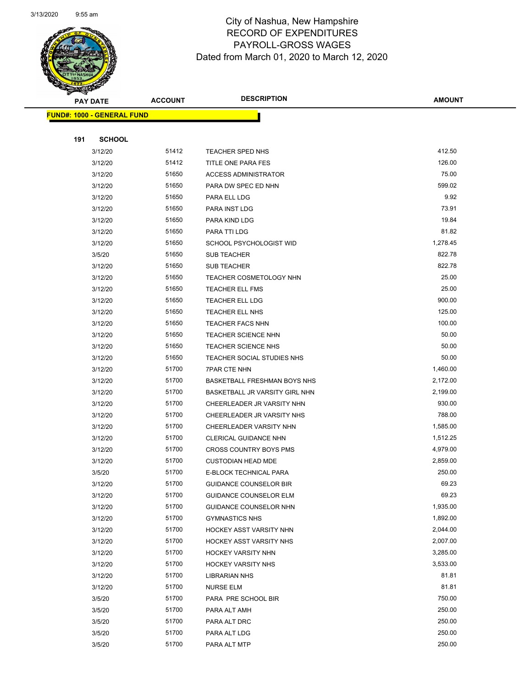

Page 80 of 97

| <b>PAY DATE</b>                   | <b>ACCOUNT</b> | <b>DESCRIPTION</b>                | <b>AMOUNT</b>        |
|-----------------------------------|----------------|-----------------------------------|----------------------|
| <b>FUND#: 1000 - GENERAL FUND</b> |                |                                   |                      |
|                                   |                |                                   |                      |
| 191<br><b>SCHOOL</b>              |                |                                   |                      |
| 3/12/20                           | 51412          | TEACHER SPED NHS                  | 412.50               |
| 3/12/20                           | 51412          | TITLE ONE PARA FES                | 126.00               |
| 3/12/20                           | 51650          | <b>ACCESS ADMINISTRATOR</b>       | 75.00                |
| 3/12/20                           | 51650          | PARA DW SPEC ED NHN               | 599.02               |
| 3/12/20                           | 51650          | PARA ELL LDG                      | 9.92                 |
| 3/12/20                           | 51650          | PARA INST LDG                     | 73.91                |
| 3/12/20                           | 51650          | PARA KIND LDG                     | 19.84                |
| 3/12/20                           | 51650          | PARA TTI LDG                      | 81.82                |
| 3/12/20                           | 51650          | SCHOOL PSYCHOLOGIST WID           | 1,278.45             |
| 3/5/20                            | 51650          | SUB TEACHER                       | 822.78               |
| 3/12/20                           | 51650          | <b>SUB TEACHER</b>                | 822.78               |
| 3/12/20                           | 51650          | TEACHER COSMETOLOGY NHN           | 25.00                |
| 3/12/20                           | 51650          | <b>TEACHER ELL FMS</b>            | 25.00                |
| 3/12/20                           | 51650          | TEACHER ELL LDG                   | 900.00               |
| 3/12/20                           | 51650          | TEACHER ELL NHS                   | 125.00               |
| 3/12/20                           | 51650          | <b>TEACHER FACS NHN</b>           | 100.00               |
| 3/12/20                           | 51650          | <b>TEACHER SCIENCE NHN</b>        | 50.00                |
| 3/12/20                           | 51650          | <b>TEACHER SCIENCE NHS</b>        | 50.00                |
| 3/12/20                           | 51650          | TEACHER SOCIAL STUDIES NHS        | 50.00                |
| 3/12/20                           | 51700          | <b>7PAR CTE NHN</b>               | 1,460.00             |
| 3/12/20                           | 51700          | BASKETBALL FRESHMAN BOYS NHS      | 2,172.00             |
| 3/12/20                           | 51700          | BASKETBALL JR VARSITY GIRL NHN    | 2,199.00             |
| 3/12/20                           | 51700          | CHEERLEADER JR VARSITY NHN        | 930.00               |
| 3/12/20                           | 51700          | CHEERLEADER JR VARSITY NHS        | 788.00               |
| 3/12/20                           | 51700          | CHEERLEADER VARSITY NHN           | 1,585.00             |
| 3/12/20                           | 51700          | CLERICAL GUIDANCE NHN             | 1,512.25             |
| 3/12/20                           | 51700          | CROSS COUNTRY BOYS PMS            | 4,979.00             |
| 3/12/20                           | 51700          | <b>CUSTODIAN HEAD MDE</b>         | 2,859.00             |
| 3/5/20                            | 51700          | E-BLOCK TECHNICAL PARA            | 250.00               |
| 3/12/20                           | 51700          | <b>GUIDANCE COUNSELOR BIR</b>     | 69.23                |
| 3/12/20                           | 51700          | <b>GUIDANCE COUNSELOR ELM</b>     | 69.23                |
| 3/12/20                           | 51700          | <b>GUIDANCE COUNSELOR NHN</b>     | 1,935.00             |
| 3/12/20                           | 51700          | <b>GYMNASTICS NHS</b>             | 1,892.00             |
| 3/12/20                           | 51700          | HOCKEY ASST VARSITY NHN           | 2,044.00             |
| 3/12/20                           | 51700          | HOCKEY ASST VARSITY NHS           | 2,007.00<br>3,285.00 |
| 3/12/20                           | 51700<br>51700 | <b>HOCKEY VARSITY NHN</b>         | 3,533.00             |
| 3/12/20                           |                | <b>HOCKEY VARSITY NHS</b>         | 81.81                |
| 3/12/20<br>3/12/20                | 51700<br>51700 | <b>LIBRARIAN NHS</b><br>NURSE ELM | 81.81                |
| 3/5/20                            | 51700          | PARA PRE SCHOOL BIR               | 750.00               |
| 3/5/20                            | 51700          | PARA ALT AMH                      | 250.00               |
| 3/5/20                            | 51700          | PARA ALT DRC                      | 250.00               |
| 3/5/20                            | 51700          | PARA ALT LDG                      | 250.00               |
| 3/5/20                            | 51700          | PARA ALT MTP                      | 250.00               |
|                                   |                |                                   |                      |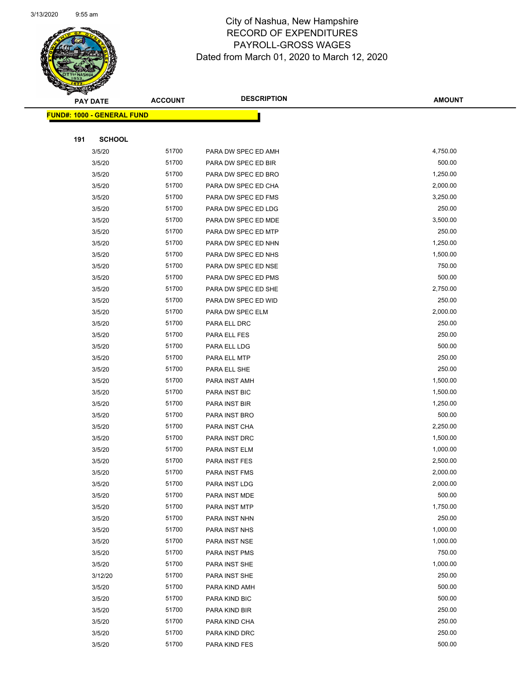

Page 81 of 97

|     | <b>PAY DATE</b>                    | <b>ACCOUNT</b> | <b>DESCRIPTION</b>  | <b>AMOUNT</b> |
|-----|------------------------------------|----------------|---------------------|---------------|
|     | <u> FUND#: 1000 - GENERAL FUND</u> |                |                     |               |
|     |                                    |                |                     |               |
| 191 | <b>SCHOOL</b>                      |                |                     |               |
|     | 3/5/20                             | 51700          | PARA DW SPEC ED AMH | 4,750.00      |
|     | 3/5/20                             | 51700          | PARA DW SPEC ED BIR | 500.00        |
|     | 3/5/20                             | 51700          | PARA DW SPEC ED BRO | 1,250.00      |
|     | 3/5/20                             | 51700          | PARA DW SPEC ED CHA | 2,000.00      |
|     | 3/5/20                             | 51700          | PARA DW SPEC ED FMS | 3,250.00      |
|     | 3/5/20                             | 51700          | PARA DW SPEC ED LDG | 250.00        |
|     | 3/5/20                             | 51700          | PARA DW SPEC ED MDE | 3,500.00      |
|     | 3/5/20                             | 51700          | PARA DW SPEC ED MTP | 250.00        |
|     | 3/5/20                             | 51700          | PARA DW SPEC ED NHN | 1,250.00      |
|     | 3/5/20                             | 51700          | PARA DW SPEC ED NHS | 1,500.00      |
|     | 3/5/20                             | 51700          | PARA DW SPEC ED NSE | 750.00        |
|     | 3/5/20                             | 51700          | PARA DW SPEC ED PMS | 500.00        |
|     | 3/5/20                             | 51700          | PARA DW SPEC ED SHE | 2,750.00      |
|     | 3/5/20                             | 51700          | PARA DW SPEC ED WID | 250.00        |
|     | 3/5/20                             | 51700          | PARA DW SPEC ELM    | 2,000.00      |
|     | 3/5/20                             | 51700          | PARA ELL DRC        | 250.00        |
|     | 3/5/20                             | 51700          | PARA ELL FES        | 250.00        |
|     | 3/5/20                             | 51700          | PARA ELL LDG        | 500.00        |
|     | 3/5/20                             | 51700          | PARA ELL MTP        | 250.00        |
|     | 3/5/20                             | 51700          | PARA ELL SHE        | 250.00        |
|     | 3/5/20                             | 51700          | PARA INST AMH       | 1,500.00      |
|     | 3/5/20                             | 51700          | PARA INST BIC       | 1,500.00      |
|     | 3/5/20                             | 51700          | PARA INST BIR       | 1,250.00      |
|     | 3/5/20                             | 51700          | PARA INST BRO       | 500.00        |
|     | 3/5/20                             | 51700          | PARA INST CHA       | 2,250.00      |
|     | 3/5/20                             | 51700          | PARA INST DRC       | 1,500.00      |
|     | 3/5/20                             | 51700          | PARA INST ELM       | 1,000.00      |
|     | 3/5/20                             | 51700          | PARA INST FES       | 2,500.00      |
|     | 3/5/20                             | 51700          | PARA INST FMS       | 2,000.00      |
|     | 3/5/20                             | 51700          | PARA INST LDG       | 2,000.00      |
|     | 3/5/20                             | 51700          | PARA INST MDE       | 500.00        |
|     | 3/5/20                             | 51700          | PARA INST MTP       | 1,750.00      |
|     | 3/5/20                             | 51700          | PARA INST NHN       | 250.00        |
|     | 3/5/20                             | 51700          | PARA INST NHS       | 1,000.00      |
|     | 3/5/20                             | 51700          | PARA INST NSE       | 1,000.00      |
|     | 3/5/20                             | 51700          | PARA INST PMS       | 750.00        |
|     | 3/5/20                             | 51700          | PARA INST SHE       | 1,000.00      |
|     | 3/12/20                            | 51700          | PARA INST SHE       | 250.00        |
|     | 3/5/20                             | 51700          | PARA KIND AMH       | 500.00        |
|     | 3/5/20                             | 51700          | PARA KIND BIC       | 500.00        |
|     | 3/5/20                             | 51700          | PARA KIND BIR       | 250.00        |
|     | 3/5/20                             | 51700          | PARA KIND CHA       | 250.00        |
|     | 3/5/20                             | 51700          | PARA KIND DRC       | 250.00        |
|     | 3/5/20                             | 51700          | PARA KIND FES       | 500.00        |
|     |                                    |                |                     |               |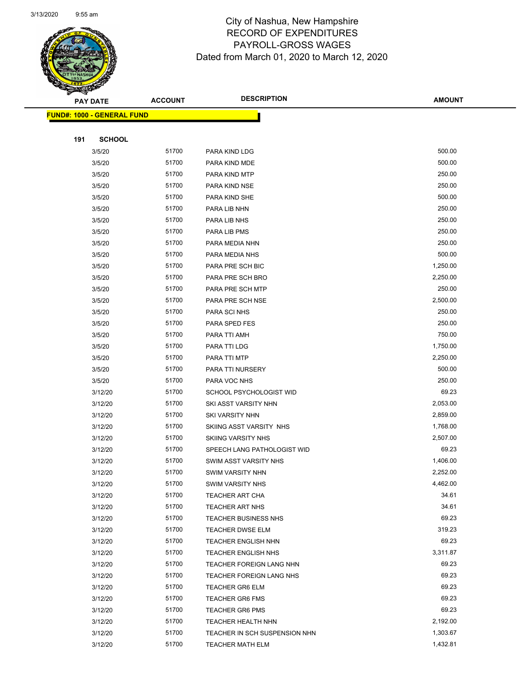

|     | <b>PAY DATE</b>                    | <b>ACCOUNT</b> | <b>DESCRIPTION</b>            | <b>AMOUNT</b> |
|-----|------------------------------------|----------------|-------------------------------|---------------|
|     | <u> FUND#: 1000 - GENERAL FUND</u> |                |                               |               |
|     |                                    |                |                               |               |
| 191 | <b>SCHOOL</b>                      |                |                               |               |
|     | 3/5/20                             | 51700          | PARA KIND LDG                 | 500.00        |
|     | 3/5/20                             | 51700          | PARA KIND MDE                 | 500.00        |
|     | 3/5/20                             | 51700          | PARA KIND MTP                 | 250.00        |
|     | 3/5/20                             | 51700          | PARA KIND NSE                 | 250.00        |
|     | 3/5/20                             | 51700          | PARA KIND SHE                 | 500.00        |
|     | 3/5/20                             | 51700          | PARA LIB NHN                  | 250.00        |
|     | 3/5/20                             | 51700          | PARA LIB NHS                  | 250.00        |
|     | 3/5/20                             | 51700          | PARA LIB PMS                  | 250.00        |
|     | 3/5/20                             | 51700          | PARA MEDIA NHN                | 250.00        |
|     | 3/5/20                             | 51700          | PARA MEDIA NHS                | 500.00        |
|     | 3/5/20                             | 51700          | PARA PRE SCH BIC              | 1,250.00      |
|     | 3/5/20                             | 51700          | PARA PRE SCH BRO              | 2,250.00      |
|     | 3/5/20                             | 51700          | PARA PRE SCH MTP              | 250.00        |
|     | 3/5/20                             | 51700          | PARA PRE SCH NSE              | 2,500.00      |
|     | 3/5/20                             | 51700          | PARA SCI NHS                  | 250.00        |
|     | 3/5/20                             | 51700          | PARA SPED FES                 | 250.00        |
|     | 3/5/20                             | 51700          | PARA TTI AMH                  | 750.00        |
|     | 3/5/20                             | 51700          | PARA TTI LDG                  | 1,750.00      |
|     | 3/5/20                             | 51700          | PARA TTI MTP                  | 2,250.00      |
|     | 3/5/20                             | 51700          | PARA TTI NURSERY              | 500.00        |
|     | 3/5/20                             | 51700          | PARA VOC NHS                  | 250.00        |
|     | 3/12/20                            | 51700          | SCHOOL PSYCHOLOGIST WID       | 69.23         |
|     | 3/12/20                            | 51700          | SKI ASST VARSITY NHN          | 2,053.00      |
|     | 3/12/20                            | 51700          | <b>SKI VARSITY NHN</b>        | 2,859.00      |
|     | 3/12/20                            | 51700          | SKIING ASST VARSITY NHS       | 1,768.00      |
|     | 3/12/20                            | 51700          | <b>SKIING VARSITY NHS</b>     | 2,507.00      |
|     | 3/12/20                            | 51700          | SPEECH LANG PATHOLOGIST WID   | 69.23         |
|     | 3/12/20                            | 51700          | SWIM ASST VARSITY NHS         | 1,406.00      |
|     | 3/12/20                            | 51700          | <b>SWIM VARSITY NHN</b>       | 2,252.00      |
|     | 3/12/20                            | 51700          | <b>SWIM VARSITY NHS</b>       | 4,462.00      |
|     | 3/12/20                            | 51700          | TEACHER ART CHA               | 34.61         |
|     | 3/12/20                            | 51700          | TEACHER ART NHS               | 34.61         |
|     | 3/12/20                            | 51700          | <b>TEACHER BUSINESS NHS</b>   | 69.23         |
|     | 3/12/20                            | 51700          | <b>TEACHER DWSE ELM</b>       | 319.23        |
|     | 3/12/20                            | 51700          | <b>TEACHER ENGLISH NHN</b>    | 69.23         |
|     | 3/12/20                            | 51700          | <b>TEACHER ENGLISH NHS</b>    | 3,311.87      |
|     | 3/12/20                            | 51700          | TEACHER FOREIGN LANG NHN      | 69.23         |
|     | 3/12/20                            | 51700          | TEACHER FOREIGN LANG NHS      | 69.23         |
|     | 3/12/20                            | 51700          | <b>TEACHER GR6 ELM</b>        | 69.23         |
|     | 3/12/20                            | 51700          | <b>TEACHER GR6 FMS</b>        | 69.23         |
|     | 3/12/20                            | 51700          | <b>TEACHER GR6 PMS</b>        | 69.23         |
|     | 3/12/20                            | 51700          | TEACHER HEALTH NHN            | 2,192.00      |
|     | 3/12/20                            | 51700          | TEACHER IN SCH SUSPENSION NHN | 1,303.67      |
|     | 3/12/20                            | 51700          | <b>TEACHER MATH ELM</b>       | 1,432.81      |
|     |                                    |                |                               |               |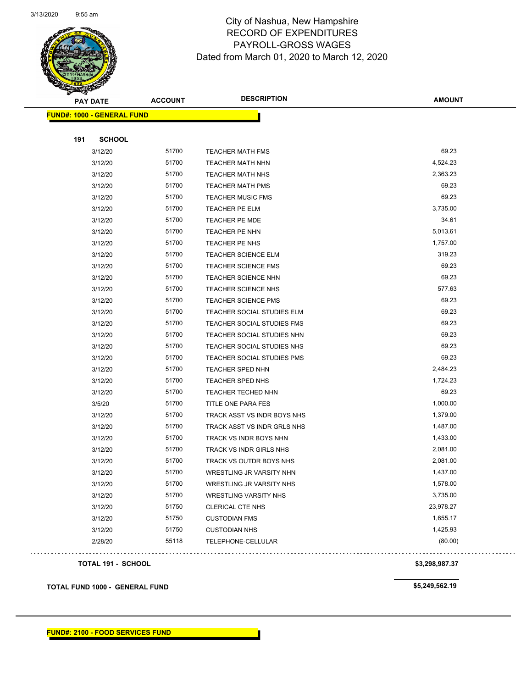

Page 83 of 97

| <b>PAY DATE</b>                   | <b>ACCOUNT</b>                        | <b>DESCRIPTION</b>           | <b>AMOUNT</b>  |
|-----------------------------------|---------------------------------------|------------------------------|----------------|
| <b>FUND#: 1000 - GENERAL FUND</b> |                                       |                              |                |
|                                   |                                       |                              |                |
| 191<br><b>SCHOOL</b>              |                                       |                              |                |
| 3/12/20                           | 51700                                 | <b>TEACHER MATH FMS</b>      | 69.23          |
| 3/12/20                           | 51700                                 | <b>TEACHER MATH NHN</b>      | 4,524.23       |
| 3/12/20                           | 51700                                 | <b>TEACHER MATH NHS</b>      | 2,363.23       |
| 3/12/20                           | 51700                                 | <b>TEACHER MATH PMS</b>      | 69.23          |
| 3/12/20                           | 51700                                 | <b>TEACHER MUSIC FMS</b>     | 69.23          |
| 3/12/20                           | 51700                                 | TEACHER PE ELM               | 3,735.00       |
| 3/12/20                           | 51700                                 | <b>TEACHER PE MDE</b>        | 34.61          |
| 3/12/20                           | 51700                                 | TEACHER PE NHN               | 5,013.61       |
| 3/12/20                           | 51700                                 | TEACHER PE NHS               | 1,757.00       |
| 3/12/20                           | 51700                                 | <b>TEACHER SCIENCE ELM</b>   | 319.23         |
| 3/12/20                           | 51700                                 | <b>TEACHER SCIENCE FMS</b>   | 69.23          |
| 3/12/20                           | 51700                                 | <b>TEACHER SCIENCE NHN</b>   | 69.23          |
| 3/12/20                           | 51700                                 | TEACHER SCIENCE NHS          | 577.63         |
| 3/12/20                           | 51700                                 | <b>TEACHER SCIENCE PMS</b>   | 69.23          |
| 3/12/20                           | 51700                                 | TEACHER SOCIAL STUDIES ELM   | 69.23          |
| 3/12/20                           | 51700                                 | TEACHER SOCIAL STUDIES FMS   | 69.23          |
| 3/12/20                           | 51700                                 | TEACHER SOCIAL STUDIES NHN   | 69.23          |
| 3/12/20                           | 51700                                 | TEACHER SOCIAL STUDIES NHS   | 69.23          |
| 3/12/20                           | 51700                                 | TEACHER SOCIAL STUDIES PMS   | 69.23          |
| 3/12/20                           | 51700                                 | TEACHER SPED NHN             | 2,484.23       |
| 3/12/20                           | 51700                                 | TEACHER SPED NHS             | 1,724.23       |
| 3/12/20                           | 51700                                 | <b>TEACHER TECHED NHN</b>    | 69.23          |
| 3/5/20                            | 51700                                 | TITLE ONE PARA FES           | 1,000.00       |
| 3/12/20                           | 51700                                 | TRACK ASST VS INDR BOYS NHS  | 1,379.00       |
| 3/12/20                           | 51700                                 | TRACK ASST VS INDR GRLS NHS  | 1,487.00       |
| 3/12/20                           | 51700                                 | TRACK VS INDR BOYS NHN       | 1,433.00       |
| 3/12/20                           | 51700                                 | TRACK VS INDR GIRLS NHS      | 2,081.00       |
| 3/12/20                           | 51700                                 | TRACK VS OUTDR BOYS NHS      | 2,081.00       |
| 3/12/20                           | 51700                                 | WRESTLING JR VARSITY NHN     | 1,437.00       |
| 3/12/20                           | 51700                                 | WRESTLING JR VARSITY NHS     | 1,578.00       |
| 3/12/20                           | 51700                                 | <b>WRESTLING VARSITY NHS</b> | 3,735.00       |
| 3/12/20                           | 51750                                 | <b>CLERICAL CTE NHS</b>      | 23,978.27      |
| 3/12/20                           | 51750                                 | <b>CUSTODIAN FMS</b>         | 1,655.17       |
| 3/12/20                           | 51750                                 | <b>CUSTODIAN NHS</b>         | 1,425.93       |
| 2/28/20                           | 55118                                 | TELEPHONE-CELLULAR           | (80.00)        |
| <b>TOTAL 191 - SCHOOL</b>         |                                       |                              | \$3,298,987.37 |
|                                   | <b>TOTAL FUND 1000 - GENERAL FUND</b> |                              | \$5,249,562.19 |

**FUND#: 2100 - FOOD SERVICES FUND**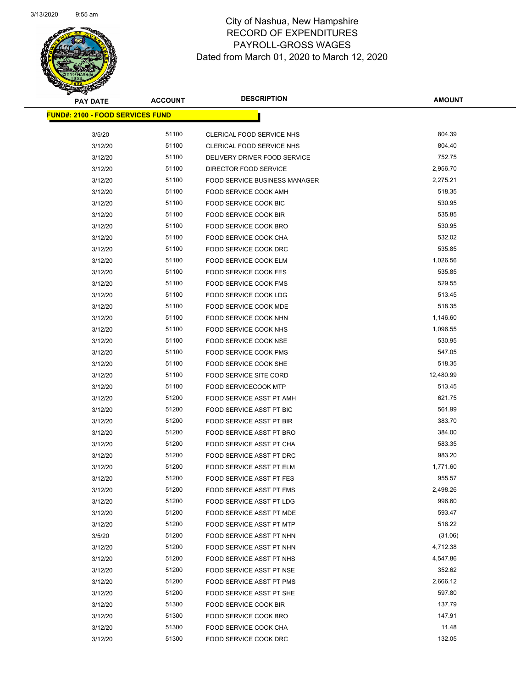

Page 84 of 97

| <b>PAY DATE</b>                         | <b>ACCOUNT</b> | <b>DESCRIPTION</b>                                   | <b>AMOUNT</b>       |
|-----------------------------------------|----------------|------------------------------------------------------|---------------------|
| <b>FUND#: 2100 - FOOD SERVICES FUND</b> |                |                                                      |                     |
|                                         |                |                                                      |                     |
| 3/5/20                                  | 51100          | CLERICAL FOOD SERVICE NHS                            | 804.39              |
| 3/12/20                                 | 51100          | CLERICAL FOOD SERVICE NHS                            | 804.40              |
| 3/12/20                                 | 51100          | DELIVERY DRIVER FOOD SERVICE                         | 752.75              |
| 3/12/20                                 | 51100          | DIRECTOR FOOD SERVICE                                | 2,956.70            |
| 3/12/20                                 | 51100          | <b>FOOD SERVICE BUSINESS MANAGER</b>                 | 2,275.21            |
| 3/12/20                                 | 51100          | FOOD SERVICE COOK AMH                                | 518.35              |
| 3/12/20                                 | 51100          | FOOD SERVICE COOK BIC                                | 530.95              |
| 3/12/20                                 | 51100          | FOOD SERVICE COOK BIR                                | 535.85              |
| 3/12/20                                 | 51100          | FOOD SERVICE COOK BRO                                | 530.95              |
| 3/12/20                                 | 51100          | FOOD SERVICE COOK CHA                                | 532.02              |
| 3/12/20                                 | 51100          | FOOD SERVICE COOK DRC                                | 535.85              |
| 3/12/20                                 | 51100          | FOOD SERVICE COOK ELM                                | 1,026.56            |
| 3/12/20                                 | 51100          | FOOD SERVICE COOK FES                                | 535.85              |
| 3/12/20                                 | 51100          | <b>FOOD SERVICE COOK FMS</b>                         | 529.55              |
| 3/12/20                                 | 51100          | FOOD SERVICE COOK LDG                                | 513.45              |
| 3/12/20                                 | 51100          | FOOD SERVICE COOK MDE                                | 518.35              |
| 3/12/20                                 | 51100          | FOOD SERVICE COOK NHN                                | 1,146.60            |
| 3/12/20                                 | 51100          | FOOD SERVICE COOK NHS                                | 1,096.55            |
| 3/12/20                                 | 51100          | FOOD SERVICE COOK NSE                                | 530.95<br>547.05    |
| 3/12/20                                 | 51100          | FOOD SERVICE COOK PMS                                |                     |
| 3/12/20                                 | 51100          | FOOD SERVICE COOK SHE                                | 518.35              |
| 3/12/20                                 | 51100<br>51100 | FOOD SERVICE SITE CORD                               | 12,480.99<br>513.45 |
| 3/12/20                                 | 51200          | <b>FOOD SERVICECOOK MTP</b>                          | 621.75              |
| 3/12/20<br>3/12/20                      | 51200          | FOOD SERVICE ASST PT AMH<br>FOOD SERVICE ASST PT BIC | 561.99              |
| 3/12/20                                 | 51200          | FOOD SERVICE ASST PT BIR                             | 383.70              |
| 3/12/20                                 | 51200          | <b>FOOD SERVICE ASST PT BRO</b>                      | 384.00              |
| 3/12/20                                 | 51200          | FOOD SERVICE ASST PT CHA                             | 583.35              |
| 3/12/20                                 | 51200          | FOOD SERVICE ASST PT DRC                             | 983.20              |
| 3/12/20                                 | 51200          | FOOD SERVICE ASST PT ELM                             | 1,771.60            |
| 3/12/20                                 | 51200          | FOOD SERVICE ASST PT FES                             | 955.57              |
| 3/12/20                                 | 51200          | FOOD SERVICE ASST PT FMS                             | 2,498.26            |
| 3/12/20                                 | 51200          | FOOD SERVICE ASST PT LDG                             | 996.60              |
| 3/12/20                                 | 51200          | FOOD SERVICE ASST PT MDE                             | 593.47              |
| 3/12/20                                 | 51200          | <b>FOOD SERVICE ASST PT MTP</b>                      | 516.22              |
| 3/5/20                                  | 51200          | FOOD SERVICE ASST PT NHN                             | (31.06)             |
| 3/12/20                                 | 51200          | FOOD SERVICE ASST PT NHN                             | 4,712.38            |
| 3/12/20                                 | 51200          | FOOD SERVICE ASST PT NHS                             | 4,547.86            |
| 3/12/20                                 | 51200          | FOOD SERVICE ASST PT NSE                             | 352.62              |
| 3/12/20                                 | 51200          | FOOD SERVICE ASST PT PMS                             | 2,666.12            |
| 3/12/20                                 | 51200          | FOOD SERVICE ASST PT SHE                             | 597.80              |
| 3/12/20                                 | 51300          | FOOD SERVICE COOK BIR                                | 137.79              |
| 3/12/20                                 | 51300          | FOOD SERVICE COOK BRO                                | 147.91              |
| 3/12/20                                 | 51300          | FOOD SERVICE COOK CHA                                | 11.48               |
| 3/12/20                                 | 51300          | FOOD SERVICE COOK DRC                                | 132.05              |
|                                         |                |                                                      |                     |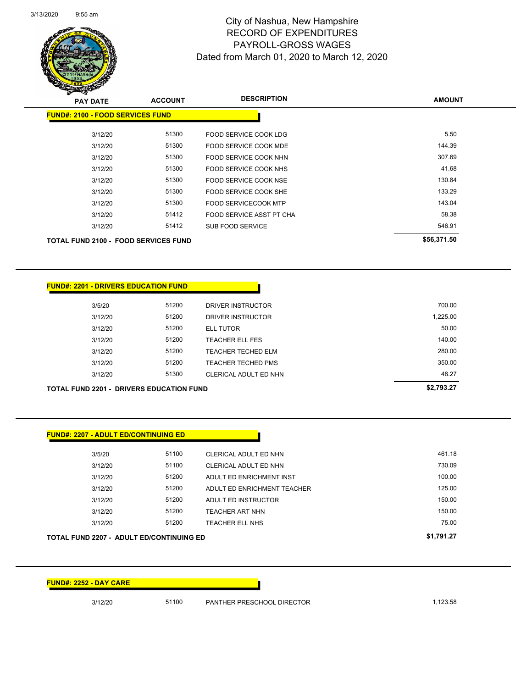

Page 85 of 97

| <b>PAY DATE</b> | <b>ACCOUNT</b>                              | <b>DESCRIPTION</b>                   | <b>AMOUNT</b> |  |
|-----------------|---------------------------------------------|--------------------------------------|---------------|--|
|                 | <b>FUND#: 2100 - FOOD SERVICES FUND</b>     |                                      |               |  |
|                 | 3/12/20                                     | 51300<br>FOOD SERVICE COOK LDG       | 5.50          |  |
|                 | 3/12/20                                     | 51300<br>FOOD SERVICE COOK MDE       | 144.39        |  |
|                 | 3/12/20                                     | 51300<br>FOOD SERVICE COOK NHN       | 307.69        |  |
|                 | 3/12/20                                     | 51300<br>FOOD SERVICE COOK NHS       | 41.68         |  |
|                 | 3/12/20                                     | 51300<br>FOOD SERVICE COOK NSE       | 130.84        |  |
|                 | 3/12/20                                     | 51300<br>FOOD SERVICE COOK SHE       | 133.29        |  |
|                 | 3/12/20                                     | 51300<br><b>FOOD SERVICECOOK MTP</b> | 143.04        |  |
|                 | 3/12/20                                     | 51412<br>FOOD SERVICE ASST PT CHA    | 58.38         |  |
|                 | 3/12/20                                     | 51412<br><b>SUB FOOD SERVICE</b>     | 546.91        |  |
|                 | <b>TOTAL FUND 2100 - FOOD SERVICES FUND</b> |                                      | \$56,371.50   |  |
|                 |                                             |                                      |               |  |

## **FUND#: 2201 - DRIVERS EDUCATION FUND**

| TAI-FIIND 2201 - DRIVERS EDIICATION FIIND |       |                           | \$2.793.27 |
|-------------------------------------------|-------|---------------------------|------------|
| 3/12/20                                   | 51300 | CLERICAL ADULT ED NHN     | 48.27      |
| 3/12/20                                   | 51200 | <b>TEACHER TECHED PMS</b> | 350.00     |
| 3/12/20                                   | 51200 | <b>TEACHER TECHED ELM</b> | 280.00     |
| 3/12/20                                   | 51200 | <b>TEACHER ELL FES</b>    | 140.00     |
| 3/12/20                                   | 51200 | <b>ELL TUTOR</b>          | 50.00      |
| 3/12/20                                   | 51200 | DRIVER INSTRUCTOR         | 1,225.00   |
| 3/5/20                                    | 51200 | DRIVER INSTRUCTOR         | 700.00     |
|                                           |       |                           |            |

#### **TOTAL FUND 2201 - DRIVERS EDUCATION FUND \$2,793.27**

|         |       |                             | \$1,791.27 |
|---------|-------|-----------------------------|------------|
| 3/12/20 | 51200 | TEACHER ELL NHS             | 75.00      |
| 3/12/20 | 51200 | TEACHER ART NHN             | 150.00     |
| 3/12/20 | 51200 | ADULT ED INSTRUCTOR         | 150.00     |
| 3/12/20 | 51200 | ADULT ED ENRICHMENT TEACHER | 125.00     |
| 3/12/20 | 51200 | ADULT ED ENRICHMENT INST    | 100.00     |
| 3/12/20 | 51100 | CLERICAL ADULT ED NHN       | 730.09     |
| 3/5/20  | 51100 | CLERICAL ADULT ED NHN       | 461.18     |

**FUND#: 2252 - DAY CARE**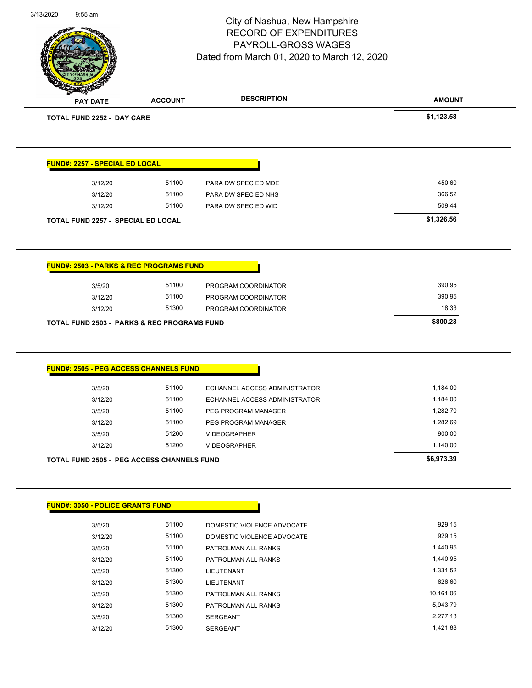|                                                        |                | City of Nashua, New Hampshire<br><b>RECORD OF EXPENDITURES</b> | Page 86 of 97        |
|--------------------------------------------------------|----------------|----------------------------------------------------------------|----------------------|
|                                                        |                | PAYROLL-GROSS WAGES                                            |                      |
|                                                        |                | Dated from March 01, 2020 to March 12, 2020                    |                      |
|                                                        |                |                                                                |                      |
|                                                        |                | <b>DESCRIPTION</b>                                             |                      |
| <b>PAY DATE</b>                                        | <b>ACCOUNT</b> |                                                                | <b>AMOUNT</b>        |
| <b>TOTAL FUND 2252 - DAY CARE</b>                      |                |                                                                | \$1,123.58           |
| <b>FUND#: 2257 - SPECIAL ED LOCAL</b>                  |                |                                                                |                      |
| 3/12/20                                                | 51100          | PARA DW SPEC ED MDE                                            | 450.60               |
| 3/12/20                                                | 51100          | PARA DW SPEC ED NHS                                            | 366.52               |
| 3/12/20                                                | 51100          | PARA DW SPEC ED WID                                            | 509.44               |
| TOTAL FUND 2257 - SPECIAL ED LOCAL                     |                |                                                                | \$1,326.56           |
|                                                        |                |                                                                |                      |
| <b>FUND#: 2503 - PARKS &amp; REC PROGRAMS FUND</b>     |                |                                                                |                      |
| 3/5/20                                                 | 51100          | PROGRAM COORDINATOR                                            | 390.95               |
| 3/12/20                                                | 51100          | PROGRAM COORDINATOR                                            | 390.95               |
|                                                        |                |                                                                |                      |
| 3/12/20                                                | 51300          | PROGRAM COORDINATOR                                            | 18.33                |
| <b>TOTAL FUND 2503 - PARKS &amp; REC PROGRAMS FUND</b> |                |                                                                | \$800.23             |
| FUND#: 2505 - PEG ACCESS CHANNELS FUND                 |                |                                                                |                      |
|                                                        |                |                                                                |                      |
| 3/5/20                                                 | 51100          | ECHANNEL ACCESS ADMINISTRATOR                                  | 1,184.00             |
| 3/12/20                                                | 51100          | ECHANNEL ACCESS ADMINISTRATOR                                  | 1,184.00             |
| 3/5/20<br>3/12/20                                      | 51100<br>51100 | PEG PROGRAM MANAGER<br>PEG PROGRAM MANAGER                     | 1,282.70<br>1,282.69 |
| 3/5/20                                                 | 51200          | <b>VIDEOGRAPHER</b>                                            | 900.00               |
| 3/12/20                                                | 51200          | <b>VIDEOGRAPHER</b>                                            | 1,140.00             |
| <b>TOTAL FUND 2505 - PEG ACCESS CHANNELS FUND</b>      |                |                                                                | \$6,973.39           |
|                                                        |                |                                                                |                      |
|                                                        |                |                                                                |                      |
| 3/5/20                                                 | 51100          | DOMESTIC VIOLENCE ADVOCATE                                     | 929.15               |
| 3/12/20                                                | 51100          | DOMESTIC VIOLENCE ADVOCATE                                     | 929.15               |
| 3/5/20                                                 | 51100          | PATROLMAN ALL RANKS                                            | 1,440.95             |
| 3/12/20                                                | 51100          | PATROLMAN ALL RANKS                                            | 1,440.95             |
| <b>FUND#: 3050 - POLICE GRANTS FUND</b><br>3/5/20      | 51300          | LIEUTENANT                                                     | 1,331.52             |
| 3/12/20                                                | 51300          | LIEUTENANT                                                     | 626.60               |
| 3/5/20                                                 | 51300          | PATROLMAN ALL RANKS                                            | 10,161.06            |
| 3/12/20                                                | 51300          | PATROLMAN ALL RANKS                                            | 5,943.79             |
| 3/5/20                                                 | 51300          | SERGEANT                                                       | 2,277.13             |

3/13/2020 9:55 am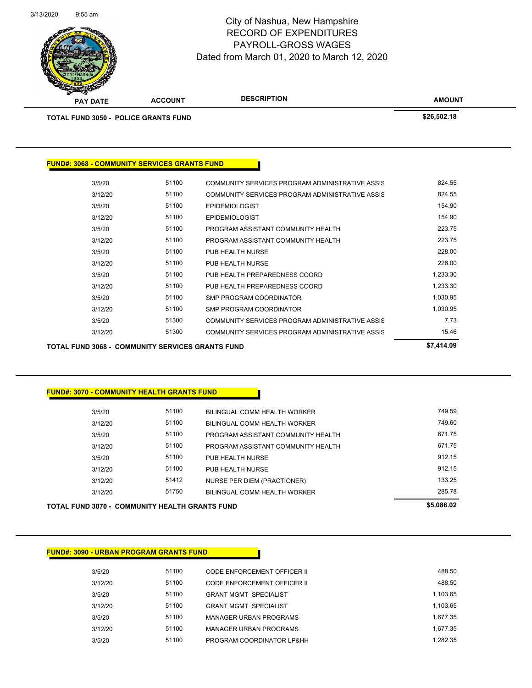

Page 87 of 97

| $\mathscr{D} \cong$<br><b>PAY DATE</b>              | <b>ACCOUNT</b> | <b>DESCRIPTION</b>                              | <b>AMOUNT</b> |
|-----------------------------------------------------|----------------|-------------------------------------------------|---------------|
| <b>TOTAL FUND 3050 - POLICE GRANTS FUND</b>         |                |                                                 | \$26,502.18   |
|                                                     |                |                                                 |               |
|                                                     |                |                                                 |               |
| <b>FUND#: 3068 - COMMUNITY SERVICES GRANTS FUND</b> |                |                                                 |               |
| 3/5/20                                              | 51100          | COMMUNITY SERVICES PROGRAM ADMINISTRATIVE ASSIS | 824.55        |
| 3/12/20                                             | 51100          | COMMUNITY SERVICES PROGRAM ADMINISTRATIVE ASSIS | 824.55        |
| 3/5/20                                              | 51100          | <b>EPIDEMIOLOGIST</b>                           | 154.90        |
| 3/12/20                                             | 51100          | <b>EPIDEMIOLOGIST</b>                           | 154.90        |
| 3/5/20                                              | 51100          | PROGRAM ASSISTANT COMMUNITY HEALTH              | 223.75        |
| 3/12/20                                             | 51100          | PROGRAM ASSISTANT COMMUNITY HEALTH              | 223.75        |
| 3/5/20                                              | 51100          | PUB HEALTH NURSE                                | 228.00        |
| 3/12/20                                             | 51100          | PUB HEALTH NURSE                                | 228.00        |
| 3/5/20                                              | 51100          | PUB HEALTH PREPAREDNESS COORD                   | 1,233.30      |
| 3/12/20                                             | 51100          | PUB HEALTH PREPAREDNESS COORD                   | 1,233.30      |
| 3/5/20                                              | 51100          | <b>SMP PROGRAM COORDINATOR</b>                  | 1,030.95      |

3/12/20 51100 SMP PROGRAM COORDINATOR 5 1,030.95 3/5/20 51300 COMMUNITY SERVICES PROGRAM ADMINISTRATIVE ASSIS 3/12/20 51300 COMMUNITY SERVICES PROGRAM ADMINISTRATIVE ASSIS

| <b>TOTAL FUND 3068 - COMMUNITY SERVICES GRANTS FUND</b> | \$7,414.09 |
|---------------------------------------------------------|------------|
|---------------------------------------------------------|------------|

## **FUND#: 3070 - COMMUNITY HEALTH GRANTS FUND**

| TOTAL FUND 3070 -  COMMUNITY HEALTH GRANTS FUND |       |                                    | \$5,086,02 |
|-------------------------------------------------|-------|------------------------------------|------------|
| 3/12/20                                         | 51750 | BILINGUAL COMM HEALTH WORKER       | 285.78     |
| 3/12/20                                         | 51412 | NURSE PER DIEM (PRACTIONER)        | 133.25     |
| 3/12/20                                         | 51100 | PUB HEALTH NURSE                   | 912.15     |
| 3/5/20                                          | 51100 | PUB HEALTH NURSE                   | 912.15     |
| 3/12/20                                         | 51100 | PROGRAM ASSISTANT COMMUNITY HEALTH | 671.75     |
| 3/5/20                                          | 51100 | PROGRAM ASSISTANT COMMUNITY HEALTH | 671.75     |
| 3/12/20                                         | 51100 | BILINGUAL COMM HEALTH WORKER       | 749.60     |
| 3/5/20                                          | 51100 | BILINGUAL COMM HEALTH WORKER       | 749.59     |
|                                                 |       |                                    |            |

| TUTAL FUND 3070 - COMMUNITE HEALTH GRANTS FUNI |  |  |  |
|------------------------------------------------|--|--|--|
|                                                |  |  |  |

| <b>FUND#: 3090 - URBAN PROGRAM GRANTS FUND</b> |  |
|------------------------------------------------|--|
|                                                |  |

| 3/5/20  | 51100 | CODE ENFORCEMENT OFFICER II  | 488.50   |
|---------|-------|------------------------------|----------|
| 3/12/20 | 51100 | CODE ENFORCEMENT OFFICER II  | 488.50   |
| 3/5/20  | 51100 | <b>GRANT MGMT SPECIALIST</b> | 1.103.65 |
| 3/12/20 | 51100 | <b>GRANT MGMT SPECIALIST</b> | 1.103.65 |
| 3/5/20  | 51100 | MANAGER URBAN PROGRAMS       | 1.677.35 |
| 3/12/20 | 51100 | MANAGER URBAN PROGRAMS       | 1.677.35 |
| 3/5/20  | 51100 | PROGRAM COORDINATOR LP&HH    | 1.282.35 |
|         |       |                              |          |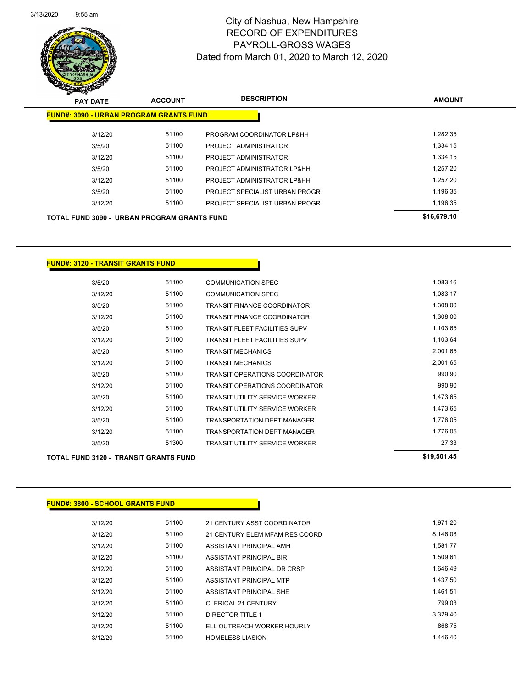

Page 88 of 97

| <b>PAY DATE</b>                                    | <b>ACCOUNT</b> | <b>DESCRIPTION</b>             | <b>AMOUNT</b> |
|----------------------------------------------------|----------------|--------------------------------|---------------|
| <b>FUND#: 3090 - URBAN PROGRAM GRANTS FUND</b>     |                |                                |               |
| 3/12/20                                            | 51100          | PROGRAM COORDINATOR LP&HH      | 1.282.35      |
| 3/5/20                                             | 51100          | PROJECT ADMINISTRATOR          | 1,334.15      |
| 3/12/20                                            | 51100          | PROJECT ADMINISTRATOR          | 1,334.15      |
| 3/5/20                                             | 51100          | PROJECT ADMINISTRATOR LP&HH    | 1.257.20      |
| 3/12/20                                            | 51100          | PROJECT ADMINISTRATOR LP&HH    | 1.257.20      |
| 3/5/20                                             | 51100          | PROJECT SPECIALIST URBAN PROGR | 1,196.35      |
| 3/12/20                                            | 51100          | PROJECT SPECIALIST URBAN PROGR | 1,196.35      |
| <b>TOTAL FUND 3090 - URBAN PROGRAM GRANTS FUND</b> |                |                                | \$16,679.10   |

## **FUND#: 3120 - TRANSIT GRANTS FUND**

|         | <b>TOTAL FUND 3120 - TRANSIT GRANTS FUND</b> |       |                                       | \$19,501.45 |
|---------|----------------------------------------------|-------|---------------------------------------|-------------|
| 3/5/20  |                                              | 51300 | <b>TRANSIT UTILITY SERVICE WORKER</b> | 27.33       |
| 3/12/20 |                                              | 51100 | <b>TRANSPORTATION DEPT MANAGER</b>    | 1,776.05    |
| 3/5/20  |                                              | 51100 | <b>TRANSPORTATION DEPT MANAGER</b>    | 1,776.05    |
| 3/12/20 |                                              | 51100 | <b>TRANSIT UTILITY SERVICE WORKER</b> | 1,473.65    |
| 3/5/20  |                                              | 51100 | <b>TRANSIT UTILITY SERVICE WORKER</b> | 1,473.65    |
| 3/12/20 |                                              | 51100 | <b>TRANSIT OPERATIONS COORDINATOR</b> | 990.90      |
| 3/5/20  |                                              | 51100 | <b>TRANSIT OPERATIONS COORDINATOR</b> | 990.90      |
| 3/12/20 |                                              | 51100 | <b>TRANSIT MECHANICS</b>              | 2,001.65    |
| 3/5/20  |                                              | 51100 | <b>TRANSIT MECHANICS</b>              | 2,001.65    |
| 3/12/20 |                                              | 51100 | <b>TRANSIT FLEET FACILITIES SUPV</b>  | 1,103.64    |
| 3/5/20  |                                              | 51100 | <b>TRANSIT FLEET FACILITIES SUPV</b>  | 1,103.65    |
| 3/12/20 |                                              | 51100 | <b>TRANSIT FINANCE COORDINATOR</b>    | 1,308.00    |
| 3/5/20  |                                              | 51100 | <b>TRANSIT FINANCE COORDINATOR</b>    | 1,308.00    |
| 3/12/20 |                                              | 51100 | <b>COMMUNICATION SPEC</b>             | 1,083.17    |
| 3/5/20  |                                              | 51100 | <b>COMMUNICATION SPEC</b>             | 1,083.16    |
|         |                                              |       |                                       |             |

| <b>FUND#: 3800 - SCHOOL GRANTS FUND</b> |       |                                |          |
|-----------------------------------------|-------|--------------------------------|----------|
| 3/12/20                                 | 51100 | 21 CENTURY ASST COORDINATOR    | 1,971.20 |
| 3/12/20                                 | 51100 | 21 CENTURY ELEM MFAM RES COORD | 8,146.08 |
| 3/12/20                                 | 51100 | ASSISTANT PRINCIPAL AMH        | 1,581.77 |
| 3/12/20                                 | 51100 | ASSISTANT PRINCIPAL BIR        | 1,509.61 |
| 3/12/20                                 | 51100 | ASSISTANT PRINCIPAL DR CRSP    | 1,646.49 |
| 3/12/20                                 | 51100 | <b>ASSISTANT PRINCIPAL MTP</b> | 1.437.50 |
| 3/12/20                                 | 51100 | ASSISTANT PRINCIPAL SHE        | 1.461.51 |
| 3/12/20                                 | 51100 | <b>CLERICAL 21 CENTURY</b>     | 799.03   |
| 3/12/20                                 | 51100 | <b>DIRECTOR TITLE 1</b>        | 3,329.40 |
| 3/12/20                                 | 51100 | ELL OUTREACH WORKER HOURLY     | 868.75   |
| 3/12/20                                 | 51100 | <b>HOMELESS LIASION</b>        | 1.446.40 |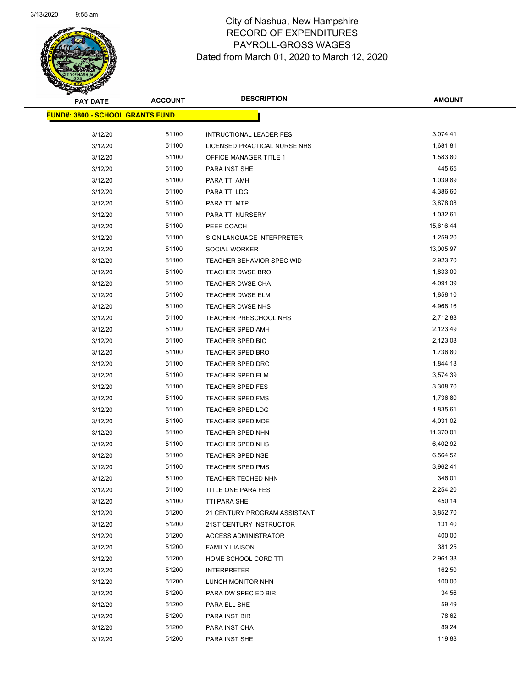

Page 89 of 97

| <b>PAY DATE</b>                         | <b>ACCOUNT</b> | <b>DESCRIPTION</b>                                 | <b>AMOUNT</b>        |
|-----------------------------------------|----------------|----------------------------------------------------|----------------------|
| <b>FUND#: 3800 - SCHOOL GRANTS FUND</b> |                |                                                    |                      |
|                                         |                |                                                    |                      |
| 3/12/20                                 | 51100          | <b>INTRUCTIONAL LEADER FES</b>                     | 3,074.41             |
| 3/12/20                                 | 51100          | LICENSED PRACTICAL NURSE NHS                       | 1,681.81             |
| 3/12/20                                 | 51100          | OFFICE MANAGER TITLE 1                             | 1,583.80             |
| 3/12/20                                 | 51100          | PARA INST SHE                                      | 445.65               |
| 3/12/20                                 | 51100          | PARA TTI AMH                                       | 1,039.89             |
| 3/12/20                                 | 51100          | PARA TTI LDG                                       | 4,386.60             |
| 3/12/20                                 | 51100          | PARA TTI MTP                                       | 3,878.08             |
| 3/12/20                                 | 51100          | PARA TTI NURSERY                                   | 1,032.61             |
| 3/12/20                                 | 51100          | PEER COACH                                         | 15,616.44            |
| 3/12/20                                 | 51100          | SIGN LANGUAGE INTERPRETER                          | 1,259.20             |
| 3/12/20                                 | 51100          | SOCIAL WORKER                                      | 13,005.97            |
| 3/12/20                                 | 51100<br>51100 | <b>TEACHER BEHAVIOR SPEC WID</b>                   | 2,923.70             |
| 3/12/20                                 |                | <b>TEACHER DWSE BRO</b><br><b>TEACHER DWSE CHA</b> | 1,833.00             |
| 3/12/20                                 | 51100          |                                                    | 4,091.39<br>1,858.10 |
| 3/12/20                                 | 51100          | TEACHER DWSE ELM                                   |                      |
| 3/12/20                                 | 51100          | TEACHER DWSE NHS                                   | 4,968.16<br>2,712.88 |
| 3/12/20                                 | 51100          | <b>TEACHER PRESCHOOL NHS</b>                       |                      |
| 3/12/20                                 | 51100          | TEACHER SPED AMH                                   | 2,123.49             |
| 3/12/20                                 | 51100<br>51100 | TEACHER SPED BIC                                   | 2,123.08<br>1,736.80 |
| 3/12/20                                 | 51100          | <b>TEACHER SPED BRO</b>                            |                      |
| 3/12/20                                 | 51100          | <b>TEACHER SPED DRC</b>                            | 1,844.18<br>3,574.39 |
| 3/12/20                                 | 51100          | <b>TEACHER SPED ELM</b><br><b>TEACHER SPED FES</b> | 3,308.70             |
| 3/12/20<br>3/12/20                      | 51100          | <b>TEACHER SPED FMS</b>                            | 1,736.80             |
| 3/12/20                                 | 51100          | <b>TEACHER SPED LDG</b>                            | 1,835.61             |
| 3/12/20                                 | 51100          | <b>TEACHER SPED MDE</b>                            | 4,031.02             |
| 3/12/20                                 | 51100          | <b>TEACHER SPED NHN</b>                            | 11,370.01            |
| 3/12/20                                 | 51100          | <b>TEACHER SPED NHS</b>                            | 6,402.92             |
| 3/12/20                                 | 51100          | TEACHER SPED NSE                                   | 6,564.52             |
| 3/12/20                                 | 51100          | <b>TEACHER SPED PMS</b>                            | 3,962.41             |
| 3/12/20                                 | 51100          | <b>TEACHER TECHED NHN</b>                          | 346.01               |
| 3/12/20                                 | 51100          | TITLE ONE PARA FES                                 | 2,254.20             |
| 3/12/20                                 | 51100          | TTI PARA SHE                                       | 450.14               |
| 3/12/20                                 | 51200          | 21 CENTURY PROGRAM ASSISTANT                       | 3,852.70             |
| 3/12/20                                 | 51200          | 21ST CENTURY INSTRUCTOR                            | 131.40               |
| 3/12/20                                 | 51200          | <b>ACCESS ADMINISTRATOR</b>                        | 400.00               |
| 3/12/20                                 | 51200          | <b>FAMILY LIAISON</b>                              | 381.25               |
| 3/12/20                                 | 51200          | HOME SCHOOL CORD TTI                               | 2,961.38             |
| 3/12/20                                 | 51200          | <b>INTERPRETER</b>                                 | 162.50               |
| 3/12/20                                 | 51200          | LUNCH MONITOR NHN                                  | 100.00               |
| 3/12/20                                 | 51200          | PARA DW SPEC ED BIR                                | 34.56                |
| 3/12/20                                 | 51200          | PARA ELL SHE                                       | 59.49                |
| 3/12/20                                 | 51200          | PARA INST BIR                                      | 78.62                |
| 3/12/20                                 | 51200          | PARA INST CHA                                      | 89.24                |
| 3/12/20                                 | 51200          | PARA INST SHE                                      | 119.88               |
|                                         |                |                                                    |                      |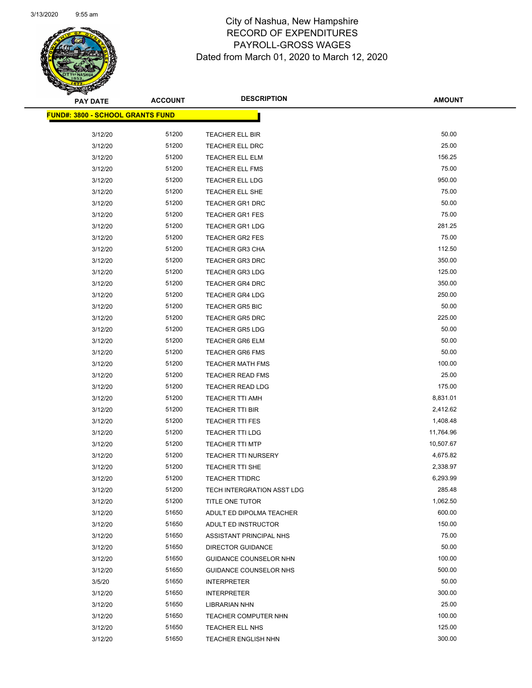

Page 90 of 97

| <b>PAY DATE</b>                         | <b>ACCOUNT</b> | <b>DESCRIPTION</b>                                 | <b>AMOUNT</b>   |
|-----------------------------------------|----------------|----------------------------------------------------|-----------------|
| <b>FUND#: 3800 - SCHOOL GRANTS FUND</b> |                |                                                    |                 |
|                                         |                |                                                    |                 |
| 3/12/20                                 | 51200          | TEACHER ELL BIR                                    | 50.00           |
| 3/12/20                                 | 51200          | TEACHER ELL DRC                                    | 25.00           |
| 3/12/20                                 | 51200          | TEACHER ELL ELM                                    | 156.25          |
| 3/12/20                                 | 51200          | TEACHER ELL FMS                                    | 75.00           |
| 3/12/20                                 | 51200          | <b>TEACHER ELL LDG</b>                             | 950.00          |
| 3/12/20                                 | 51200          | TEACHER ELL SHE                                    | 75.00           |
| 3/12/20                                 | 51200          | <b>TEACHER GR1 DRC</b>                             | 50.00           |
| 3/12/20                                 | 51200          | <b>TEACHER GR1 FES</b>                             | 75.00<br>281.25 |
| 3/12/20                                 | 51200          | <b>TEACHER GR1 LDG</b>                             | 75.00           |
| 3/12/20                                 | 51200          | <b>TEACHER GR2 FES</b>                             |                 |
| 3/12/20                                 | 51200          | <b>TEACHER GR3 CHA</b>                             | 112.50          |
| 3/12/20                                 | 51200          | <b>TEACHER GR3 DRC</b>                             | 350.00          |
| 3/12/20                                 | 51200          | <b>TEACHER GR3 LDG</b>                             | 125.00          |
| 3/12/20                                 | 51200          | <b>TEACHER GR4 DRC</b>                             | 350.00          |
| 3/12/20                                 | 51200          | <b>TEACHER GR4 LDG</b>                             | 250.00          |
| 3/12/20                                 | 51200          | <b>TEACHER GR5 BIC</b>                             | 50.00           |
| 3/12/20                                 | 51200          | <b>TEACHER GR5 DRC</b>                             | 225.00          |
| 3/12/20                                 | 51200<br>51200 | <b>TEACHER GR5 LDG</b>                             | 50.00<br>50.00  |
| 3/12/20                                 | 51200          | <b>TEACHER GR6 ELM</b>                             | 50.00           |
| 3/12/20<br>3/12/20                      | 51200          | <b>TEACHER GR6 FMS</b>                             | 100.00          |
| 3/12/20                                 | 51200          | <b>TEACHER MATH FMS</b><br><b>TEACHER READ FMS</b> | 25.00           |
| 3/12/20                                 | 51200          | <b>TEACHER READ LDG</b>                            | 175.00          |
| 3/12/20                                 | 51200          | <b>TEACHER TTI AMH</b>                             | 8,831.01        |
| 3/12/20                                 | 51200          | TEACHER TTI BIR                                    | 2,412.62        |
| 3/12/20                                 | 51200          | <b>TEACHER TTI FES</b>                             | 1,408.48        |
| 3/12/20                                 | 51200          | <b>TEACHER TTI LDG</b>                             | 11,764.96       |
| 3/12/20                                 | 51200          | <b>TEACHER TTI MTP</b>                             | 10,507.67       |
| 3/12/20                                 | 51200          | <b>TEACHER TTI NURSERY</b>                         | 4,675.82        |
| 3/12/20                                 | 51200          | <b>TEACHER TTI SHE</b>                             | 2,338.97        |
| 3/12/20                                 | 51200          | <b>TEACHER TTIDRC</b>                              | 6,293.99        |
| 3/12/20                                 | 51200          | TECH INTERGRATION ASST LDG                         | 285.48          |
| 3/12/20                                 | 51200          | <b>TITLE ONE TUTOR</b>                             | 1,062.50        |
| 3/12/20                                 | 51650          | ADULT ED DIPOLMA TEACHER                           | 600.00          |
| 3/12/20                                 | 51650          | ADULT ED INSTRUCTOR                                | 150.00          |
| 3/12/20                                 | 51650          | ASSISTANT PRINCIPAL NHS                            | 75.00           |
| 3/12/20                                 | 51650          | <b>DIRECTOR GUIDANCE</b>                           | 50.00           |
| 3/12/20                                 | 51650          | GUIDANCE COUNSELOR NHN                             | 100.00          |
| 3/12/20                                 | 51650          | GUIDANCE COUNSELOR NHS                             | 500.00          |
| 3/5/20                                  | 51650          | <b>INTERPRETER</b>                                 | 50.00           |
| 3/12/20                                 | 51650          | <b>INTERPRETER</b>                                 | 300.00          |
| 3/12/20                                 | 51650          | <b>LIBRARIAN NHN</b>                               | 25.00           |
| 3/12/20                                 | 51650          | TEACHER COMPUTER NHN                               | 100.00          |
| 3/12/20                                 | 51650          | <b>TEACHER ELL NHS</b>                             | 125.00          |
| 3/12/20                                 | 51650          | <b>TEACHER ENGLISH NHN</b>                         | 300.00          |
|                                         |                |                                                    |                 |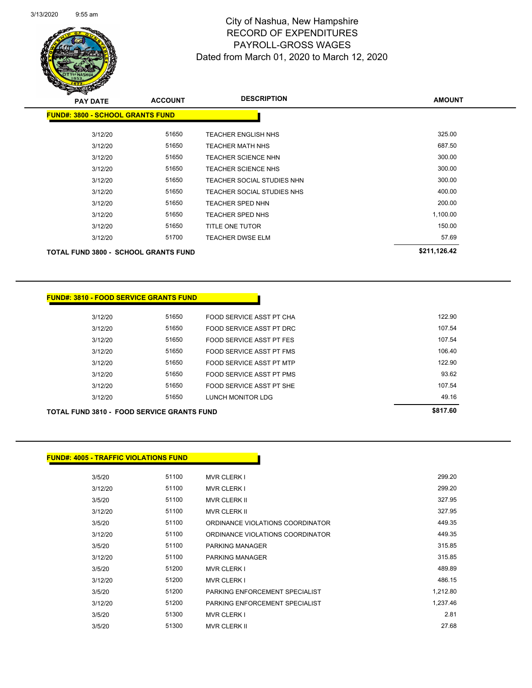Page 91 of 97

| <b>PAY DATE</b>                             | <b>ACCOUNT</b> | <b>DESCRIPTION</b>         | <b>AMOUNT</b> |
|---------------------------------------------|----------------|----------------------------|---------------|
| <b>FUND#: 3800 - SCHOOL GRANTS FUND</b>     |                |                            |               |
| 3/12/20                                     | 51650          | <b>TEACHER ENGLISH NHS</b> | 325.00        |
| 3/12/20                                     | 51650          | TEACHER MATH NHS           | 687.50        |
| 3/12/20                                     | 51650          | TEACHER SCIENCE NHN        | 300.00        |
| 3/12/20                                     | 51650          | TEACHER SCIENCE NHS        | 300.00        |
| 3/12/20                                     | 51650          | TEACHER SOCIAL STUDIES NHN | 300.00        |
| 3/12/20                                     | 51650          | TEACHER SOCIAL STUDIES NHS | 400.00        |
| 3/12/20                                     | 51650          | TEACHER SPED NHN           | 200.00        |
| 3/12/20                                     | 51650          | <b>TEACHER SPED NHS</b>    | 1,100.00      |
| 3/12/20                                     | 51650          | TITLE ONE TUTOR            | 150.00        |
| 3/12/20                                     | 51700          | TEACHER DWSE ELM           | 57.69         |
| <b>TOTAL FUND 3800 - SCHOOL GRANTS FUND</b> |                |                            | \$211,126.42  |
|                                             |                |                            |               |

## **FUND#: 3810 - FOOD SERVICE GRANTS FUND**

|         |       |                          | 0.01700 |
|---------|-------|--------------------------|---------|
| 3/12/20 | 51650 | LUNCH MONITOR LDG        | 49.16   |
| 3/12/20 | 51650 | FOOD SERVICE ASST PT SHE | 107.54  |
| 3/12/20 | 51650 | FOOD SERVICE ASST PT PMS | 93.62   |
| 3/12/20 | 51650 | FOOD SERVICE ASST PT MTP | 122.90  |
| 3/12/20 | 51650 | FOOD SERVICE ASST PT FMS | 106.40  |
| 3/12/20 | 51650 | FOOD SERVICE ASST PT FES | 107.54  |
| 3/12/20 | 51650 | FOOD SERVICE ASST PT DRC | 107.54  |
| 3/12/20 | 51650 | FOOD SERVICE ASST PT CHA | 122.90  |

<u> 1999 - Jan James</u>

### **TOTAL FUND 3810 - FOOD SERVICE GRANTS FUND \$817.60**

| <u> FUND#: 4005 - TRAFFIC VIOLATIONS FUNDI</u> |  |
|------------------------------------------------|--|
|------------------------------------------------|--|

| 3/5/20  | 51100 | <b>MVR CLERK I</b>               | 299.20   |
|---------|-------|----------------------------------|----------|
| 3/12/20 | 51100 | <b>MVR CLERK I</b>               | 299.20   |
| 3/5/20  | 51100 | <b>MVR CLERK II</b>              | 327.95   |
| 3/12/20 | 51100 | <b>MVR CLERK II</b>              | 327.95   |
| 3/5/20  | 51100 | ORDINANCE VIOLATIONS COORDINATOR | 449.35   |
| 3/12/20 | 51100 | ORDINANCE VIOLATIONS COORDINATOR | 449.35   |
| 3/5/20  | 51100 | PARKING MANAGER                  | 315.85   |
| 3/12/20 | 51100 | <b>PARKING MANAGER</b>           | 315.85   |
| 3/5/20  | 51200 | <b>MVR CLERK I</b>               | 489.89   |
| 3/12/20 | 51200 | <b>MVR CLERK I</b>               | 486.15   |
| 3/5/20  | 51200 | PARKING ENFORCEMENT SPECIALIST   | 1,212.80 |
| 3/12/20 | 51200 | PARKING ENFORCEMENT SPECIALIST   | 1.237.46 |
| 3/5/20  | 51300 | <b>MVR CLERK I</b>               | 2.81     |
| 3/5/20  | 51300 | <b>MVR CLERK II</b>              | 27.68    |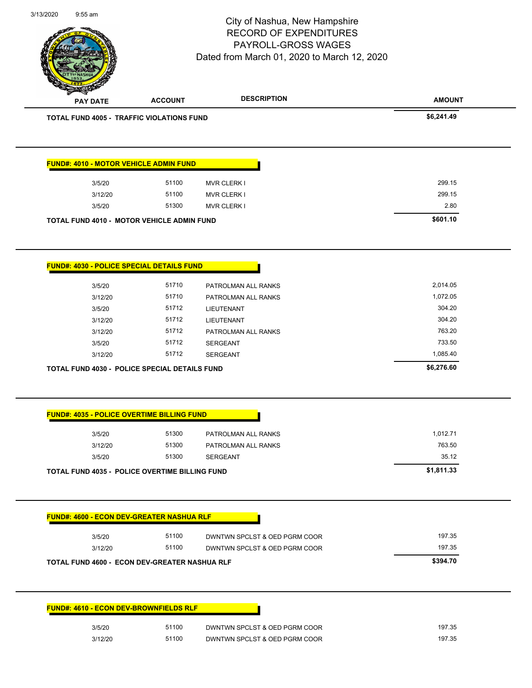|                 |                                                       | City of Nashua, New Hampshire<br><b>RECORD OF EXPENDITURES</b><br>PAYROLL-GROSS WAGES<br>Dated from March 01, 2020 to March 12, 2020 | Page 92 of 97 |
|-----------------|-------------------------------------------------------|--------------------------------------------------------------------------------------------------------------------------------------|---------------|
| <b>PAY DATE</b> | <b>ACCOUNT</b>                                        | <b>DESCRIPTION</b>                                                                                                                   | <b>AMOUNT</b> |
|                 | TOTAL FUND 4005 - TRAFFIC VIOLATIONS FUND             |                                                                                                                                      | \$6,241.49    |
|                 | <b>FUND#: 4010 - MOTOR VEHICLE ADMIN FUND</b>         |                                                                                                                                      |               |
| 3/5/20          | 51100                                                 | <b>MVR CLERK I</b>                                                                                                                   | 299.15        |
| 3/12/20         | 51100                                                 | <b>MVR CLERK I</b>                                                                                                                   | 299.15        |
| 3/5/20          | 51300                                                 | <b>MVR CLERK I</b>                                                                                                                   | 2.80          |
|                 | TOTAL FUND 4010 - MOTOR VEHICLE ADMIN FUND            |                                                                                                                                      | \$601.10      |
|                 | FUND#: 4030 - POLICE SPECIAL DETAILS FUND             |                                                                                                                                      |               |
| 3/5/20          | 51710                                                 | PATROLMAN ALL RANKS                                                                                                                  | 2,014.05      |
| 3/12/20         | 51710                                                 | PATROLMAN ALL RANKS                                                                                                                  | 1,072.05      |
| 3/5/20          | 51712                                                 | LIEUTENANT                                                                                                                           | 304.20        |
| 3/12/20         | 51712                                                 | LIEUTENANT                                                                                                                           | 304.20        |
| 3/12/20         | 51712                                                 | PATROLMAN ALL RANKS                                                                                                                  | 763.20        |
| 3/5/20          | 51712                                                 | <b>SERGEANT</b>                                                                                                                      | 733.50        |
| 3/12/20         | 51712                                                 | <b>SERGEANT</b>                                                                                                                      | 1,085.40      |
|                 | <b>TOTAL FUND 4030 - POLICE SPECIAL DETAILS FUND</b>  |                                                                                                                                      | \$6,276.60    |
|                 |                                                       |                                                                                                                                      |               |
|                 | <b>FUND#: 4035 - POLICE OVERTIME BILLING FUND</b>     |                                                                                                                                      |               |
| 3/5/20          | 51300                                                 | PATROLMAN ALL RANKS                                                                                                                  | 1,012.71      |
| 3/12/20         | 51300                                                 | PATROLMAN ALL RANKS                                                                                                                  | 763.50        |
| 3/5/20          | 51300                                                 | <b>SERGEANT</b>                                                                                                                      | 35.12         |
|                 | <b>TOTAL FUND 4035 - POLICE OVERTIME BILLING FUND</b> |                                                                                                                                      | \$1,811.33    |
|                 | <b>FUND#: 4600 - ECON DEV-GREATER NASHUA RLF</b>      |                                                                                                                                      |               |
| 3/5/20          | 51100                                                 | DWNTWN SPCLST & OED PGRM COOR                                                                                                        | 197.35        |
| 3/12/20         | 51100                                                 | DWNTWN SPCLST & OED PGRM COOR                                                                                                        | 197.35        |
|                 | TOTAL FUND 4600 - ECON DEV-GREATER NASHUA RLF         |                                                                                                                                      | \$394.70      |
|                 | <b>FUND#: 4610 - ECON DEV-BROWNFIELDS RLF</b>         |                                                                                                                                      |               |
| 3/5/20          | 51100                                                 | DWNTWN SPCLST & OED PGRM COOR                                                                                                        | 197.35        |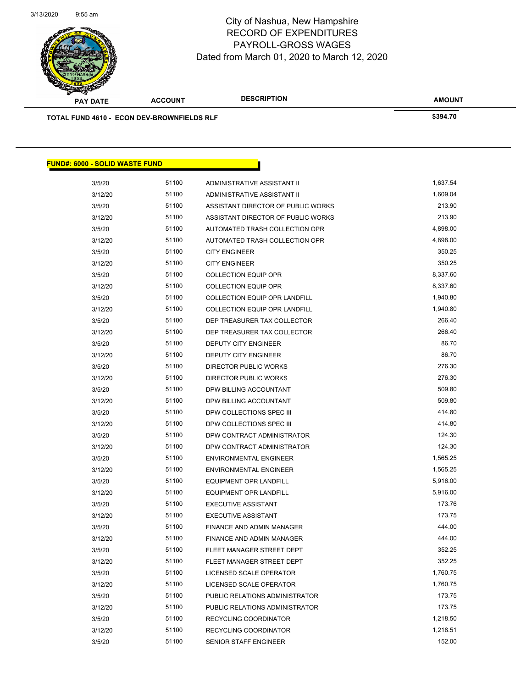

**AMOUNT PAY DATE ACCOUNT DESCRIPTION TOTAL FUND 4610 - ECON DEV-BROWNFIELDS RLF \$394.70 FUND#: 6000 - SOLID WASTE FUND** 3/5/20 51100 ADMINISTRATIVE ASSISTANT II 1,637.54 3/12/20 51100 ADMINISTRATIVE ASSISTANT II 1,609.04

| 01 U LU |       |                                      |          |
|---------|-------|--------------------------------------|----------|
| 3/12/20 | 51100 | ADMINISTRATIVE ASSISTANT II          | 1,609.04 |
| 3/5/20  | 51100 | ASSISTANT DIRECTOR OF PUBLIC WORKS   | 213.90   |
| 3/12/20 | 51100 | ASSISTANT DIRECTOR OF PUBLIC WORKS   | 213.90   |
| 3/5/20  | 51100 | AUTOMATED TRASH COLLECTION OPR       | 4,898.00 |
| 3/12/20 | 51100 | AUTOMATED TRASH COLLECTION OPR       | 4,898.00 |
| 3/5/20  | 51100 | <b>CITY ENGINEER</b>                 | 350.25   |
| 3/12/20 | 51100 | <b>CITY ENGINEER</b>                 | 350.25   |
| 3/5/20  | 51100 | <b>COLLECTION EQUIP OPR</b>          | 8,337.60 |
| 3/12/20 | 51100 | COLLECTION EQUIP OPR                 | 8,337.60 |
| 3/5/20  | 51100 | <b>COLLECTION EQUIP OPR LANDFILL</b> | 1,940.80 |
| 3/12/20 | 51100 | <b>COLLECTION EQUIP OPR LANDFILL</b> | 1,940.80 |
| 3/5/20  | 51100 | DEP TREASURER TAX COLLECTOR          | 266.40   |
| 3/12/20 | 51100 | DEP TREASURER TAX COLLECTOR          | 266.40   |
| 3/5/20  | 51100 | DEPUTY CITY ENGINEER                 | 86.70    |
| 3/12/20 | 51100 | DEPUTY CITY ENGINEER                 | 86.70    |
| 3/5/20  | 51100 | <b>DIRECTOR PUBLIC WORKS</b>         | 276.30   |
| 3/12/20 | 51100 | DIRECTOR PUBLIC WORKS                | 276.30   |
| 3/5/20  | 51100 | DPW BILLING ACCOUNTANT               | 509.80   |
| 3/12/20 | 51100 | DPW BILLING ACCOUNTANT               | 509.80   |
| 3/5/20  | 51100 | DPW COLLECTIONS SPEC III             | 414.80   |
| 3/12/20 | 51100 | DPW COLLECTIONS SPEC III             | 414.80   |
| 3/5/20  | 51100 | DPW CONTRACT ADMINISTRATOR           | 124.30   |
| 3/12/20 | 51100 | DPW CONTRACT ADMINISTRATOR           | 124.30   |
| 3/5/20  | 51100 | <b>ENVIRONMENTAL ENGINEER</b>        | 1,565.25 |
| 3/12/20 | 51100 | <b>ENVIRONMENTAL ENGINEER</b>        | 1,565.25 |
| 3/5/20  | 51100 | <b>EQUIPMENT OPR LANDFILL</b>        | 5,916.00 |
| 3/12/20 | 51100 | <b>EQUIPMENT OPR LANDFILL</b>        | 5,916.00 |
| 3/5/20  | 51100 | <b>EXECUTIVE ASSISTANT</b>           | 173.76   |
| 3/12/20 | 51100 | <b>EXECUTIVE ASSISTANT</b>           | 173.75   |
| 3/5/20  | 51100 | <b>FINANCE AND ADMIN MANAGER</b>     | 444.00   |
| 3/12/20 | 51100 | FINANCE AND ADMIN MANAGER            | 444.00   |
| 3/5/20  | 51100 | FLEET MANAGER STREET DEPT            | 352.25   |
| 3/12/20 | 51100 | FLEET MANAGER STREET DEPT            | 352.25   |
| 3/5/20  | 51100 | LICENSED SCALE OPERATOR              | 1,760.75 |
| 3/12/20 | 51100 | LICENSED SCALE OPERATOR              | 1,760.75 |
| 3/5/20  | 51100 | PUBLIC RELATIONS ADMINISTRATOR       | 173.75   |
| 3/12/20 | 51100 | PUBLIC RELATIONS ADMINISTRATOR       | 173.75   |
| 3/5/20  | 51100 | RECYCLING COORDINATOR                | 1,218.50 |
| 3/12/20 | 51100 | RECYCLING COORDINATOR                | 1,218.51 |
| 3/5/20  | 51100 | <b>SENIOR STAFF ENGINEER</b>         | 152.00   |
|         |       |                                      |          |

Page 93 of 97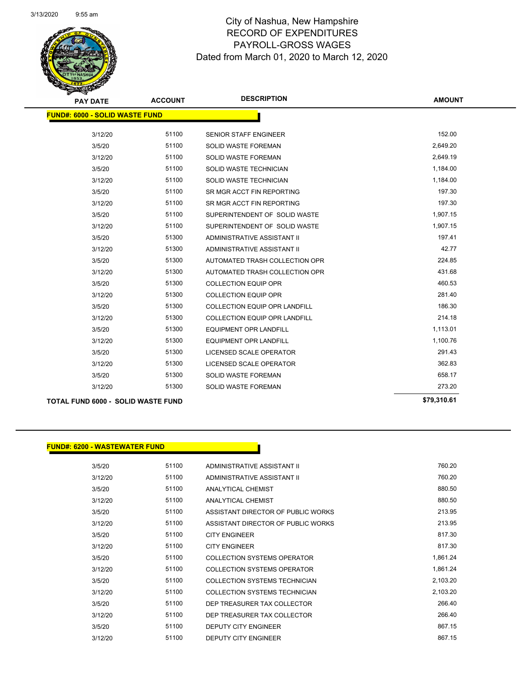

Page 94 of 97

| <b>PAY DATE</b>                           | <b>ACCOUNT</b> | <b>DESCRIPTION</b>             | <b>AMOUNT</b> |
|-------------------------------------------|----------------|--------------------------------|---------------|
| <b>FUND#: 6000 - SOLID WASTE FUND</b>     |                |                                |               |
|                                           |                |                                |               |
| 3/12/20                                   | 51100          | SENIOR STAFF ENGINEER          | 152.00        |
| 3/5/20                                    | 51100          | <b>SOLID WASTE FOREMAN</b>     | 2,649.20      |
| 3/12/20                                   | 51100          | <b>SOLID WASTE FOREMAN</b>     | 2,649.19      |
| 3/5/20                                    | 51100          | SOLID WASTE TECHNICIAN         | 1,184.00      |
| 3/12/20                                   | 51100          | SOLID WASTE TECHNICIAN         | 1,184.00      |
| 3/5/20                                    | 51100          | SR MGR ACCT FIN REPORTING      | 197.30        |
| 3/12/20                                   | 51100          | SR MGR ACCT FIN REPORTING      | 197.30        |
| 3/5/20                                    | 51100          | SUPERINTENDENT OF SOLID WASTE  | 1,907.15      |
| 3/12/20                                   | 51100          | SUPERINTENDENT OF SOLID WASTE  | 1,907.15      |
| 3/5/20                                    | 51300          | ADMINISTRATIVE ASSISTANT II    | 197.41        |
| 3/12/20                                   | 51300          | ADMINISTRATIVE ASSISTANT II    | 42.77         |
| 3/5/20                                    | 51300          | AUTOMATED TRASH COLLECTION OPR | 224.85        |
| 3/12/20                                   | 51300          | AUTOMATED TRASH COLLECTION OPR | 431.68        |
| 3/5/20                                    | 51300          | <b>COLLECTION EQUIP OPR</b>    | 460.53        |
| 3/12/20                                   | 51300          | <b>COLLECTION EQUIP OPR</b>    | 281.40        |
| 3/5/20                                    | 51300          | COLLECTION EQUIP OPR LANDFILL  | 186.30        |
| 3/12/20                                   | 51300          | COLLECTION EQUIP OPR LANDFILL  | 214.18        |
| 3/5/20                                    | 51300          | <b>EQUIPMENT OPR LANDFILL</b>  | 1,113.01      |
| 3/12/20                                   | 51300          | <b>EQUIPMENT OPR LANDFILL</b>  | 1,100.76      |
| 3/5/20                                    | 51300          | LICENSED SCALE OPERATOR        | 291.43        |
| 3/12/20                                   | 51300          | LICENSED SCALE OPERATOR        | 362.83        |
| 3/5/20                                    | 51300          | <b>SOLID WASTE FOREMAN</b>     | 658.17        |
| 3/12/20                                   | 51300          | <b>SOLID WASTE FOREMAN</b>     | 273.20        |
| <b>TOTAL FUND 6000 - SOLID WASTE FUND</b> |                |                                | \$79,310.61   |

## **FUND#: 6200 - WASTEWATER FUND**

| 3/5/20  | 51100 | ADMINISTRATIVE ASSISTANT II        | 760.20   |
|---------|-------|------------------------------------|----------|
| 3/12/20 | 51100 | ADMINISTRATIVE ASSISTANT II        | 760.20   |
| 3/5/20  | 51100 | ANALYTICAL CHEMIST                 | 880.50   |
| 3/12/20 | 51100 | <b>ANALYTICAL CHEMIST</b>          | 880.50   |
| 3/5/20  | 51100 | ASSISTANT DIRECTOR OF PUBLIC WORKS | 213.95   |
| 3/12/20 | 51100 | ASSISTANT DIRECTOR OF PUBLIC WORKS | 213.95   |
| 3/5/20  | 51100 | <b>CITY ENGINEER</b>               | 817.30   |
| 3/12/20 | 51100 | <b>CITY ENGINEER</b>               | 817.30   |
| 3/5/20  | 51100 | <b>COLLECTION SYSTEMS OPERATOR</b> | 1,861.24 |
| 3/12/20 | 51100 | COLLECTION SYSTEMS OPERATOR        | 1.861.24 |
| 3/5/20  | 51100 | COLLECTION SYSTEMS TECHNICIAN      | 2,103.20 |
| 3/12/20 | 51100 | COLLECTION SYSTEMS TECHNICIAN      | 2,103.20 |
| 3/5/20  | 51100 | DEP TREASURER TAX COLLECTOR        | 266.40   |
| 3/12/20 | 51100 | DEP TREASURER TAX COLLECTOR        | 266.40   |
| 3/5/20  | 51100 | <b>DEPUTY CITY ENGINEER</b>        | 867.15   |
| 3/12/20 | 51100 | <b>DEPUTY CITY ENGINEER</b>        | 867.15   |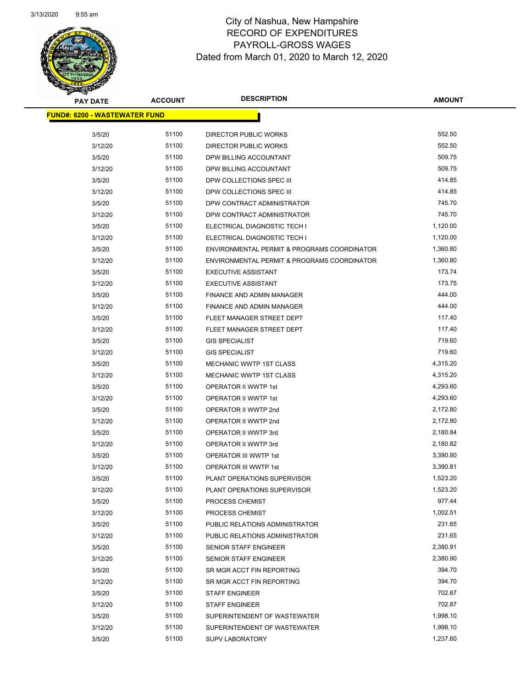Page 95 of 97

| <b>PAY DATE</b>                      | <b>ACCOUNT</b> | <b>DESCRIPTION</b>                             | <b>AMOUNT</b> |
|--------------------------------------|----------------|------------------------------------------------|---------------|
| <b>FUND#: 6200 - WASTEWATER FUND</b> |                |                                                |               |
|                                      | 51100          |                                                | 552.50        |
| 3/5/20<br>3/12/20                    | 51100          | DIRECTOR PUBLIC WORKS<br>DIRECTOR PUBLIC WORKS | 552.50        |
|                                      | 51100          | DPW BILLING ACCOUNTANT                         | 509.75        |
| 3/5/20<br>3/12/20                    | 51100          | DPW BILLING ACCOUNTANT                         | 509.75        |
| 3/5/20                               | 51100          | DPW COLLECTIONS SPEC III                       | 414.85        |
| 3/12/20                              | 51100          | DPW COLLECTIONS SPEC III                       | 414.85        |
| 3/5/20                               | 51100          | DPW CONTRACT ADMINISTRATOR                     | 745.70        |
| 3/12/20                              | 51100          | DPW CONTRACT ADMINISTRATOR                     | 745.70        |
| 3/5/20                               | 51100          | ELECTRICAL DIAGNOSTIC TECH I                   | 1,120.00      |
| 3/12/20                              | 51100          | ELECTRICAL DIAGNOSTIC TECH I                   | 1,120.00      |
| 3/5/20                               | 51100          | ENVIRONMENTAL PERMIT & PROGRAMS COORDINATOR    | 1,360.80      |
| 3/12/20                              | 51100          | ENVIRONMENTAL PERMIT & PROGRAMS COORDINATOR    | 1,360.80      |
| 3/5/20                               | 51100          | <b>EXECUTIVE ASSISTANT</b>                     | 173.74        |
| 3/12/20                              | 51100          | <b>EXECUTIVE ASSISTANT</b>                     | 173.75        |
| 3/5/20                               | 51100          | FINANCE AND ADMIN MANAGER                      | 444.00        |
| 3/12/20                              | 51100          | FINANCE AND ADMIN MANAGER                      | 444.00        |
| 3/5/20                               | 51100          | FLEET MANAGER STREET DEPT                      | 117.40        |
| 3/12/20                              | 51100          | FLEET MANAGER STREET DEPT                      | 117.40        |
| 3/5/20                               | 51100          | <b>GIS SPECIALIST</b>                          | 719.60        |
| 3/12/20                              | 51100          | <b>GIS SPECIALIST</b>                          | 719.60        |
| 3/5/20                               | 51100          | <b>MECHANIC WWTP 1ST CLASS</b>                 | 4,315.20      |
| 3/12/20                              | 51100          | MECHANIC WWTP 1ST CLASS                        | 4,315.20      |
| 3/5/20                               | 51100          | OPERATOR II WWTP 1st                           | 4,293.60      |
| 3/12/20                              | 51100          | OPERATOR II WWTP 1st                           | 4,293.60      |
| 3/5/20                               | 51100          | OPERATOR II WWTP 2nd                           | 2,172.80      |
| 3/12/20                              | 51100          | OPERATOR II WWTP 2nd                           | 2,172.80      |
| 3/5/20                               | 51100          | OPERATOR II WWTP 3rd                           | 2,180.84      |
| 3/12/20                              | 51100          | OPERATOR II WWTP 3rd                           | 2,180.82      |
| 3/5/20                               | 51100          | OPERATOR III WWTP 1st                          | 3,390.80      |
| 3/12/20                              | 51100          | OPERATOR III WWTP 1st                          | 3,390.81      |
| 3/5/20                               | 51100          | PLANT OPERATIONS SUPERVISOR                    | 1,523.20      |
| 3/12/20                              | 51100          | PLANT OPERATIONS SUPERVISOR                    | 1,523.20      |
| 3/5/20                               | 51100          | PROCESS CHEMIST                                | 977.44        |
| 3/12/20                              | 51100          | PROCESS CHEMIST                                | 1,002.51      |
| 3/5/20                               | 51100          | PUBLIC RELATIONS ADMINISTRATOR                 | 231.65        |
| 3/12/20                              | 51100          | PUBLIC RELATIONS ADMINISTRATOR                 | 231.65        |
| 3/5/20                               | 51100          | SENIOR STAFF ENGINEER                          | 2,380.91      |
| 3/12/20                              | 51100          | SENIOR STAFF ENGINEER                          | 2,380.90      |
| 3/5/20                               | 51100          | SR MGR ACCT FIN REPORTING                      | 394.70        |
| 3/12/20                              | 51100          | SR MGR ACCT FIN REPORTING                      | 394.70        |
| 3/5/20                               | 51100          | <b>STAFF ENGINEER</b>                          | 702.87        |
| 3/12/20                              | 51100          | <b>STAFF ENGINEER</b>                          | 702.87        |
| 3/5/20                               | 51100          | SUPERINTENDENT OF WASTEWATER                   | 1,998.10      |
| 3/12/20                              | 51100          | SUPERINTENDENT OF WASTEWATER                   | 1,998.10      |
| 3/5/20                               | 51100          | <b>SUPV LABORATORY</b>                         | 1,237.60      |
|                                      |                |                                                |               |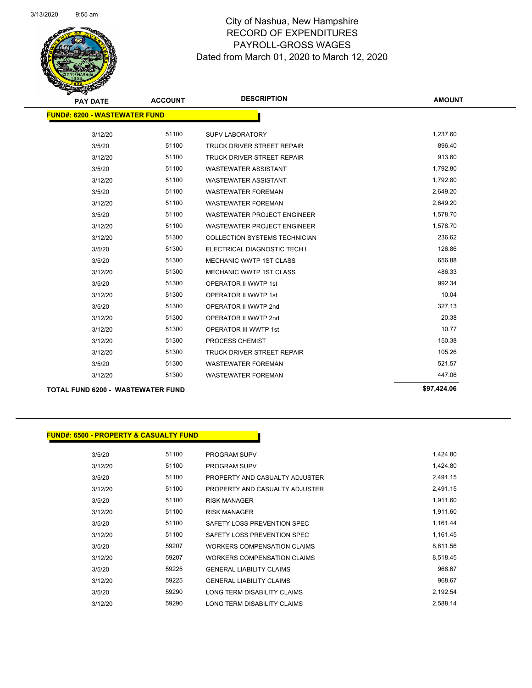

Page 96 of 97

| <b>PAY DATE</b>                          | <b>ACCOUNT</b> | <b>DESCRIPTION</b>                   | <b>AMOUNT</b> |  |  |
|------------------------------------------|----------------|--------------------------------------|---------------|--|--|
| <b>FUND#: 6200 - WASTEWATER FUND</b>     |                |                                      |               |  |  |
| 3/12/20                                  | 51100          | <b>SUPV LABORATORY</b>               | 1,237.60      |  |  |
| 3/5/20                                   | 51100          | TRUCK DRIVER STREET REPAIR           | 896.40        |  |  |
| 3/12/20                                  | 51100          | TRUCK DRIVER STREET REPAIR           | 913.60        |  |  |
|                                          | 51100          |                                      | 1,792.80      |  |  |
| 3/5/20                                   |                | <b>WASTEWATER ASSISTANT</b>          |               |  |  |
| 3/12/20                                  | 51100          | <b>WASTEWATER ASSISTANT</b>          | 1,792.80      |  |  |
| 3/5/20                                   | 51100          | <b>WASTEWATER FOREMAN</b>            | 2,649.20      |  |  |
| 3/12/20                                  | 51100          | <b>WASTEWATER FOREMAN</b>            | 2,649.20      |  |  |
| 3/5/20                                   | 51100          | <b>WASTEWATER PROJECT ENGINEER</b>   | 1,578.70      |  |  |
| 3/12/20                                  | 51100          | <b>WASTEWATER PROJECT ENGINEER</b>   | 1,578.70      |  |  |
| 3/12/20                                  | 51300          | <b>COLLECTION SYSTEMS TECHNICIAN</b> | 236.62        |  |  |
| 3/5/20                                   | 51300          | ELECTRICAL DIAGNOSTIC TECH I         | 126.86        |  |  |
| 3/5/20                                   | 51300          | MECHANIC WWTP 1ST CLASS              | 656.88        |  |  |
| 3/12/20                                  | 51300          | <b>MECHANIC WWTP 1ST CLASS</b>       | 486.33        |  |  |
| 3/5/20                                   | 51300          | <b>OPERATOR II WWTP 1st</b>          | 992.34        |  |  |
| 3/12/20                                  | 51300          | <b>OPERATOR II WWTP 1st</b>          | 10.04         |  |  |
| 3/5/20                                   | 51300          | OPERATOR II WWTP 2nd                 | 327.13        |  |  |
| 3/12/20                                  | 51300          | OPERATOR II WWTP 2nd                 | 20.38         |  |  |
| 3/12/20                                  | 51300          | <b>OPERATOR III WWTP 1st</b>         | 10.77         |  |  |
| 3/12/20                                  | 51300          | PROCESS CHEMIST                      | 150.38        |  |  |
| 3/12/20                                  | 51300          | TRUCK DRIVER STREET REPAIR           | 105.26        |  |  |
| 3/5/20                                   | 51300          | <b>WASTEWATER FOREMAN</b>            | 521.57        |  |  |
| 3/12/20                                  | 51300          | <b>WASTEWATER FOREMAN</b>            | 447.06        |  |  |
| <b>TOTAL FUND 6200 - WASTEWATER FUND</b> |                |                                      | \$97,424.06   |  |  |

### **FUND#: 6500 - PROPERTY & CASUALTY FUND**

| 3/5/20  | 51100 | <b>PROGRAM SUPV</b>             | 1,424.80 |
|---------|-------|---------------------------------|----------|
| 3/12/20 | 51100 | PROGRAM SUPV                    | 1,424.80 |
| 3/5/20  | 51100 | PROPERTY AND CASUALTY ADJUSTER  | 2,491.15 |
| 3/12/20 | 51100 | PROPERTY AND CASUALTY ADJUSTER  | 2.491.15 |
| 3/5/20  | 51100 | <b>RISK MANAGER</b>             | 1,911.60 |
| 3/12/20 | 51100 | <b>RISK MANAGER</b>             | 1,911.60 |
| 3/5/20  | 51100 | SAFETY LOSS PREVENTION SPEC     | 1,161.44 |
| 3/12/20 | 51100 | SAFETY LOSS PREVENTION SPEC     | 1,161.45 |
| 3/5/20  | 59207 | WORKERS COMPENSATION CLAIMS     | 8,611.56 |
| 3/12/20 | 59207 | WORKERS COMPENSATION CLAIMS     | 8,518.45 |
| 3/5/20  | 59225 | <b>GENERAL LIABILITY CLAIMS</b> | 968.67   |
| 3/12/20 | 59225 | <b>GENERAL LIABILITY CLAIMS</b> | 968.67   |
| 3/5/20  | 59290 | LONG TERM DISABILITY CLAIMS     | 2,192.54 |
| 3/12/20 | 59290 | LONG TERM DISABILITY CLAIMS     | 2.588.14 |